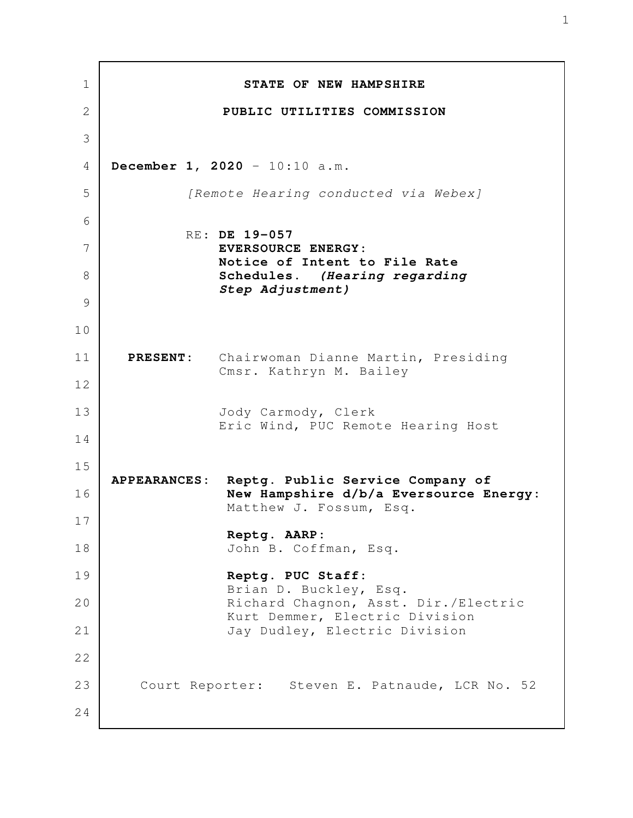**STATE OF NEW HAMPSHIRE PUBLIC UTILITIES COMMISSION December 1, 2020** - 10:10 a.m. [Remote Hearing conducted via Webex] RE: **DE 19-057 EVERSOURCE ENERGY: Notice of Intent to File Rate Schedules.** *(Hearing regarding Step Adjustment)*  **PRESENT:** Chairwoman Dianne Martin, Presiding Cmsr. Kathryn M. Bailey Jody Carmody, Clerk Eric Wind, PUC Remote Hearing Host **APPEARANCES: Reptg. Public Service Company of New Hampshire d/b/a Eversource Energy:** Matthew J. Fossum, Esq. **Reptg. AARP:** John B. Coffman, Esq. **Reptg. PUC Staff:** Brian D. Buckley, Esq. Richard Chagnon, Asst. Dir./Electric Kurt Demmer, Electric Division Jay Dudley, Electric Division Court Reporter: Steven E. Patnaude, LCR No. 52 1 2 3 4 5 6 7 8 9 10 11 12 13 14 15 16 17 18 19 20 21 22 23 24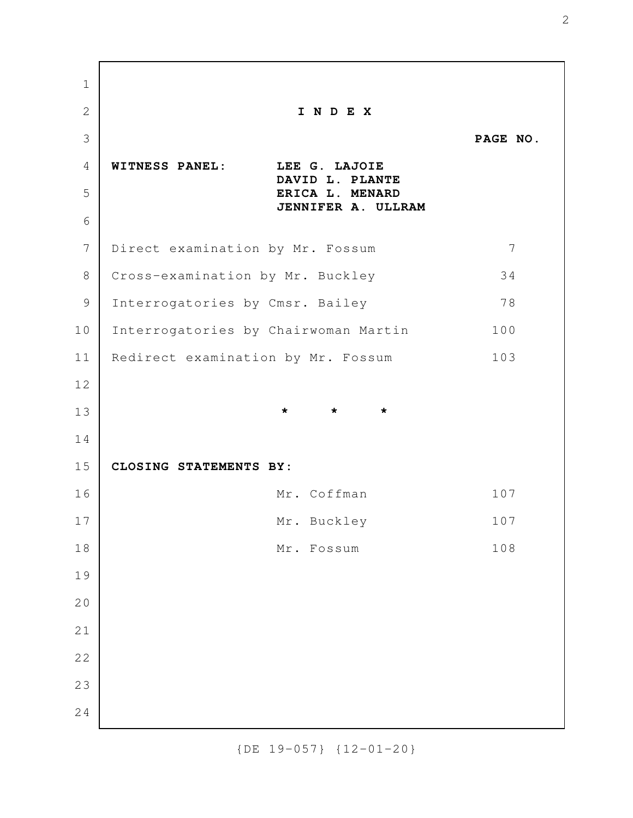**I N D E X PAGE NO. WITNESS PANEL: LEE G. LAJOIE DAVID L. PLANTE ERICA L. MENARD JENNIFER A. ULLRAM** Direct examination by Mr. Fossum 7 Cross-examination by Mr. Buckley 34 Interrogatories by Cmsr. Bailey 78 Interrogatories by Chairwoman Martin 100 Redirect examination by Mr. Fossum 103 **\* \* \* CLOSING STATEMENTS BY:**  Mr. Coffman 107 Mr. Buckley 107 Mr. Fossum 108 1 2 3 4 5 6 7 8 9 10 11 12 13 14 15 16 17 18 19 20 21 22 23 24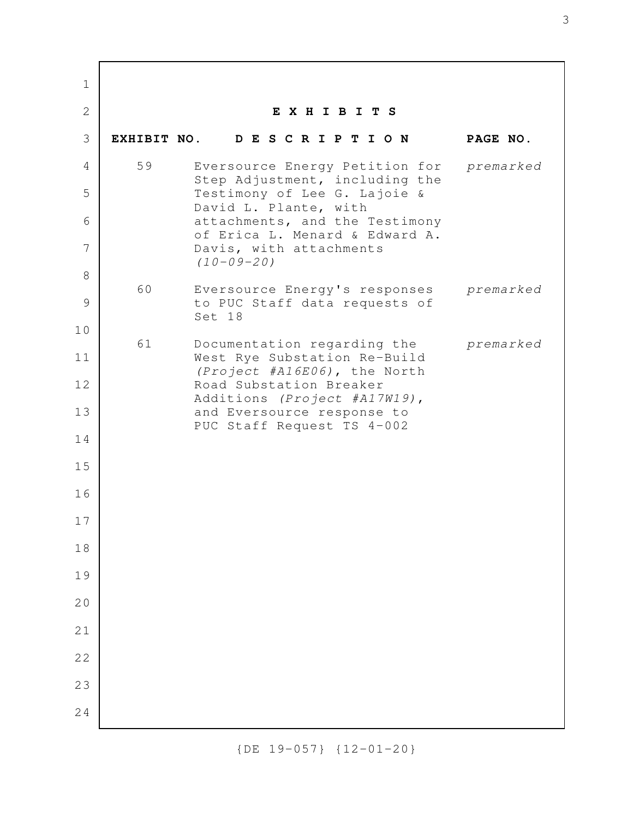**E X H I B I T S EXHIBIT NO. D E S C R I P T I O N PAGE NO.** 59 Eversource Energy Petition for premarked Step Adjustment, including the Testimony of Lee G. Lajoie & David L. Plante, with attachments, and the Testimony of Erica L. Menard & Edward A. Davis, with attachments  $(10-09-20)$  60 Eversource Energy's responses premarked to PUC Staff data requests of Set 18 61 Documentation regarding the premarked West Rye Substation Re-Build (Project #A16E06), the North Road Substation Breaker Additions (Project #A17W19), and Eversource response to PUC Staff Request TS 4-002 1 2 3 4 5 6 7 8 9 10 11 12 13 14 15 16 17 18 19 20 21 22 23 24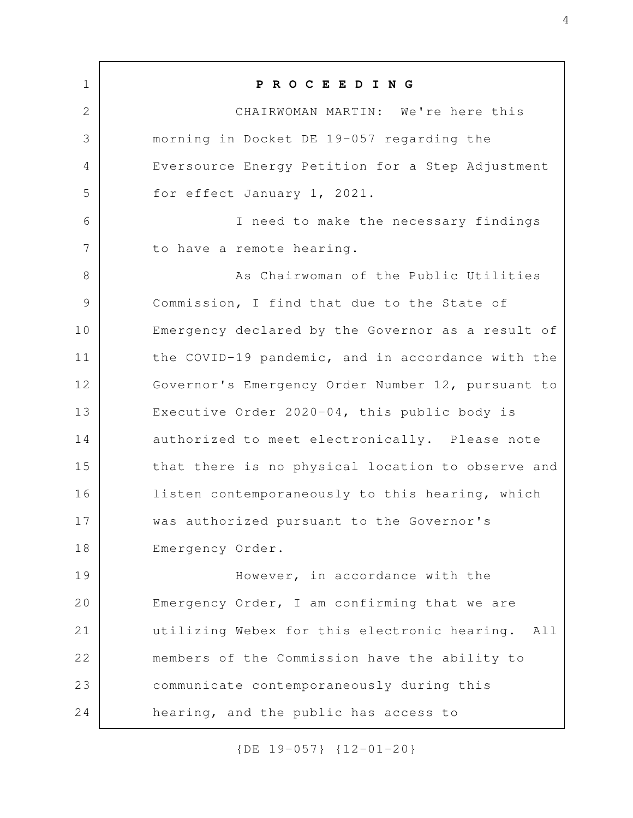**P R O C E E D I N G** CHAIRWOMAN MARTIN: We're here this morning in Docket DE 19-057 regarding the Eversource Energy Petition for a Step Adjustment for effect January 1, 2021. I need to make the necessary findings to have a remote hearing. As Chairwoman of the Public Utilities Commission, I find that due to the State of Emergency declared by the Governor as a result of the COVID-19 pandemic, and in accordance with the Governor's Emergency Order Number 12, pursuant to Executive Order 2020-04, this public body is authorized to meet electronically. Please note that there is no physical location to observe and listen contemporaneously to this hearing, which was authorized pursuant to the Governor's Emergency Order. However, in accordance with the Emergency Order, I am confirming that we are utilizing Webex for this electronic hearing. All members of the Commission have the ability to communicate contemporaneously during this hearing, and the public has access to 1 2 3 4 5 6 7 8 9 10 11 12 13 14 15 16 17 18 19 20 21 22 23 24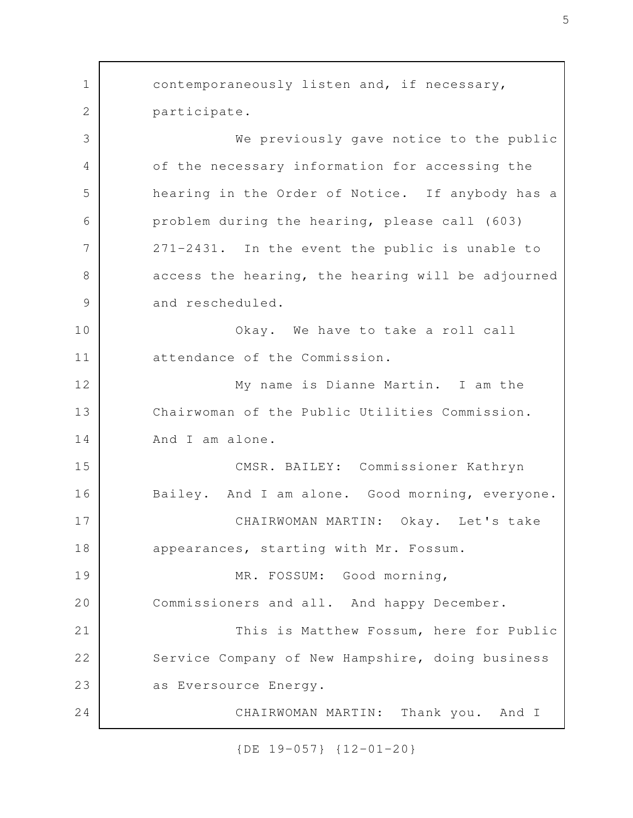contemporaneously listen and, if necessary, participate. We previously gave notice to the public of the necessary information for accessing the hearing in the Order of Notice. If anybody has a problem during the hearing, please call (603) 271-2431. In the event the public is unable to access the hearing, the hearing will be adjourned and rescheduled. Okay. We have to take a roll call attendance of the Commission. My name is Dianne Martin. I am the Chairwoman of the Public Utilities Commission. And I am alone. CMSR. BAILEY: Commissioner Kathryn Bailey. And I am alone. Good morning, everyone. CHAIRWOMAN MARTIN: Okay. Let's take appearances, starting with Mr. Fossum. MR. FOSSUM: Good morning, Commissioners and all. And happy December. This is Matthew Fossum, here for Public Service Company of New Hampshire, doing business as Eversource Energy. CHAIRWOMAN MARTIN: Thank you. And I 1 2 3 4 5 6 7 8 9 10 11 12 13 14 15 16 17 18 19 20 21 22 23 24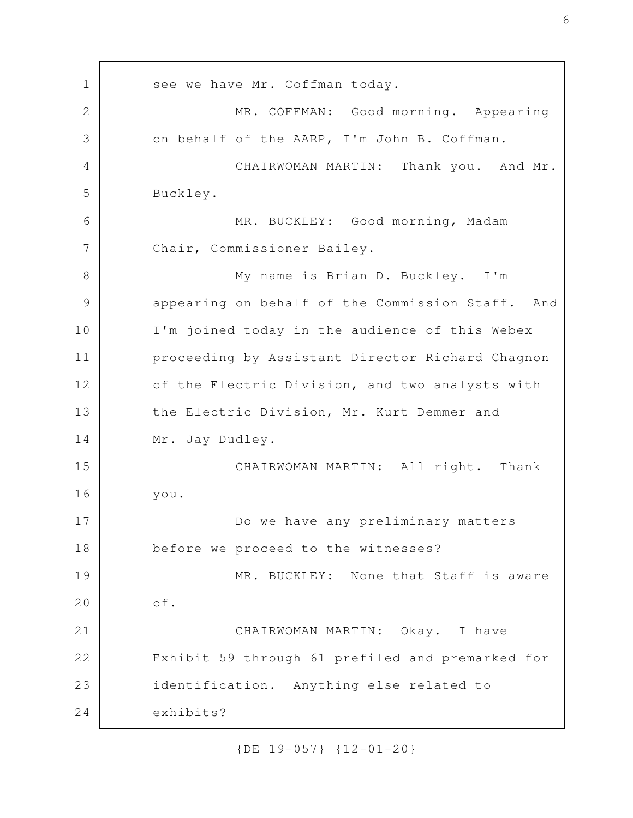see we have Mr. Coffman today. MR. COFFMAN: Good morning. Appearing on behalf of the AARP, I'm John B. Coffman. CHAIRWOMAN MARTIN: Thank you. And Mr. Buckley. MR. BUCKLEY: Good morning, Madam Chair, Commissioner Bailey. My name is Brian D. Buckley. I'm appearing on behalf of the Commission Staff. And I'm joined today in the audience of this Webex proceeding by Assistant Director Richard Chagnon of the Electric Division, and two analysts with the Electric Division, Mr. Kurt Demmer and Mr. Jay Dudley. CHAIRWOMAN MARTIN: All right. Thank you. Do we have any preliminary matters before we proceed to the witnesses? MR. BUCKLEY: None that Staff is aware of. CHAIRWOMAN MARTIN: Okay. I have Exhibit 59 through 61 prefiled and premarked for identification. Anything else related to exhibits? 1 2 3 4 5 6 7 8 9 10 11 12 13 14 15 16 17 18 19 20 21 22 23 24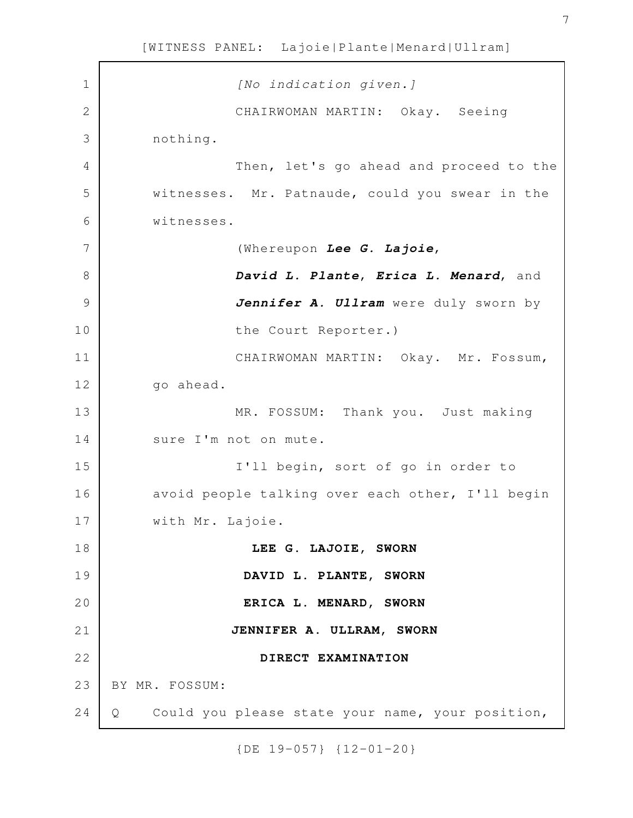[No indication given.] CHAIRWOMAN MARTIN: Okay. Seeing nothing. Then, let's go ahead and proceed to the witnesses. Mr. Patnaude, could you swear in the witnesses. (Whereupon *Lee G. Lajoie*, *David L. Plante*, *Erica L. Menard*, and Jennifer A. Ullram were duly sworn by the Court Reporter.) CHAIRWOMAN MARTIN: Okay. Mr. Fossum, go ahead. MR. FOSSUM: Thank you. Just making sure I'm not on mute. I'll begin, sort of go in order to avoid people talking over each other, I'll begin with Mr. Lajoie. **LEE G. LAJOIE, SWORN DAVID L. PLANTE, SWORN ERICA L. MENARD, SWORN JENNIFER A. ULLRAM, SWORN DIRECT EXAMINATION** BY MR. FOSSUM: Q Could you please state your name, your position, 1 2 3 4 5 6 7 8 9 10 11 12 13 14 15 16 17 18 19 20 21 22 23 24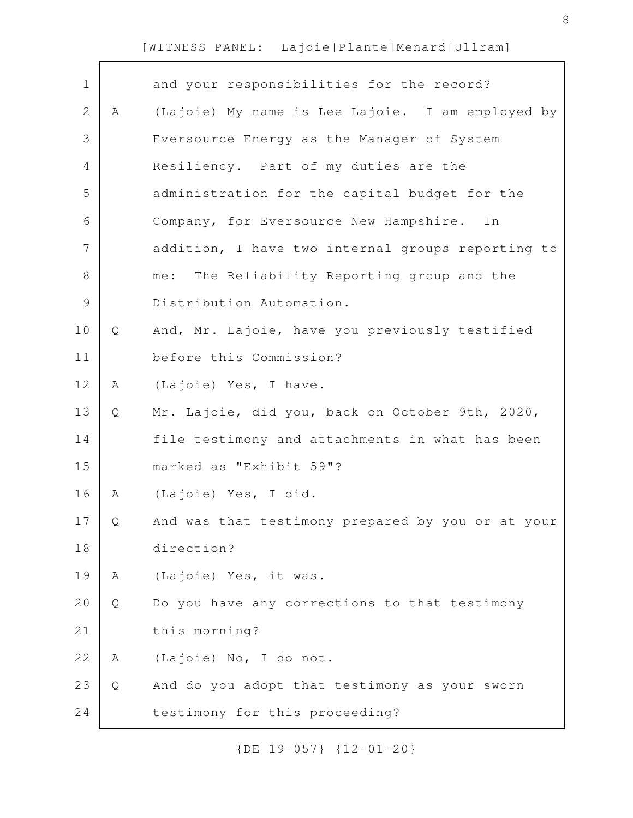| $\mathbf 1$    |   | and your responsibilities for the record?         |
|----------------|---|---------------------------------------------------|
| $\mathbf{2}$   | Α | (Lajoie) My name is Lee Lajoie. I am employed by  |
| 3              |   | Eversource Energy as the Manager of System        |
| 4              |   | Resiliency. Part of my duties are the             |
| 5              |   | administration for the capital budget for the     |
| 6              |   | Company, for Eversource New Hampshire. In         |
| $\overline{7}$ |   | addition, I have two internal groups reporting to |
| $8\,$          |   | The Reliability Reporting group and the<br>me:    |
| $\mathcal{G}$  |   | Distribution Automation.                          |
| 10             | Q | And, Mr. Lajoie, have you previously testified    |
| 11             |   | before this Commission?                           |
| 12             | Α | (Lajoie) Yes, I have.                             |
| 13             | Q | Mr. Lajoie, did you, back on October 9th, 2020,   |
| 14             |   | file testimony and attachments in what has been   |
| 15             |   | marked as "Exhibit 59"?                           |
| 16             | A | (Lajoie) Yes, I did.                              |
| 17             | Q | And was that testimony prepared by you or at your |
| 18             |   | direction?                                        |
| 19             | Α | (Lajoie) Yes, it was.                             |
| 20             | Q | Do you have any corrections to that testimony     |
| 21             |   | this morning?                                     |
| 22             | Α | (Lajoie) No, I do not.                            |
| 23             | Q | And do you adopt that testimony as your sworn     |
| 24             |   | testimony for this proceeding?                    |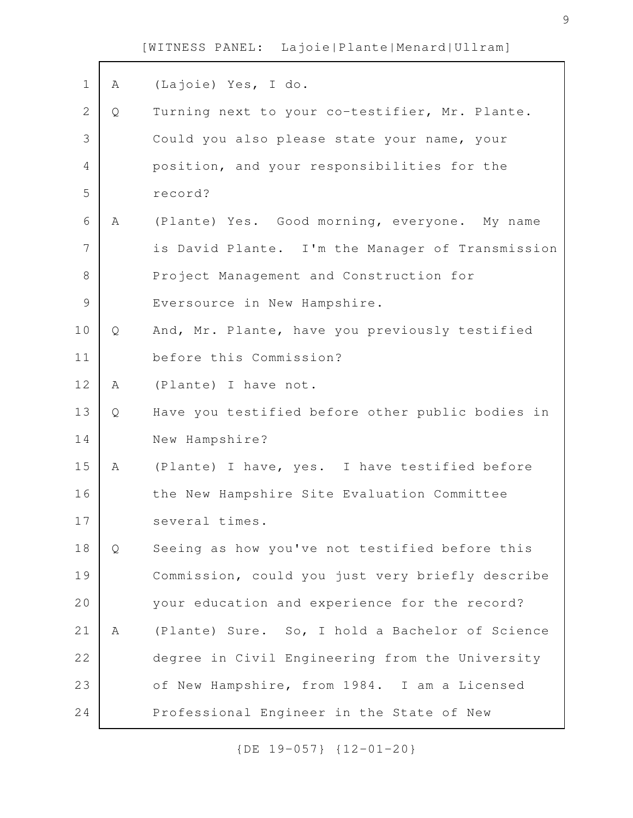| $\mathbf 1$    | A | (Lajoie) Yes, I do.                              |
|----------------|---|--------------------------------------------------|
| $\overline{2}$ | Q | Turning next to your co-testifier, Mr. Plante.   |
| 3              |   | Could you also please state your name, your      |
| 4              |   | position, and your responsibilities for the      |
| 5              |   | record?                                          |
| 6              | A | (Plante) Yes. Good morning, everyone. My name    |
| 7              |   | is David Plante. I'm the Manager of Transmission |
| 8              |   | Project Management and Construction for          |
| $\mathcal{G}$  |   | Eversource in New Hampshire.                     |
| 10             | Q | And, Mr. Plante, have you previously testified   |
| 11             |   | before this Commission?                          |
| 12             | Α | (Plante) I have not.                             |
| 13             | Q | Have you testified before other public bodies in |
| 14             |   | New Hampshire?                                   |
| 15             | Α | (Plante) I have, yes. I have testified before    |
| 16             |   | the New Hampshire Site Evaluation Committee      |
| 17             |   | several times.                                   |
| 18             | Q | Seeing as how you've not testified before this   |
| 19             |   | Commission, could you just very briefly describe |
| 20             |   | your education and experience for the record?    |
| 21             | Α | (Plante) Sure. So, I hold a Bachelor of Science  |
| 22             |   | degree in Civil Engineering from the University  |
| 23             |   | of New Hampshire, from 1984. I am a Licensed     |
| 24             |   | Professional Engineer in the State of New        |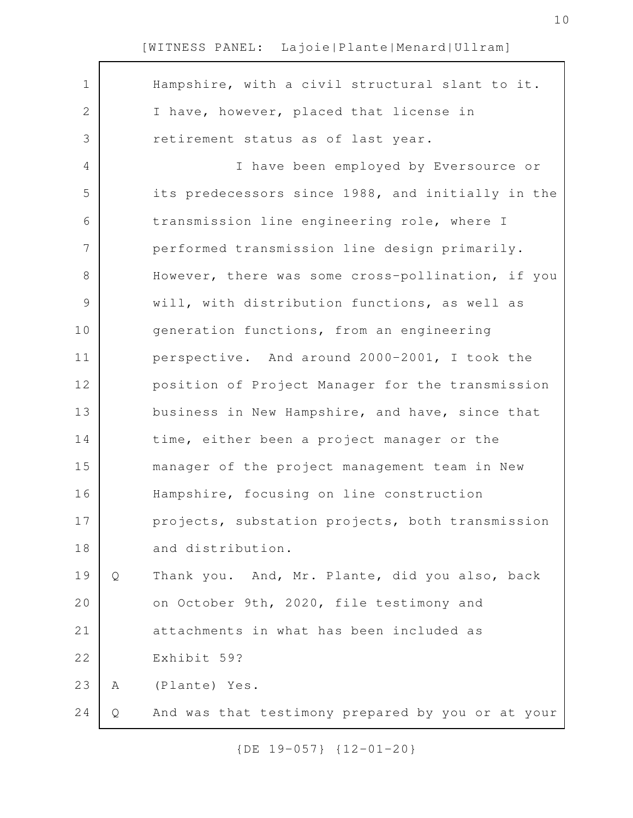| $\mathbf 1$ |   | Hampshire, with a civil structural slant to it.   |
|-------------|---|---------------------------------------------------|
| 2           |   | I have, however, placed that license in           |
| 3           |   | retirement status as of last year.                |
| 4           |   | I have been employed by Eversource or             |
| 5           |   | its predecessors since 1988, and initially in the |
| 6           |   | transmission line engineering role, where I       |
| 7           |   | performed transmission line design primarily.     |
| 8           |   | However, there was some cross-pollination, if you |
| $\mathsf 9$ |   | will, with distribution functions, as well as     |
| 10          |   | generation functions, from an engineering         |
| 11          |   | perspective. And around 2000-2001, I took the     |
| 12          |   | position of Project Manager for the transmission  |
| 13          |   | business in New Hampshire, and have, since that   |
| 14          |   | time, either been a project manager or the        |
| 15          |   | manager of the project management team in New     |
| 16          |   | Hampshire, focusing on line construction          |
| 17          |   | projects, substation projects, both transmission  |
| 18          |   | and distribution.                                 |
| 19          | Q | Thank you. And, Mr. Plante, did you also, back    |
| 20          |   | on October 9th, 2020, file testimony and          |
| 21          |   | attachments in what has been included as          |
| 22          |   | Exhibit 59?                                       |
| 23          | Α | (Plante) Yes.                                     |
| 24          | Q | And was that testimony prepared by you or at your |
|             |   |                                                   |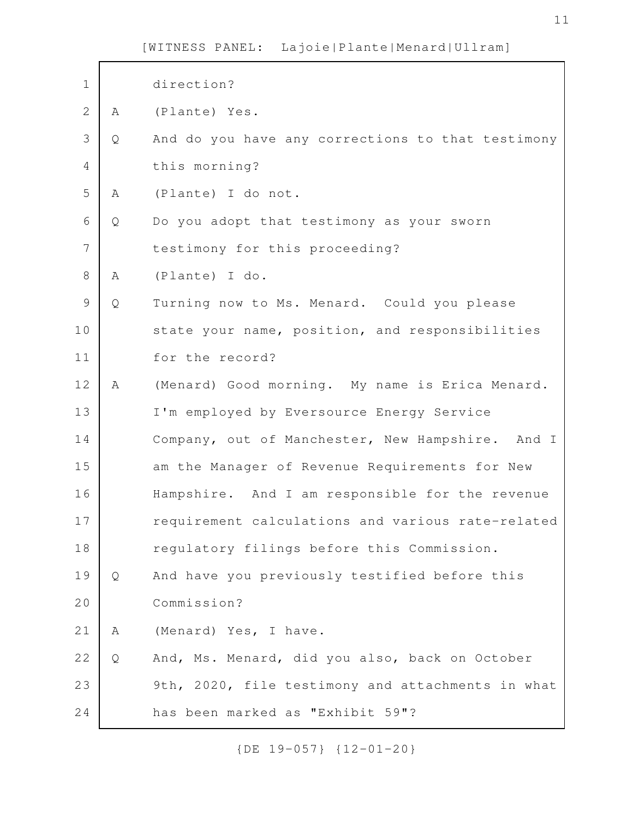| $\mathbf 1$    |   | direction?                                        |
|----------------|---|---------------------------------------------------|
| $\overline{2}$ | Α | (Plante) Yes.                                     |
| 3              | Q | And do you have any corrections to that testimony |
| $\overline{4}$ |   | this morning?                                     |
| 5              | Α | (Plante) I do not.                                |
| 6              | Q | Do you adopt that testimony as your sworn         |
| 7              |   | testimony for this proceeding?                    |
| 8              | Α | (Plante) I do.                                    |
| $\mathcal{G}$  | Q | Turning now to Ms. Menard. Could you please       |
| 10             |   | state your name, position, and responsibilities   |
| 11             |   | for the record?                                   |
| 12             | Α | (Menard) Good morning. My name is Erica Menard.   |
| 13             |   | I'm employed by Eversource Energy Service         |
| 14             |   | Company, out of Manchester, New Hampshire. And I  |
| 15             |   | am the Manager of Revenue Requirements for New    |
| 16             |   | Hampshire. And I am responsible for the revenue   |
| $17$           |   | requirement calculations and various rate-related |
| 18             |   | regulatory filings before this Commission.        |
| 19             | Q | And have you previously testified before this     |
| 20             |   | Commission?                                       |
| 21             | Α | (Menard) Yes, I have.                             |
| 22             | Q | And, Ms. Menard, did you also, back on October    |
| 23             |   | 9th, 2020, file testimony and attachments in what |
| 24             |   | has been marked as "Exhibit 59"?                  |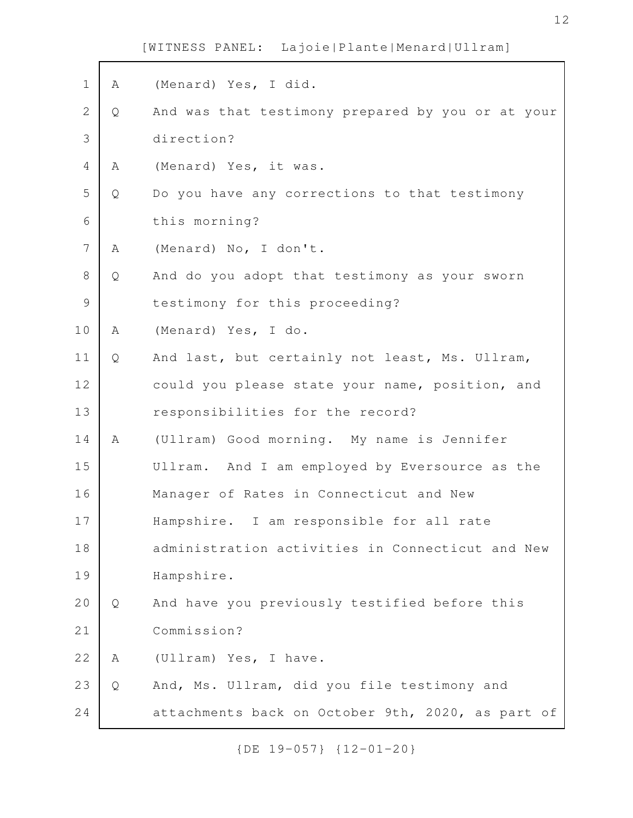$\mathbf{r}$ 

| Α | (Menard) Yes, I did.                              |
|---|---------------------------------------------------|
| Q | And was that testimony prepared by you or at your |
|   | direction?                                        |
| Α | (Menard) Yes, it was.                             |
| Q | Do you have any corrections to that testimony     |
|   | this morning?                                     |
| A | (Menard) No, I don't.                             |
| Q | And do you adopt that testimony as your sworn     |
|   | testimony for this proceeding?                    |
| Α | (Menard) Yes, I do.                               |
| Q | And last, but certainly not least, Ms. Ullram,    |
|   | could you please state your name, position, and   |
|   | responsibilities for the record?                  |
| Α | (Ullram) Good morning. My name is Jennifer        |
|   | Ullram. And I am employed by Eversource as the    |
|   | Manager of Rates in Connecticut and New           |
|   | Hampshire. I am responsible for all rate          |
|   | administration activities in Connecticut and New  |
|   | Hampshire.                                        |
| Q | And have you previously testified before this     |
|   | Commission?                                       |
| Α | (Ullram) Yes, I have.                             |
| Q | And, Ms. Ullram, did you file testimony and       |
|   | attachments back on October 9th, 2020, as part of |
|   |                                                   |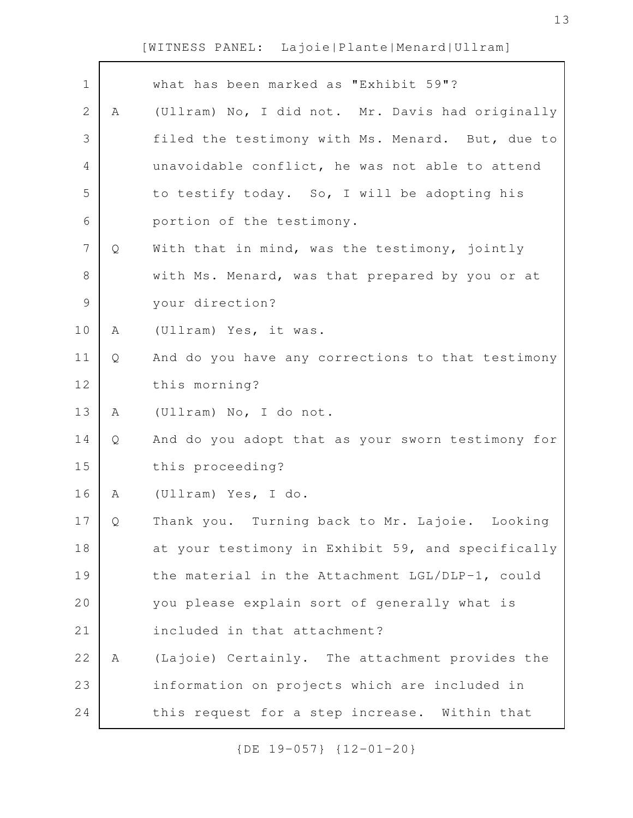| $\mathbf 1$    |   | what has been marked as "Exhibit 59"?             |
|----------------|---|---------------------------------------------------|
| $\mathbf{2}$   | A | (Ullram) No, I did not. Mr. Davis had originally  |
| 3              |   | filed the testimony with Ms. Menard. But, due to  |
| 4              |   | unavoidable conflict, he was not able to attend   |
| 5              |   | to testify today. So, I will be adopting his      |
| 6              |   | portion of the testimony.                         |
| $\overline{7}$ | Q | With that in mind, was the testimony, jointly     |
| 8              |   | with Ms. Menard, was that prepared by you or at   |
| $\mathcal{G}$  |   | your direction?                                   |
| 10             | Α | (Ullram) Yes, it was.                             |
| 11             | Q | And do you have any corrections to that testimony |
| 12             |   | this morning?                                     |
| 13             | A | (Ullram) No, I do not.                            |
| 14             | Q | And do you adopt that as your sworn testimony for |
| 15             |   | this proceeding?                                  |
| 16             | Α | (Ullram) Yes, I do.                               |
| 17             | Q | Thank you. Turning back to Mr. Lajoie. Looking    |
| 18             |   | at your testimony in Exhibit 59, and specifically |
| 19             |   | the material in the Attachment LGL/DLP-1, could   |
| 20             |   | you please explain sort of generally what is      |
| 21             |   | included in that attachment?                      |
| 22             | A | (Lajoie) Certainly. The attachment provides the   |
| 23             |   | information on projects which are included in     |
| 24             |   | this request for a step increase. Within that     |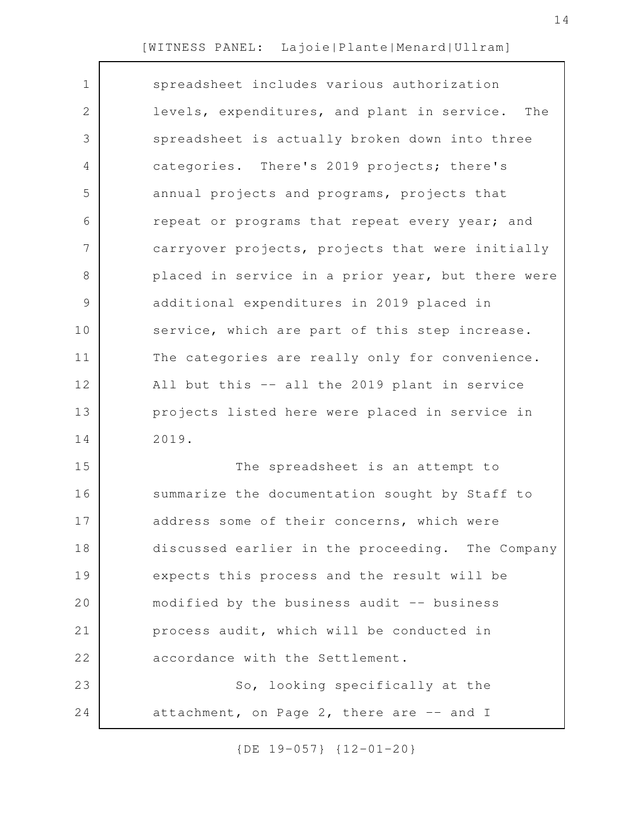| $\mathbf 1$  | spreadsheet includes various authorization         |
|--------------|----------------------------------------------------|
| $\mathbf{2}$ | levels, expenditures, and plant in service.<br>The |
| 3            | spreadsheet is actually broken down into three     |
| 4            | categories. There's 2019 projects; there's         |
| 5            | annual projects and programs, projects that        |
| 6            | repeat or programs that repeat every year; and     |
| 7            | carryover projects, projects that were initially   |
| $8\,$        | placed in service in a prior year, but there were  |
| 9            | additional expenditures in 2019 placed in          |
| 10           | service, which are part of this step increase.     |
| 11           | The categories are really only for convenience.    |
| 12           | All but this -- all the 2019 plant in service      |
| 13           | projects listed here were placed in service in     |
| 14           | 2019.                                              |
| 15           | The spreadsheet is an attempt to                   |
| 16           | summarize the documentation sought by Staff to     |
| 17           | address some of their concerns, which were         |
| 18           | discussed earlier in the proceeding. The Company   |
| 19           | expects this process and the result will be        |
| 20           | modified by the business audit -- business         |
| 21           | process audit, which will be conducted in          |
| 22           | accordance with the Settlement.                    |
| 23           | So, looking specifically at the                    |
| 24           | attachment, on Page 2, there are -- and I          |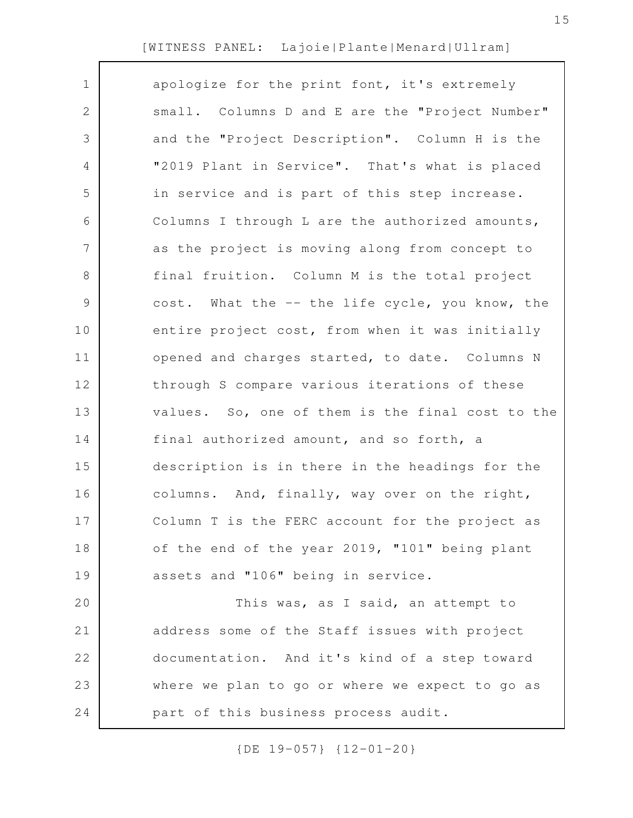| $\mathbf 1$  | apologize for the print font, it's extremely     |
|--------------|--------------------------------------------------|
| $\mathbf{2}$ | small. Columns D and E are the "Project Number"  |
| 3            | and the "Project Description". Column H is the   |
| 4            | "2019 Plant in Service". That's what is placed   |
| 5            | in service and is part of this step increase.    |
| 6            | Columns I through L are the authorized amounts,  |
| 7            | as the project is moving along from concept to   |
| 8            | final fruition. Column M is the total project    |
| $\mathsf 9$  | cost. What the -- the life cycle, you know, the  |
| 10           | entire project cost, from when it was initially  |
| 11           | opened and charges started, to date. Columns N   |
| 12           | through S compare various iterations of these    |
| 13           | values. So, one of them is the final cost to the |
| 14           | final authorized amount, and so forth, a         |
| 15           | description is in there in the headings for the  |
| 16           | columns. And, finally, way over on the right,    |
| 17           | Column T is the FERC account for the project as  |
| 18           | of the end of the year 2019, "101" being plant   |
| 19           | assets and "106" being in service.               |
| 20           | This was, as I said, an attempt to               |
| 21           | address some of the Staff issues with project    |
| 22           | documentation. And it's kind of a step toward    |
| 23           | where we plan to go or where we expect to go as  |
| 24           | part of this business process audit.             |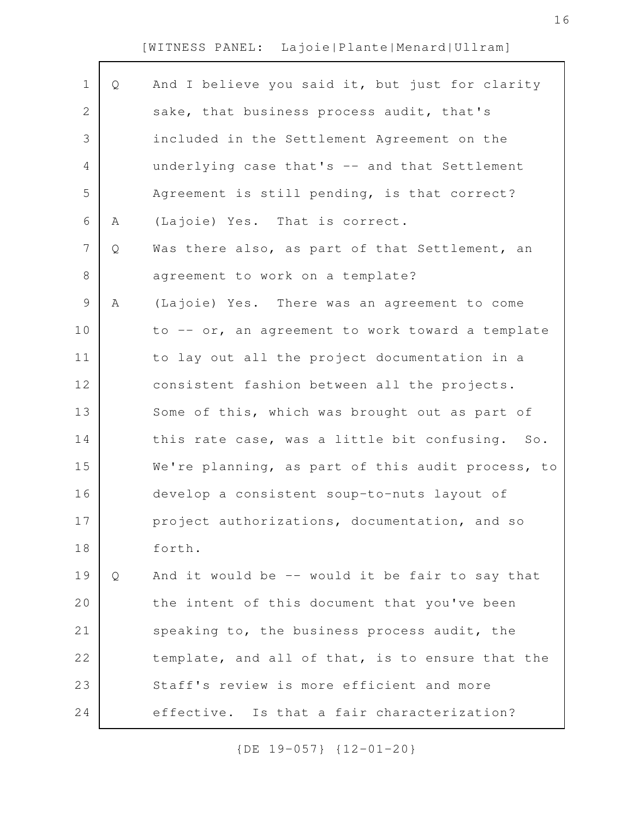| $\mathbf 1$  | Q | And I believe you said it, but just for clarity   |
|--------------|---|---------------------------------------------------|
| $\mathbf{2}$ |   | sake, that business process audit, that's         |
| 3            |   | included in the Settlement Agreement on the       |
| 4            |   | underlying case that's -- and that Settlement     |
| 5            |   | Agreement is still pending, is that correct?      |
| 6            | Α | (Lajoie) Yes. That is correct.                    |
| 7            | Q | Was there also, as part of that Settlement, an    |
| 8            |   | agreement to work on a template?                  |
| 9            | Α | (Lajoie) Yes. There was an agreement to come      |
| 10           |   | to -- or, an agreement to work toward a template  |
| 11           |   | to lay out all the project documentation in a     |
| 12           |   | consistent fashion between all the projects.      |
| 13           |   | Some of this, which was brought out as part of    |
| 14           |   | this rate case, was a little bit confusing. So.   |
| 15           |   | We're planning, as part of this audit process, to |
| 16           |   | develop a consistent soup-to-nuts layout of       |
| 17           |   | project authorizations, documentation, and so     |
| 18           |   | forth.                                            |
| 19           | Q | And it would be -- would it be fair to say that   |
| 20           |   | the intent of this document that you've been      |
| 21           |   | speaking to, the business process audit, the      |
| 22           |   | template, and all of that, is to ensure that the  |
| 23           |   | Staff's review is more efficient and more         |
| 24           |   | effective. Is that a fair characterization?       |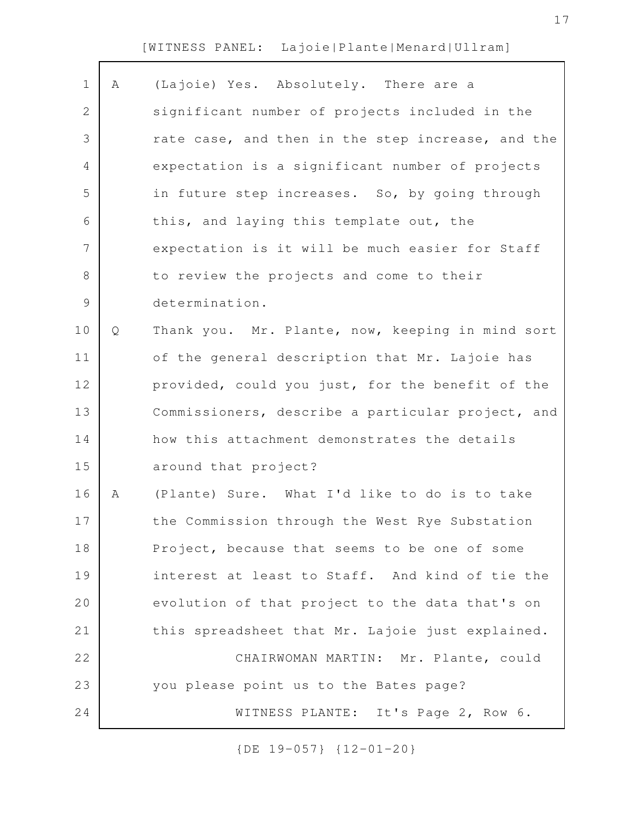| $\mathbf 1$   | Α | (Lajoie) Yes. Absolutely. There are a             |
|---------------|---|---------------------------------------------------|
| 2             |   | significant number of projects included in the    |
| 3             |   | rate case, and then in the step increase, and the |
| 4             |   | expectation is a significant number of projects   |
| 5             |   | in future step increases. So, by going through    |
| 6             |   | this, and laying this template out, the           |
| 7             |   | expectation is it will be much easier for Staff   |
| 8             |   | to review the projects and come to their          |
| $\mathcal{G}$ |   | determination.                                    |
| 10            | Q | Thank you. Mr. Plante, now, keeping in mind sort  |
| 11            |   | of the general description that Mr. Lajoie has    |
| 12            |   | provided, could you just, for the benefit of the  |
| 13            |   | Commissioners, describe a particular project, and |
| 14            |   | how this attachment demonstrates the details      |
| 15            |   | around that project?                              |
| 16            | Α | (Plante) Sure. What I'd like to do is to take     |
| 17            |   | the Commission through the West Rye Substation    |
| 18            |   | Project, because that seems to be one of some     |
| 19            |   | interest at least to Staff. And kind of tie the   |
| 20            |   | evolution of that project to the data that's on   |
| 21            |   | this spreadsheet that Mr. Lajoie just explained.  |
| 22            |   | CHAIRWOMAN MARTIN: Mr. Plante, could              |
| 23            |   | you please point us to the Bates page?            |
| 24            |   | WITNESS PLANTE: It's Page 2, Row 6.               |
|               |   |                                                   |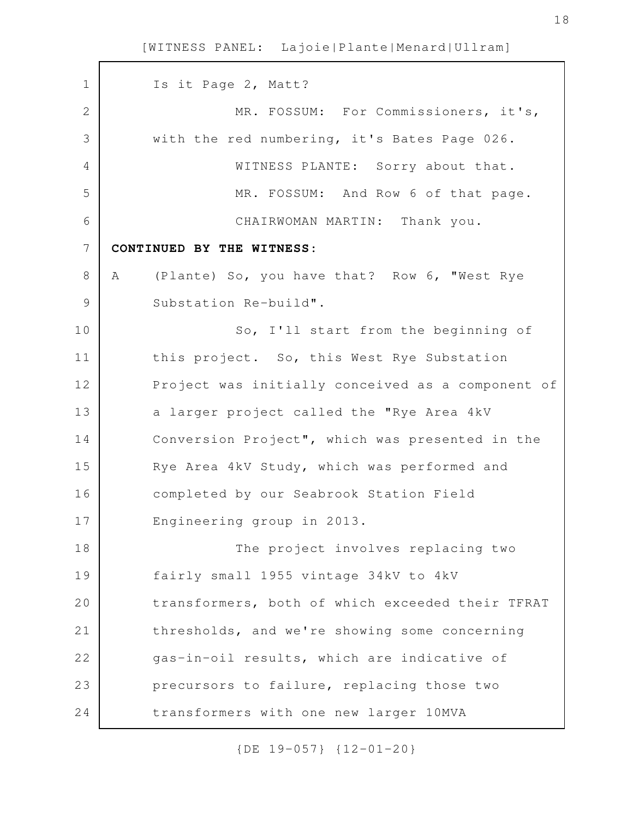Is it Page 2, Matt? MR. FOSSUM: For Commissioners, it's, with the red numbering, it's Bates Page 026. WITNESS PLANTE: Sorry about that. MR. FOSSUM: And Row 6 of that page. CHAIRWOMAN MARTIN: Thank you. **CONTINUED BY THE WITNESS:** A (Plante) So, you have that? Row 6, "West Rye Substation Re-build". So, I'll start from the beginning of this project. So, this West Rye Substation Project was initially conceived as a component of a larger project called the "Rye Area 4kV Conversion Project", which was presented in the Rye Area 4kV Study, which was performed and completed by our Seabrook Station Field Engineering group in 2013. The project involves replacing two fairly small 1955 vintage 34kV to 4kV transformers, both of which exceeded their TFRAT thresholds, and we're showing some concerning gas-in-oil results, which are indicative of precursors to failure, replacing those two transformers with one new larger 10MVA 1 2 3 4 5 6 7 8 9 10 11 12 13 14 15 16 17 18 19 20 21 22 23 24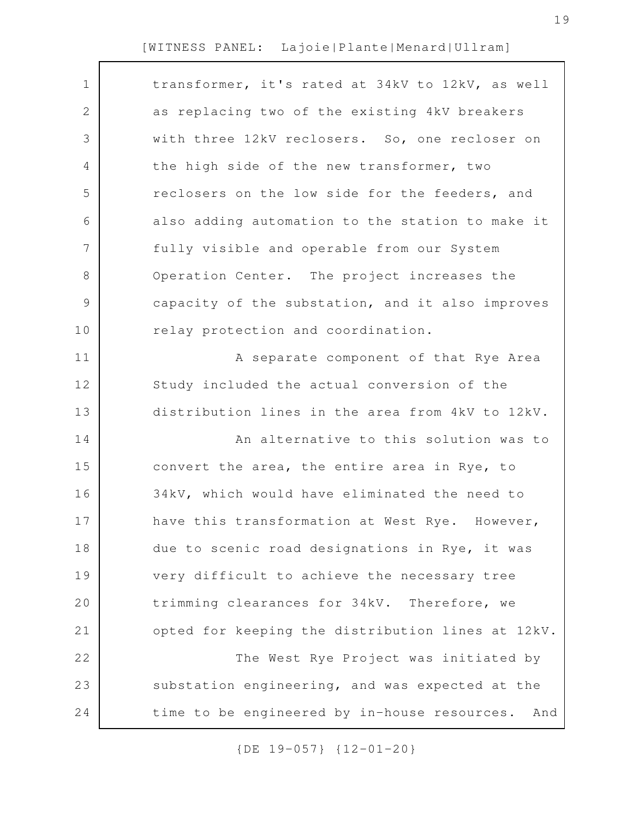| transformer, it's rated at 34kV to 12kV, as well    |
|-----------------------------------------------------|
| as replacing two of the existing 4kV breakers       |
| with three 12kV reclosers. So, one recloser on      |
| the high side of the new transformer, two           |
| reclosers on the low side for the feeders, and      |
| also adding automation to the station to make it    |
| fully visible and operable from our System          |
| Operation Center. The project increases the         |
| capacity of the substation, and it also improves    |
| relay protection and coordination.                  |
| A separate component of that Rye Area               |
| Study included the actual conversion of the         |
| distribution lines in the area from 4kV to 12kV.    |
| An alternative to this solution was to              |
| convert the area, the entire area in Rye, to        |
| 34kV, which would have eliminated the need to       |
| have this transformation at West Rye. However,      |
| due to scenic road designations in Rye, it was      |
| very difficult to achieve the necessary tree        |
| trimming clearances for 34kV. Therefore, we         |
| opted for keeping the distribution lines at 12kV.   |
| The West Rye Project was initiated by               |
| substation engineering, and was expected at the     |
| time to be engineered by in-house resources.<br>And |
|                                                     |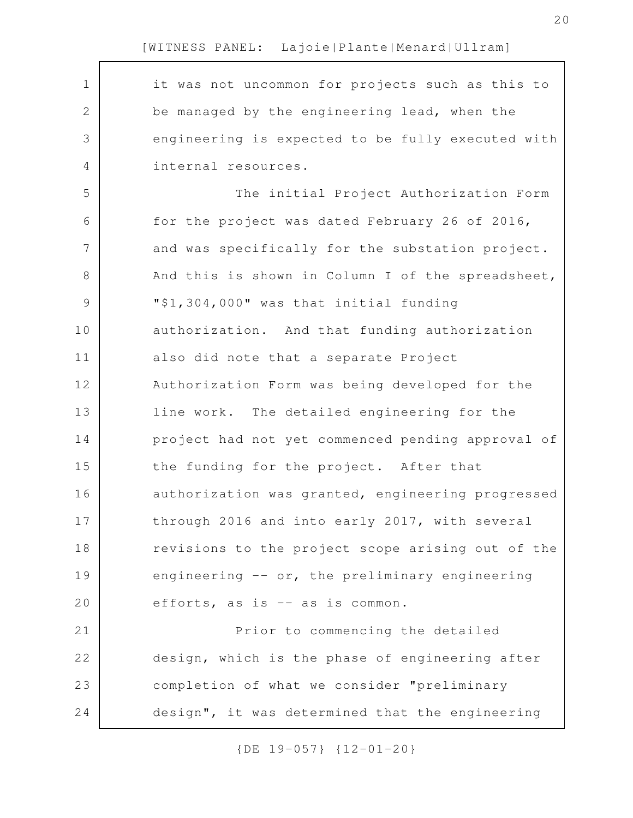it was not uncommon for projects such as this to be managed by the engineering lead, when the engineering is expected to be fully executed with internal resources. The initial Project Authorization Form for the project was dated February 26 of 2016, and was specifically for the substation project. And this is shown in Column I of the spreadsheet, "\$1,304,000" was that initial funding authorization. And that funding authorization also did note that a separate Project Authorization Form was being developed for the line work. The detailed engineering for the project had not yet commenced pending approval of the funding for the project. After that authorization was granted, engineering progressed through 2016 and into early 2017, with several revisions to the project scope arising out of the engineering -- or, the preliminary engineering efforts, as is -- as is common. Prior to commencing the detailed design, which is the phase of engineering after completion of what we consider "preliminary design", it was determined that the engineering 1 2 3 4 5 6 7 8 9 10 11 12 13 14 15 16 17 18 19 20 21 22 23 24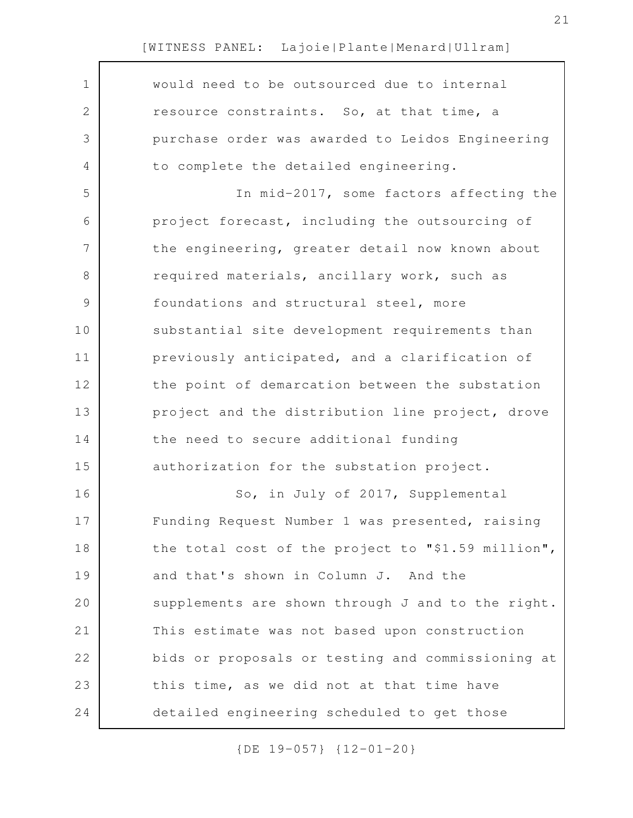| $\mathbf 1$ | would need to be outsourced due to internal        |
|-------------|----------------------------------------------------|
| 2           | resource constraints. So, at that time, a          |
| 3           | purchase order was awarded to Leidos Engineering   |
| 4           | to complete the detailed engineering.              |
| 5           | In mid-2017, some factors affecting the            |
| 6           | project forecast, including the outsourcing of     |
| 7           | the engineering, greater detail now known about    |
| 8           | required materials, ancillary work, such as        |
| $\mathsf 9$ | foundations and structural steel, more             |
| $10$        | substantial site development requirements than     |
| 11          | previously anticipated, and a clarification of     |
| 12          | the point of demarcation between the substation    |
| 13          | project and the distribution line project, drove   |
| 14          | the need to secure additional funding              |
| 15          | authorization for the substation project.          |
| 16          | So, in July of 2017, Supplemental                  |
| 17          | Funding Request Number 1 was presented, raising    |
| 18          | the total cost of the project to "\$1.59 million", |
| 19          | and that's shown in Column J. And the              |
| 20          | supplements are shown through J and to the right.  |
| 21          | This estimate was not based upon construction      |
| 22          | bids or proposals or testing and commissioning at  |
| 23          | this time, as we did not at that time have         |
| 24          | detailed engineering scheduled to get those        |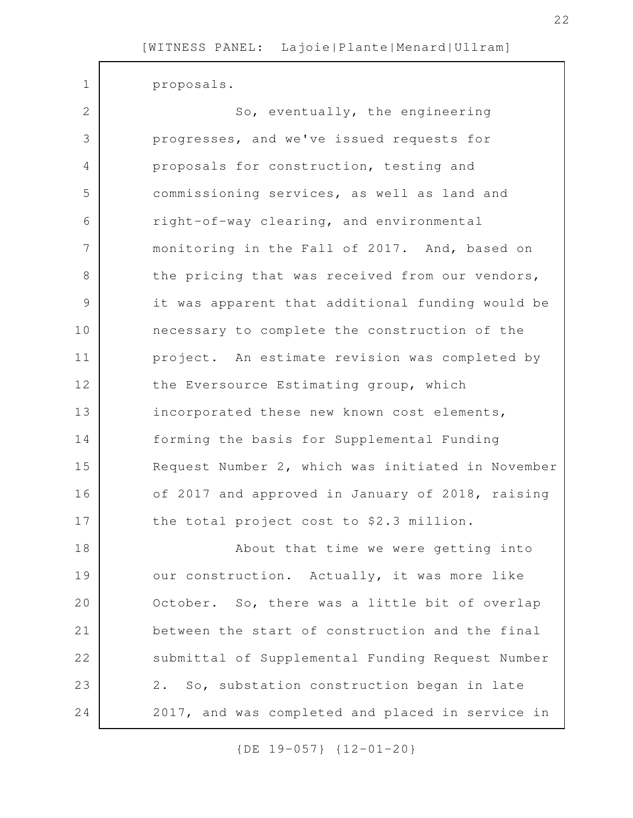proposals.

1

| $\overline{2}$ | So, eventually, the engineering                   |
|----------------|---------------------------------------------------|
| 3              | progresses, and we've issued requests for         |
| 4              | proposals for construction, testing and           |
| 5              | commissioning services, as well as land and       |
| 6              | right-of-way clearing, and environmental          |
| 7              | monitoring in the Fall of 2017. And, based on     |
| 8              | the pricing that was received from our vendors,   |
| $\mathcal{G}$  | it was apparent that additional funding would be  |
| 10             | necessary to complete the construction of the     |
| 11             | project. An estimate revision was completed by    |
| 12             | the Eversource Estimating group, which            |
| 13             | incorporated these new known cost elements,       |
| 14             | forming the basis for Supplemental Funding        |
| 15             | Request Number 2, which was initiated in November |
| 16             | of 2017 and approved in January of 2018, raising  |
| 17             | the total project cost to \$2.3 million.          |
| 18             | About that time we were getting into              |
| 19             | our construction. Actually, it was more like      |
| 20             | October. So, there was a little bit of overlap    |
| 21             | between the start of construction and the final   |
| 22             | submittal of Supplemental Funding Request Number  |
| 23             | 2. So, substation construction began in late      |
| 24             | 2017, and was completed and placed in service in  |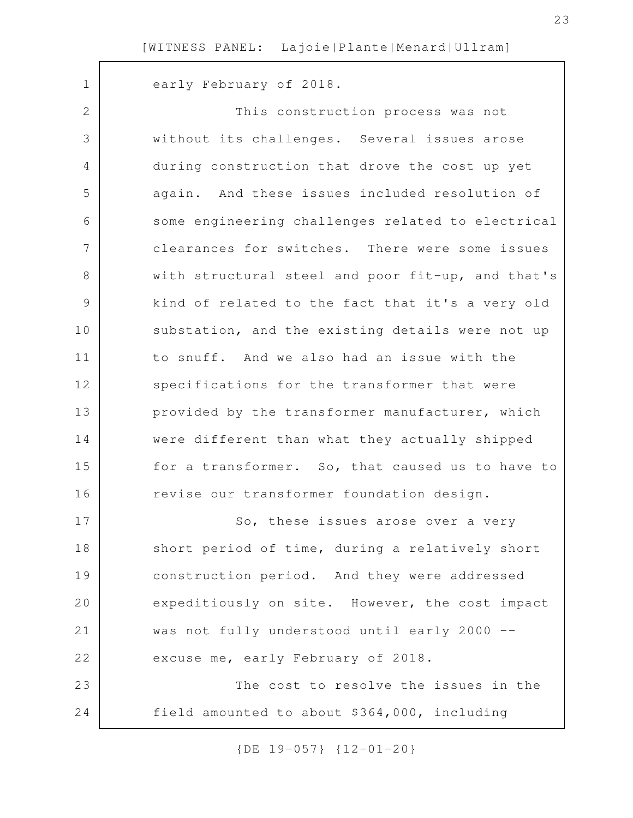early February of 2018. This construction process was not without its challenges. Several issues arose during construction that drove the cost up yet again. And these issues included resolution of some engineering challenges related to electrical clearances for switches. There were some issues with structural steel and poor fit-up, and that's kind of related to the fact that it's a very old substation, and the existing details were not up to snuff. And we also had an issue with the specifications for the transformer that were provided by the transformer manufacturer, which were different than what they actually shipped for a transformer. So, that caused us to have to revise our transformer foundation design. So, these issues arose over a very short period of time, during a relatively short construction period. And they were addressed expeditiously on site. However, the cost impact was not fully understood until early 2000 - excuse me, early February of 2018. The cost to resolve the issues in the field amounted to about \$364,000, including 1 2 3 4 5 6 7 8 9 10 11 12 13 14 15 16 17 18 19 20 21 22 23 24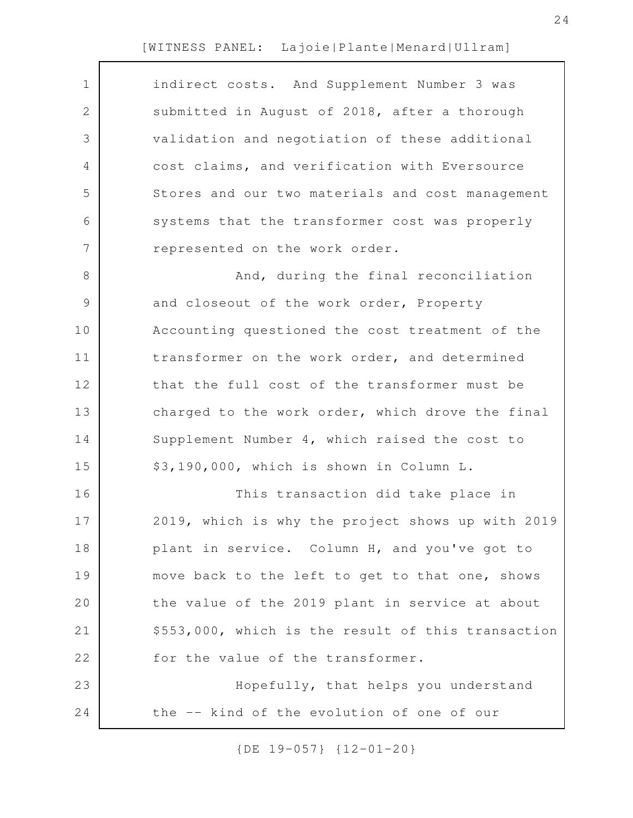| $\mathbf 1$    | indirect costs. And Supplement Number 3 was        |
|----------------|----------------------------------------------------|
| $\mathbf{2}$   | submitted in August of 2018, after a thorough      |
| 3              | validation and negotiation of these additional     |
| 4              | cost claims, and verification with Eversource      |
| 5              | Stores and our two materials and cost management   |
| 6              | systems that the transformer cost was properly     |
| $7\phantom{.}$ | represented on the work order.                     |
| $8\,$          | And, during the final reconciliation               |
| $\mathcal{G}$  | and closeout of the work order, Property           |
| 10             | Accounting questioned the cost treatment of the    |
| 11             | transformer on the work order, and determined      |
| 12             | that the full cost of the transformer must be      |
| 13             | charged to the work order, which drove the final   |
| 14             | Supplement Number 4, which raised the cost to      |
| 15             | \$3,190,000, which is shown in Column L.           |
| 16             | This transaction did take place in                 |
| 17             | 2019, which is why the project shows up with 2019  |
| 18             | plant in service. Column H, and you've got to      |
| 19             | move back to the left to get to that one, shows    |
| 20             | the value of the 2019 plant in service at about    |
| 21             | \$553,000, which is the result of this transaction |
| 22             | for the value of the transformer.                  |
| 23             | Hopefully, that helps you understand               |
| 24             | the -- kind of the evolution of one of our         |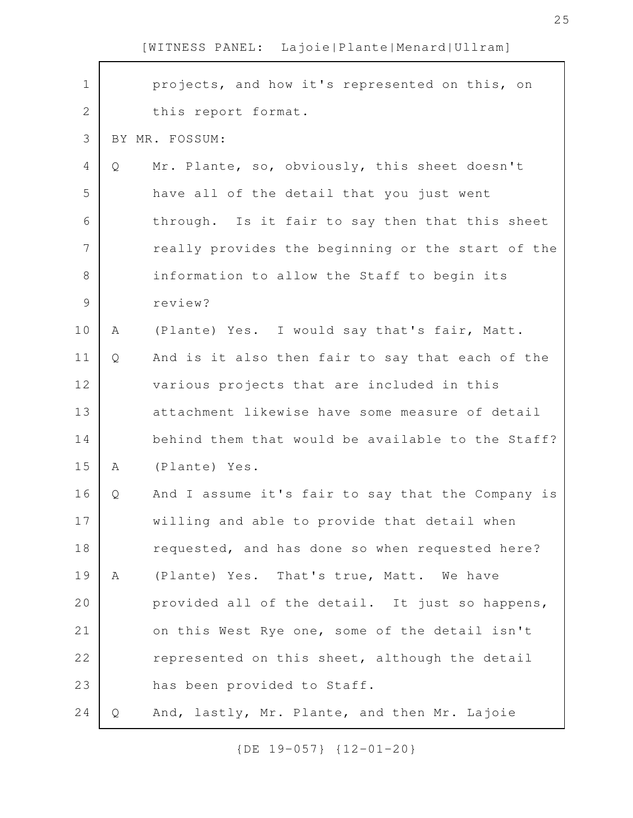| $\mathbf 1$   |   | projects, and how it's represented on this, on    |
|---------------|---|---------------------------------------------------|
| 2             |   | this report format.                               |
| 3             |   | BY MR. FOSSUM:                                    |
| 4             | Q | Mr. Plante, so, obviously, this sheet doesn't     |
| 5             |   | have all of the detail that you just went         |
| 6             |   | through. Is it fair to say then that this sheet   |
| 7             |   | really provides the beginning or the start of the |
| $\,8\,$       |   | information to allow the Staff to begin its       |
| $\mathcal{G}$ |   | review?                                           |
| 10            | Α | (Plante) Yes. I would say that's fair, Matt.      |
| 11            | Q | And is it also then fair to say that each of the  |
| 12            |   | various projects that are included in this        |
| 13            |   | attachment likewise have some measure of detail   |
| 14            |   | behind them that would be available to the Staff? |
| 15            | Α | (Plante) Yes.                                     |
| 16            | Q | And I assume it's fair to say that the Company is |
| 17            |   | willing and able to provide that detail when      |
| 18            |   | requested, and has done so when requested here?   |
| 19            | A | (Plante) Yes. That's true, Matt. We have          |
| 20            |   | provided all of the detail. It just so happens,   |
| 21            |   | on this West Rye one, some of the detail isn't    |
| 22            |   | represented on this sheet, although the detail    |
| 23            |   | has been provided to Staff.                       |
| 24            | Q | And, lastly, Mr. Plante, and then Mr. Lajoie      |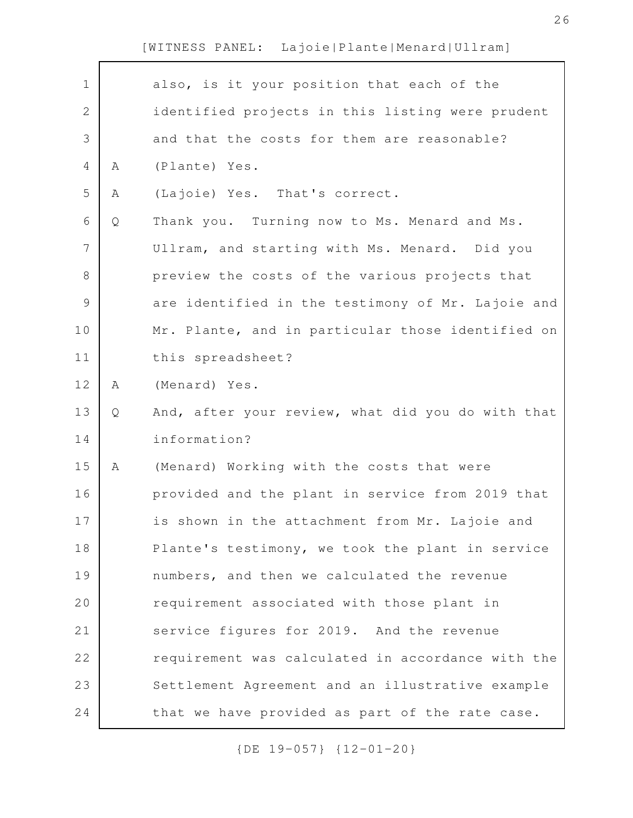Г

| $\mathbf 1$   |   | also, is it your position that each of the        |
|---------------|---|---------------------------------------------------|
| 2             |   | identified projects in this listing were prudent  |
| 3             |   | and that the costs for them are reasonable?       |
| 4             | Α | (Plante) Yes.                                     |
| 5             | Α | (Lajoie) Yes. That's correct.                     |
| 6             | Q | Thank you. Turning now to Ms. Menard and Ms.      |
| 7             |   | Ullram, and starting with Ms. Menard. Did you     |
| 8             |   | preview the costs of the various projects that    |
| $\mathcal{G}$ |   | are identified in the testimony of Mr. Lajoie and |
| 10            |   | Mr. Plante, and in particular those identified on |
| 11            |   | this spreadsheet?                                 |
| 12            | Α | (Menard) Yes.                                     |
| 13            | Q | And, after your review, what did you do with that |
| 14            |   | information?                                      |
| 15            | Α | (Menard) Working with the costs that were         |
| 16            |   | provided and the plant in service from 2019 that  |
| 17            |   | is shown in the attachment from Mr. Lajoie and    |
| 18            |   | Plante's testimony, we took the plant in service  |
| 19            |   | numbers, and then we calculated the revenue       |
| 20            |   | requirement associated with those plant in        |
| 21            |   | service figures for 2019. And the revenue         |
| 22            |   | requirement was calculated in accordance with the |
| 23            |   | Settlement Agreement and an illustrative example  |
| 24            |   | that we have provided as part of the rate case.   |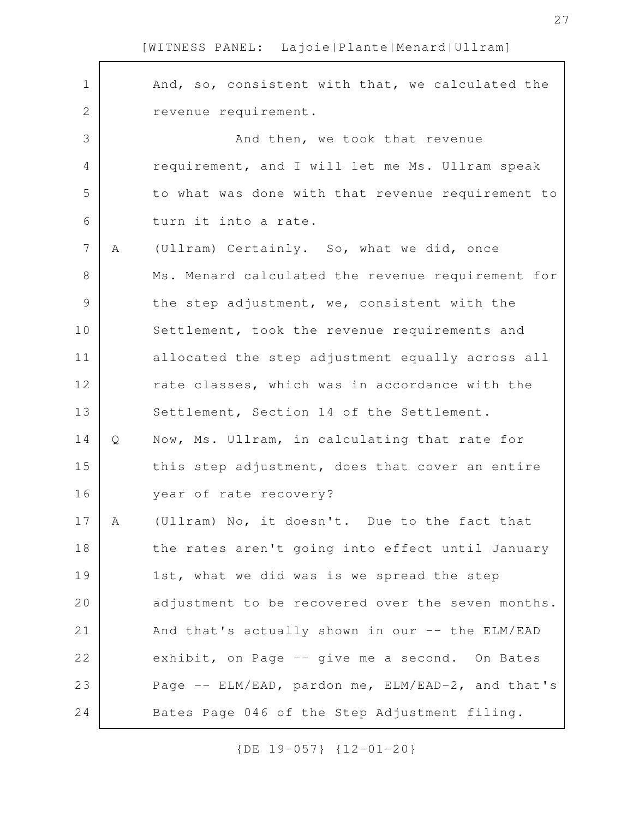| $\mathbf 1$    |   | And, so, consistent with that, we calculated the  |
|----------------|---|---------------------------------------------------|
| $\mathbf{2}$   |   | revenue requirement.                              |
| 3              |   | And then, we took that revenue                    |
| 4              |   | requirement, and I will let me Ms. Ullram speak   |
| 5              |   | to what was done with that revenue requirement to |
| 6              |   | turn it into a rate.                              |
| $7\phantom{.}$ | Α | (Ullram) Certainly. So, what we did, once         |
| $\,8\,$        |   | Ms. Menard calculated the revenue requirement for |
| $\mathcal{G}$  |   | the step adjustment, we, consistent with the      |
| 10             |   | Settlement, took the revenue requirements and     |
| 11             |   | allocated the step adjustment equally across all  |
| 12             |   | rate classes, which was in accordance with the    |
| 13             |   | Settlement, Section 14 of the Settlement.         |
| 14             | Q | Now, Ms. Ullram, in calculating that rate for     |
| 15             |   | this step adjustment, does that cover an entire   |
| 16             |   | year of rate recovery?                            |
| 17             | Α | (Ullram) No, it doesn't. Due to the fact that     |
| 18             |   | the rates aren't going into effect until January  |
| 19             |   | 1st, what we did was is we spread the step        |
| 20             |   | adjustment to be recovered over the seven months. |
| 21             |   | And that's actually shown in our -- the ELM/EAD   |
| 22             |   | exhibit, on Page -- give me a second. On Bates    |
| 23             |   | Page -- ELM/EAD, pardon me, ELM/EAD-2, and that's |
| 24             |   | Bates Page 046 of the Step Adjustment filing.     |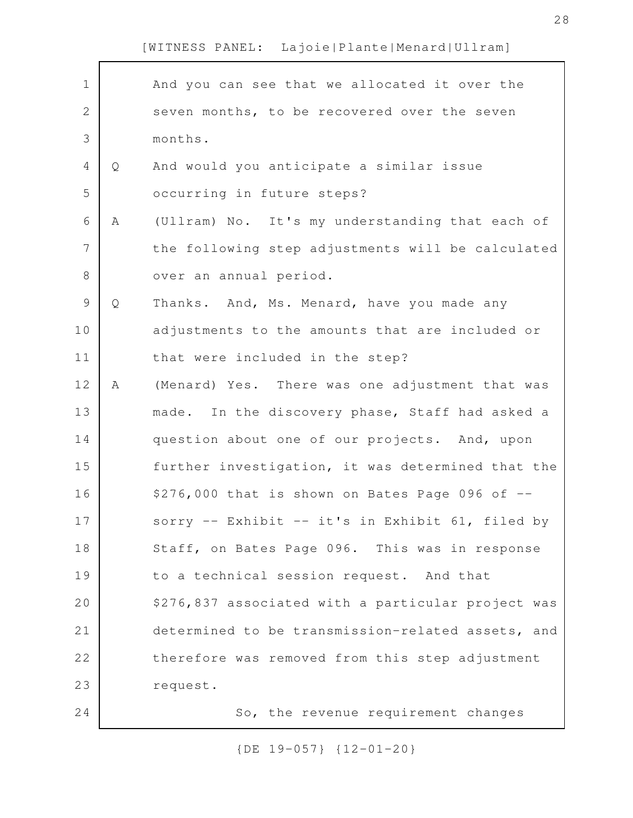| $\mathbf 1$  |   | And you can see that we allocated it over the      |
|--------------|---|----------------------------------------------------|
| $\mathbf{2}$ |   | seven months, to be recovered over the seven       |
| 3            |   | months.                                            |
| 4            | Q | And would you anticipate a similar issue           |
| 5            |   | occurring in future steps?                         |
| 6            | A | (Ullram) No. It's my understanding that each of    |
| 7            |   | the following step adjustments will be calculated  |
| $8\,$        |   | over an annual period.                             |
| $\mathsf 9$  | Q | Thanks. And, Ms. Menard, have you made any         |
| 10           |   | adjustments to the amounts that are included or    |
| 11           |   | that were included in the step?                    |
| 12           | Α | (Menard) Yes. There was one adjustment that was    |
| 13           |   | made. In the discovery phase, Staff had asked a    |
| 14           |   | question about one of our projects. And, upon      |
| 15           |   | further investigation, it was determined that the  |
| 16           |   | \$276,000 that is shown on Bates Page 096 of --    |
| 17           |   | sorry -- Exhibit -- it's in Exhibit 61, filed by   |
| 18           |   | Staff, on Bates Page 096. This was in response     |
| 19           |   | to a technical session request. And that           |
| 20           |   | \$276,837 associated with a particular project was |
| 21           |   | determined to be transmission-related assets, and  |
| 22           |   | therefore was removed from this step adjustment    |
| 23           |   | request.                                           |
| 24           |   | So, the revenue requirement changes                |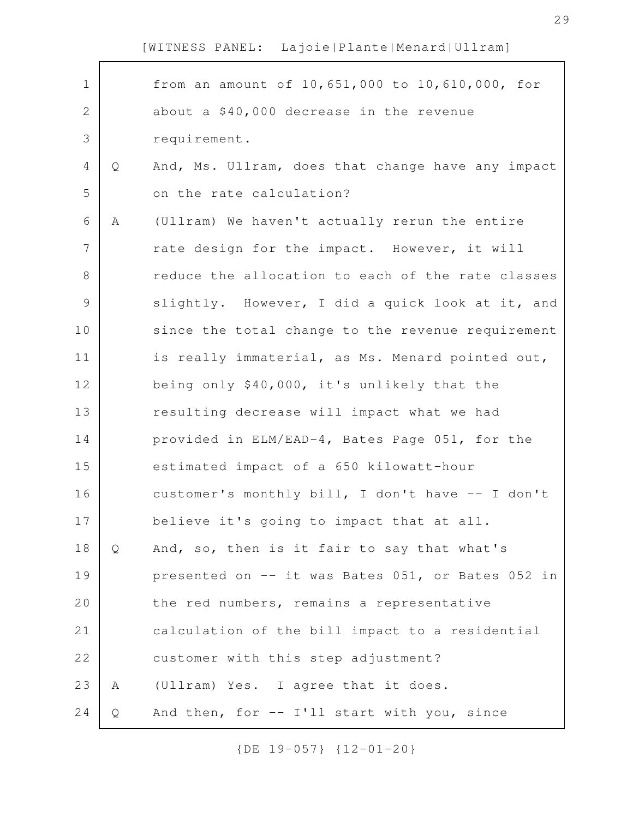Г

| $\mathbf 1$   |   | from an amount of 10,651,000 to 10,610,000, for   |
|---------------|---|---------------------------------------------------|
| $\mathbf{2}$  |   | about a \$40,000 decrease in the revenue          |
| 3             |   | requirement.                                      |
| 4             | Q | And, Ms. Ullram, does that change have any impact |
| 5             |   | on the rate calculation?                          |
| 6             | Α | (Ullram) We haven't actually rerun the entire     |
| 7             |   | rate design for the impact. However, it will      |
| 8             |   | reduce the allocation to each of the rate classes |
| $\mathcal{G}$ |   | slightly. However, I did a quick look at it, and  |
| 10            |   | since the total change to the revenue requirement |
| 11            |   | is really immaterial, as Ms. Menard pointed out,  |
| 12            |   | being only \$40,000, it's unlikely that the       |
| 13            |   | resulting decrease will impact what we had        |
| 14            |   | provided in ELM/EAD-4, Bates Page 051, for the    |
| 15            |   | estimated impact of a 650 kilowatt-hour           |
| 16            |   | customer's monthly bill, I don't have -- I don't  |
| 17            |   | believe it's going to impact that at all.         |
| 18            | Q | And, so, then is it fair to say that what's       |
| 19            |   | presented on -- it was Bates 051, or Bates 052 in |
| 20            |   | the red numbers, remains a representative         |
| 21            |   | calculation of the bill impact to a residential   |
| 22            |   | customer with this step adjustment?               |
| 23            | A | (Ullram) Yes. I agree that it does.               |
|               |   |                                                   |
| 24            | Q | And then, for -- I'll start with you, since       |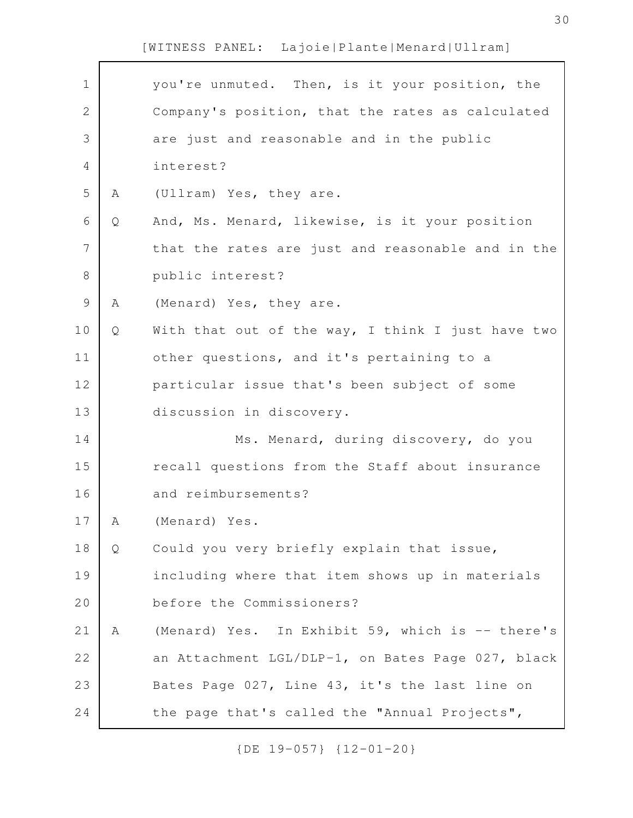| $\mathbf 1$   |   | you're unmuted. Then, is it your position, the    |
|---------------|---|---------------------------------------------------|
| $\mathbf{2}$  |   | Company's position, that the rates as calculated  |
| 3             |   | are just and reasonable and in the public         |
| 4             |   | interest?                                         |
| 5             | Α | (Ullram) Yes, they are.                           |
| 6             | Q | And, Ms. Menard, likewise, is it your position    |
| 7             |   | that the rates are just and reasonable and in the |
| 8             |   | public interest?                                  |
| $\mathcal{G}$ | Α | (Menard) Yes, they are.                           |
| 10            | Q | With that out of the way, I think I just have two |
| 11            |   | other questions, and it's pertaining to a         |
| 12            |   | particular issue that's been subject of some      |
| 13            |   | discussion in discovery.                          |
| 14            |   | Ms. Menard, during discovery, do you              |
| 15            |   | recall questions from the Staff about insurance   |
| 16            |   | and reimbursements?                               |
| 17            | Α | (Menard) Yes.                                     |
| 18            | Q | Could you very briefly explain that issue,        |
| 19            |   | including where that item shows up in materials   |
| 20            |   | before the Commissioners?                         |
| 21            | Α | (Menard) Yes. In Exhibit 59, which is -- there's  |
| 22            |   | an Attachment LGL/DLP-1, on Bates Page 027, black |
| 23            |   | Bates Page 027, Line 43, it's the last line on    |
| 24            |   | the page that's called the "Annual Projects",     |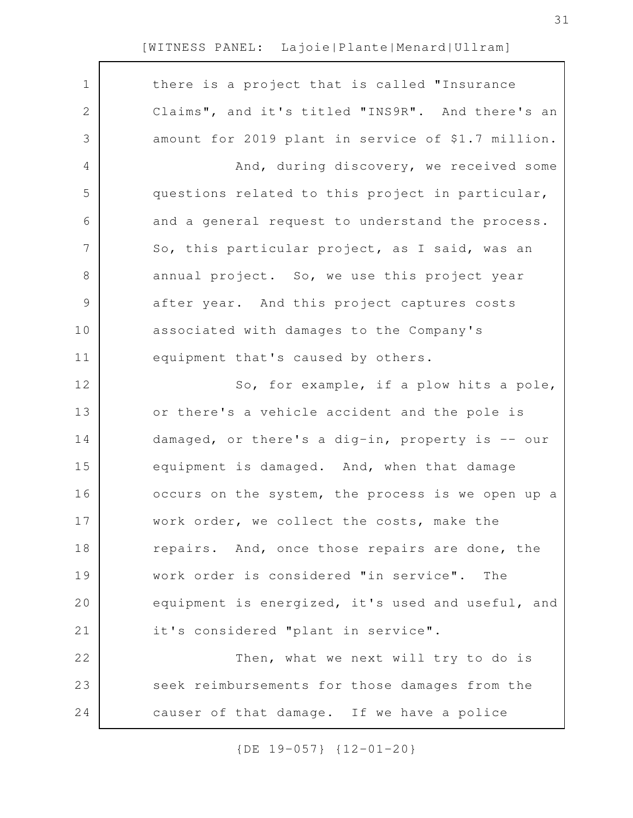$\sqrt{ }$ 

| $\mathbf 1$ | there is a project that is called "Insurance       |
|-------------|----------------------------------------------------|
| 2           | Claims", and it's titled "INS9R". And there's an   |
| 3           | amount for 2019 plant in service of \$1.7 million. |
| 4           | And, during discovery, we received some            |
| 5           | questions related to this project in particular,   |
| 6           | and a general request to understand the process.   |
| 7           | So, this particular project, as I said, was an     |
| $8\,$       | annual project. So, we use this project year       |
| $\mathsf 9$ | after year. And this project captures costs        |
| 10          | associated with damages to the Company's           |
| 11          | equipment that's caused by others.                 |
| 12          | So, for example, if a plow hits a pole,            |
| 13          | or there's a vehicle accident and the pole is      |
| 14          | damaged, or there's a dig-in, property is -- our   |
| 15          | equipment is damaged. And, when that damage        |
| 16          | occurs on the system, the process is we open up a  |
| 17          | work order, we collect the costs, make the         |
| 18          | repairs. And, once those repairs are done, the     |
| 19          | work order is considered "in service". The         |
| 20          | equipment is energized, it's used and useful, and  |
| 21          | it's considered "plant in service".                |
| 22          | Then, what we next will try to do is               |
| 23          | seek reimbursements for those damages from the     |
| 24          | causer of that damage. If we have a police         |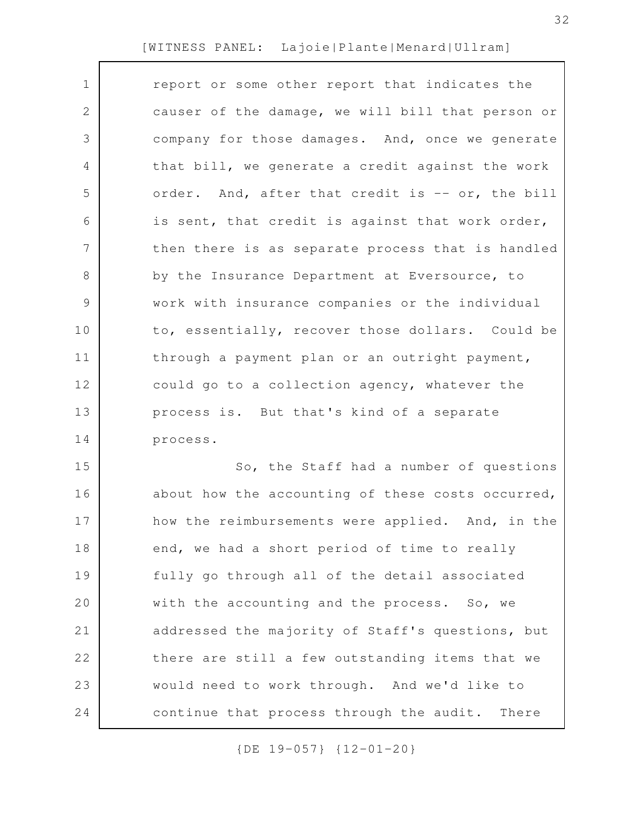| $\mathbf{1}$    | report or some other report that indicates the    |
|-----------------|---------------------------------------------------|
| 2               | causer of the damage, we will bill that person or |
| 3               | company for those damages. And, once we generate  |
| 4               | that bill, we generate a credit against the work  |
| 5               | order. And, after that credit is -- or, the bill  |
| 6               | is sent, that credit is against that work order,  |
| $7\overline{ }$ | then there is as separate process that is handled |
| 8               | by the Insurance Department at Eversource, to     |
| 9               | work with insurance companies or the individual   |
| 10              | to, essentially, recover those dollars. Could be  |
| 11              | through a payment plan or an outright payment,    |
| 12              | could go to a collection agency, whatever the     |
| 13              | process is. But that's kind of a separate         |
| 14              | process.                                          |
| 15              | So, the Staff had a number of questions           |
|                 |                                                   |

about how the accounting of these costs occurred, how the reimbursements were applied. And, in the end, we had a short period of time to really fully go through all of the detail associated with the accounting and the process. So, we addressed the majority of Staff's questions, but there are still a few outstanding items that we would need to work through. And we'd like to continue that process through the audit. There 16 17 18 19 20 21 22 23 24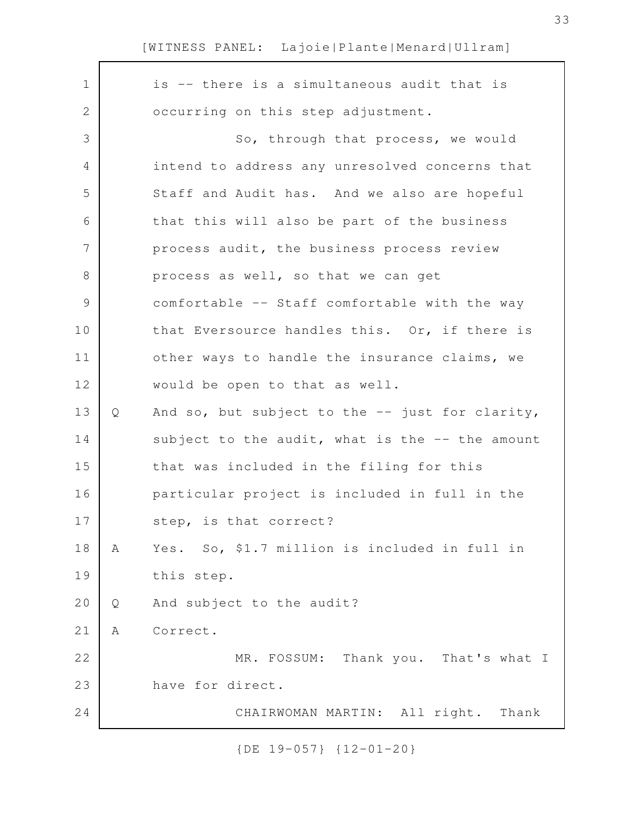| $\mathbf 1$    |   | is -- there is a simultaneous audit that is     |
|----------------|---|-------------------------------------------------|
| 2              |   | occurring on this step adjustment.              |
| 3              |   | So, through that process, we would              |
| 4              |   | intend to address any unresolved concerns that  |
| 5              |   | Staff and Audit has. And we also are hopeful    |
| 6              |   | that this will also be part of the business     |
| $\overline{7}$ |   | process audit, the business process review      |
| 8              |   | process as well, so that we can get             |
| $\mathsf 9$    |   | comfortable -- Staff comfortable with the way   |
| 10             |   | that Eversource handles this. Or, if there is   |
| 11             |   | other ways to handle the insurance claims, we   |
| 12             |   | would be open to that as well.                  |
| 13             | Q | And so, but subject to the -- just for clarity, |
| 14             |   | subject to the audit, what is the -- the amount |
| 15             |   | that was included in the filing for this        |
| 16             |   | particular project is included in full in the   |
| 17             |   | step, is that correct?                          |
| 18             | Α | Yes. So, \$1.7 million is included in full in   |
| 19             |   | this step.                                      |
| 20             | Q | And subject to the audit?                       |
| 21             | Α | Correct.                                        |
| 22             |   | MR. FOSSUM: Thank you. That's what I            |
| 23             |   | have for direct.                                |
| 24             |   | CHAIRWOMAN MARTIN: All right. Thank             |
|                |   |                                                 |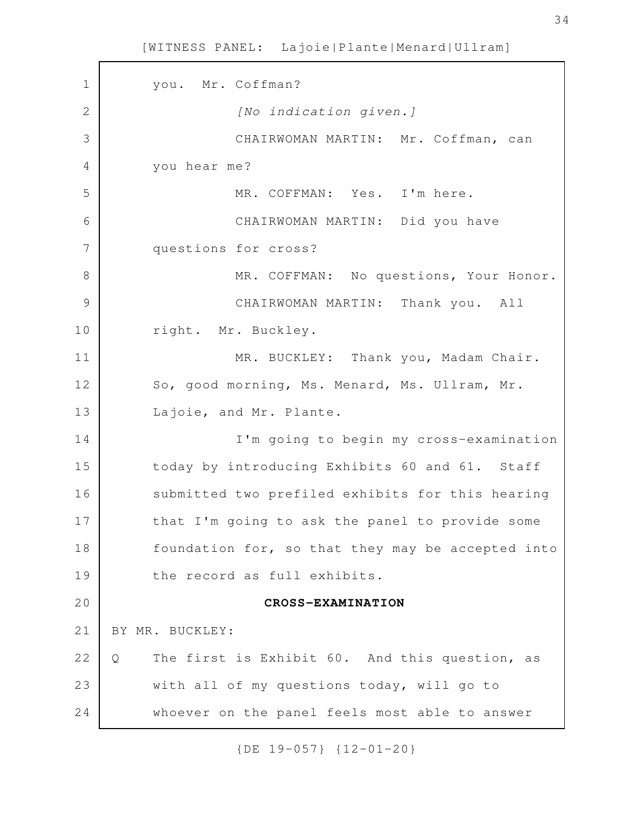you. Mr. Coffman? [No indication given.] CHAIRWOMAN MARTIN: Mr. Coffman, can you hear me? MR. COFFMAN: Yes. I'm here. CHAIRWOMAN MARTIN: Did you have questions for cross? MR. COFFMAN: No questions, Your Honor. CHAIRWOMAN MARTIN: Thank you. All right. Mr. Buckley. MR. BUCKLEY: Thank you, Madam Chair. So, good morning, Ms. Menard, Ms. Ullram, Mr. Lajoie, and Mr. Plante. I'm going to begin my cross-examination today by introducing Exhibits 60 and 61. Staff submitted two prefiled exhibits for this hearing that I'm going to ask the panel to provide some foundation for, so that they may be accepted into the record as full exhibits. **CROSS-EXAMINATION** BY MR. BUCKLEY: Q The first is Exhibit 60. And this question, as with all of my questions today, will go to whoever on the panel feels most able to answer 1 2 3 4 5 6 7 8 9 10 11 12 13 14 15 16 17 18 19 20 21 22 23 24

[WITNESS PANEL: Lajoie|Plante|Menard|Ullram]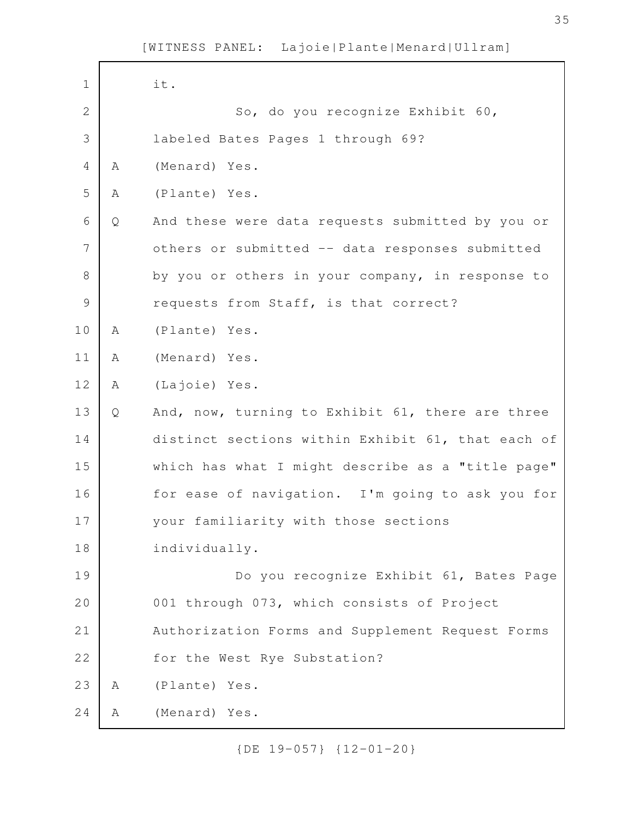| $\mathbf 1$   |   | it.                                               |
|---------------|---|---------------------------------------------------|
| $\mathbf{2}$  |   | So, do you recognize Exhibit 60,                  |
| 3             |   |                                                   |
|               |   | labeled Bates Pages 1 through 69?                 |
| 4             | Α | (Menard) Yes.                                     |
| 5             | Α | (Plante) Yes.                                     |
| 6             | Q | And these were data requests submitted by you or  |
| 7             |   | others or submitted -- data responses submitted   |
| $8\,$         |   | by you or others in your company, in response to  |
| $\mathcal{G}$ |   | requests from Staff, is that correct?             |
| 10            | A | (Plante) Yes.                                     |
| 11            | Α | (Menard) Yes.                                     |
| 12            | Α | (Lajoie) Yes.                                     |
| 13            | Q | And, now, turning to Exhibit 61, there are three  |
| 14            |   | distinct sections within Exhibit 61, that each of |
| 15            |   | which has what I might describe as a "title page" |
| 16            |   | for ease of navigation. I'm going to ask you for  |
| 17            |   | your familiarity with those sections              |
| 18            |   | individually.                                     |
| 19            |   | Do you recognize Exhibit 61, Bates Page           |
| 20            |   | 001 through 073, which consists of Project        |
| 21            |   | Authorization Forms and Supplement Request Forms  |
| 22            |   | for the West Rye Substation?                      |
| 23            | A | (Plante) Yes.                                     |
| 24            | А | (Menard) Yes.                                     |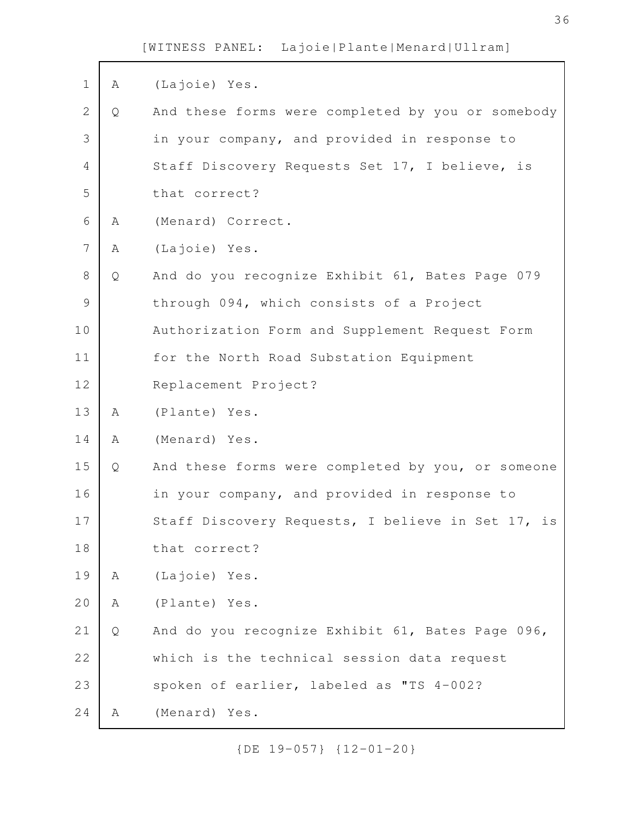| $\mathbf 1$    | Α | (Lajoie) Yes.                                     |
|----------------|---|---------------------------------------------------|
| $\mathbf{2}$   | Q | And these forms were completed by you or somebody |
| 3              |   | in your company, and provided in response to      |
| 4              |   | Staff Discovery Requests Set 17, I believe, is    |
| 5              |   | that correct?                                     |
| 6              | Α | (Menard) Correct.                                 |
| $\overline{7}$ | Α | (Lajoie) Yes.                                     |
| 8              | Q | And do you recognize Exhibit 61, Bates Page 079   |
| $\mathsf{S}$   |   | through 094, which consists of a Project          |
| 10             |   | Authorization Form and Supplement Request Form    |
| 11             |   | for the North Road Substation Equipment           |
| 12             |   | Replacement Project?                              |
| 13             | A | (Plante) Yes.                                     |
| 14             | Α | (Menard) Yes.                                     |
| 15             | Q | And these forms were completed by you, or someone |
| 16             |   | in your company, and provided in response to      |
| 17             |   | Staff Discovery Requests, I believe in Set 17, is |
| 18             |   | that correct?                                     |
| 19             | A | (Lajoie) Yes.                                     |
| 20             | Α | (Plante) Yes.                                     |
| 21             | Q | And do you recognize Exhibit 61, Bates Page 096,  |
| 22             |   | which is the technical session data request       |
| 23             |   | spoken of earlier, labeled as "TS 4-002?          |
| 24             | Α | (Menard) Yes.                                     |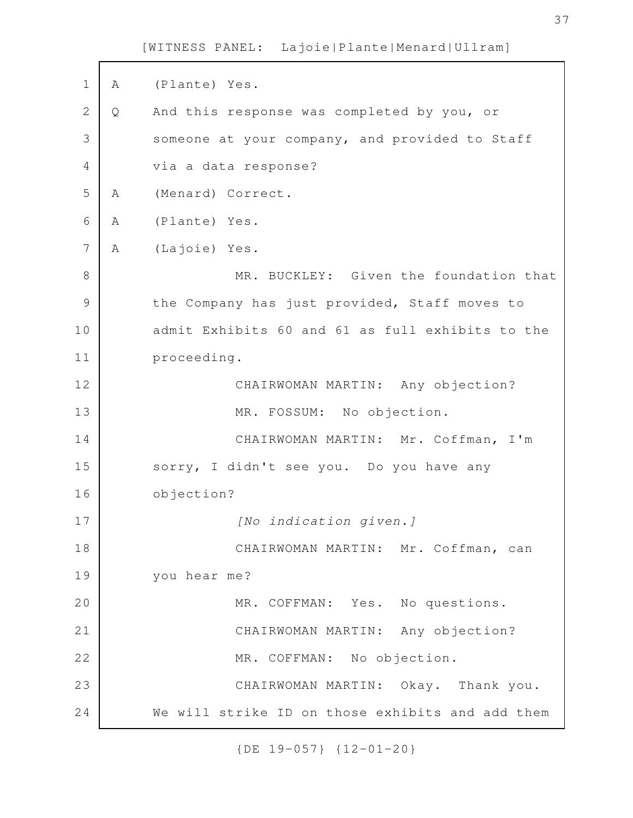A (Plante) Yes. Q And this response was completed by you, or someone at your company, and provided to Staff via a data response? A (Menard) Correct. A (Plante) Yes. A (Lajoie) Yes. MR. BUCKLEY: Given the foundation that the Company has just provided, Staff moves to admit Exhibits 60 and 61 as full exhibits to the proceeding. CHAIRWOMAN MARTIN: Any objection? MR. FOSSUM: No objection. CHAIRWOMAN MARTIN: Mr. Coffman, I'm sorry, I didn't see you. Do you have any objection? [No indication given.] CHAIRWOMAN MARTIN: Mr. Coffman, can you hear me? MR. COFFMAN: Yes. No questions. CHAIRWOMAN MARTIN: Any objection? MR. COFFMAN: No objection. CHAIRWOMAN MARTIN: Okay. Thank you. We will strike ID on those exhibits and add them 1 2 3 4 5 6 7 8 9 10 11 12 13 14 15 16 17 18 19 20 21 22 23 24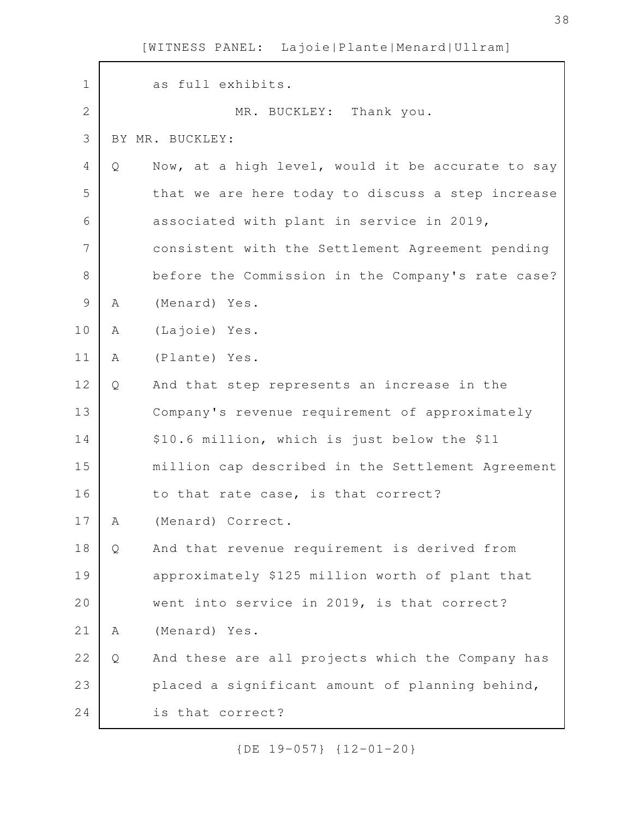| $\mathbf 1$    |   | as full exhibits.                                 |
|----------------|---|---------------------------------------------------|
| $\overline{2}$ |   | MR. BUCKLEY: Thank you.                           |
| 3              |   | BY MR. BUCKLEY:                                   |
| 4              | Q | Now, at a high level, would it be accurate to say |
| 5              |   | that we are here today to discuss a step increase |
| 6              |   | associated with plant in service in 2019,         |
| 7              |   | consistent with the Settlement Agreement pending  |
| 8              |   | before the Commission in the Company's rate case? |
| 9              | Α | (Menard) Yes.                                     |
| 10             | Α | (Lajoie) Yes.                                     |
| 11             | Α | (Plante) Yes.                                     |
| 12             | Q | And that step represents an increase in the       |
| 13             |   | Company's revenue requirement of approximately    |
| 14             |   | \$10.6 million, which is just below the \$11      |
| 15             |   | million cap described in the Settlement Agreement |
| 16             |   | to that rate case, is that correct?               |
| 17             | Α | (Menard) Correct.                                 |
| 18             | Q | And that revenue requirement is derived from      |
| 19             |   | approximately \$125 million worth of plant that   |
| 20             |   | went into service in 2019, is that correct?       |
| 21             | Α | (Menard) Yes.                                     |
| 22             | Q | And these are all projects which the Company has  |
| 23             |   | placed a significant amount of planning behind,   |
| 24             |   | is that correct?                                  |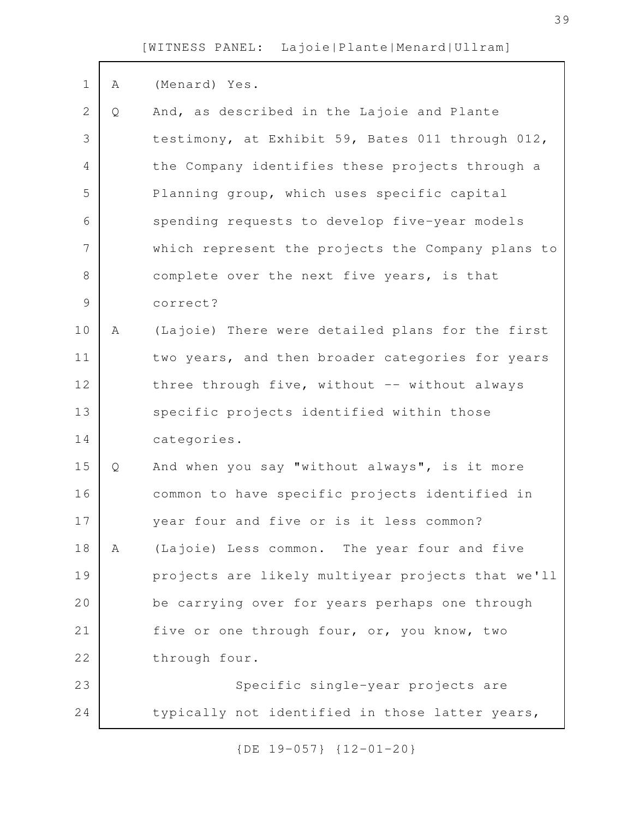| $\mathbf 1$    | A | (Menard) Yes.                                     |
|----------------|---|---------------------------------------------------|
|                |   |                                                   |
| $\overline{2}$ | Q | And, as described in the Lajoie and Plante        |
| 3              |   | testimony, at Exhibit 59, Bates 011 through 012,  |
| 4              |   | the Company identifies these projects through a   |
| 5              |   | Planning group, which uses specific capital       |
| 6              |   | spending requests to develop five-year models     |
| 7              |   | which represent the projects the Company plans to |
| 8              |   | complete over the next five years, is that        |
| $\mathcal{G}$  |   | correct?                                          |
| 10             | A | (Lajoie) There were detailed plans for the first  |
| 11             |   | two years, and then broader categories for years  |
| 12             |   | three through five, without -- without always     |
| 13             |   | specific projects identified within those         |
| 14             |   | categories.                                       |
| 15             | Q | And when you say "without always", is it more     |
| 16             |   | common to have specific projects identified in    |
| 17             |   | year four and five or is it less common?          |
| 18             | A | (Lajoie) Less common. The year four and five      |
| 19             |   | projects are likely multiyear projects that we'll |
| 20             |   | be carrying over for years perhaps one through    |
| 21             |   | five or one through four, or, you know, two       |
| 22             |   | through four.                                     |
| 23             |   | Specific single-year projects are                 |
| 24             |   | typically not identified in those latter years,   |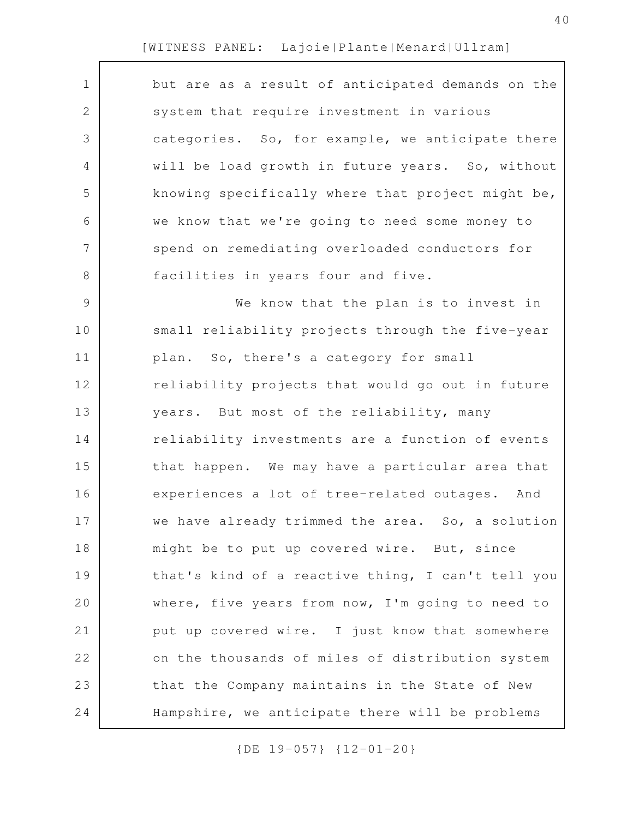| $\mathbf 1$    | but are as a result of anticipated demands on the |
|----------------|---------------------------------------------------|
| 2              | system that require investment in various         |
| 3              | categories. So, for example, we anticipate there  |
| 4              | will be load growth in future years. So, without  |
| 5              | knowing specifically where that project might be, |
| 6              | we know that we're going to need some money to    |
| 7              | spend on remediating overloaded conductors for    |
| 8              | facilities in years four and five.                |
| $\overline{9}$ | We know that the plan is to invest in             |
| 10             | small reliability projects through the five-year  |
| 11             | plan. So, there's a category for small            |
| 12             | reliability projects that would go out in future  |
| 13             | years. But most of the reliability, many          |
| 14             | reliability investments are a function of events  |
| 15             | that happen. We may have a particular area that   |
| 16             | experiences a lot of tree-related outages. And    |
| 17             | we have already trimmed the area. So, a solution  |
| 18             | might be to put up covered wire. But, since       |
| 19             | that's kind of a reactive thing, I can't tell you |
| 20             | where, five years from now, I'm going to need to  |
| 21             | put up covered wire. I just know that somewhere   |
| 22             | on the thousands of miles of distribution system  |
| 23             | that the Company maintains in the State of New    |
| 24             | Hampshire, we anticipate there will be problems   |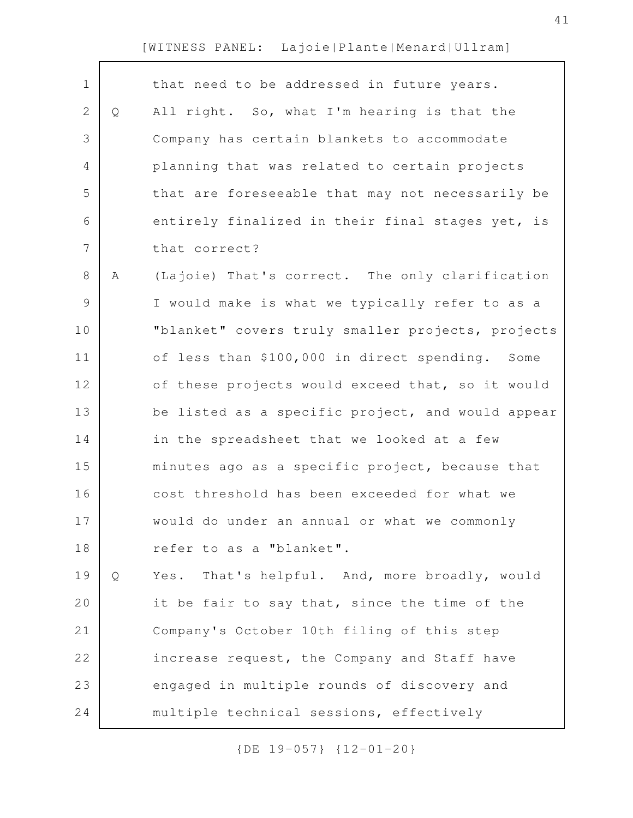| $\mathbf 1$ |   | that need to be addressed in future years.        |
|-------------|---|---------------------------------------------------|
| 2           | Q | All right. So, what I'm hearing is that the       |
| 3           |   | Company has certain blankets to accommodate       |
| 4           |   | planning that was related to certain projects     |
| 5           |   | that are foreseeable that may not necessarily be  |
| 6           |   | entirely finalized in their final stages yet, is  |
| 7           |   | that correct?                                     |
| 8           | Α | (Lajoie) That's correct. The only clarification   |
| $\mathsf 9$ |   | I would make is what we typically refer to as a   |
| 10          |   | "blanket" covers truly smaller projects, projects |
| 11          |   | of less than \$100,000 in direct spending. Some   |
| 12          |   | of these projects would exceed that, so it would  |
| 13          |   | be listed as a specific project, and would appear |
| 14          |   | in the spreadsheet that we looked at a few        |
| 15          |   | minutes ago as a specific project, because that   |
| 16          |   | cost threshold has been exceeded for what we      |
| 17          |   | would do under an annual or what we commonly      |
| 18          |   | refer to as a "blanket".                          |
| 19          | Q | That's helpful. And, more broadly, would<br>Yes.  |
| 20          |   | it be fair to say that, since the time of the     |
| 21          |   | Company's October 10th filing of this step        |
|             |   |                                                   |
| 22          |   | increase request, the Company and Staff have      |
| 23          |   | engaged in multiple rounds of discovery and       |
| 24          |   | multiple technical sessions, effectively          |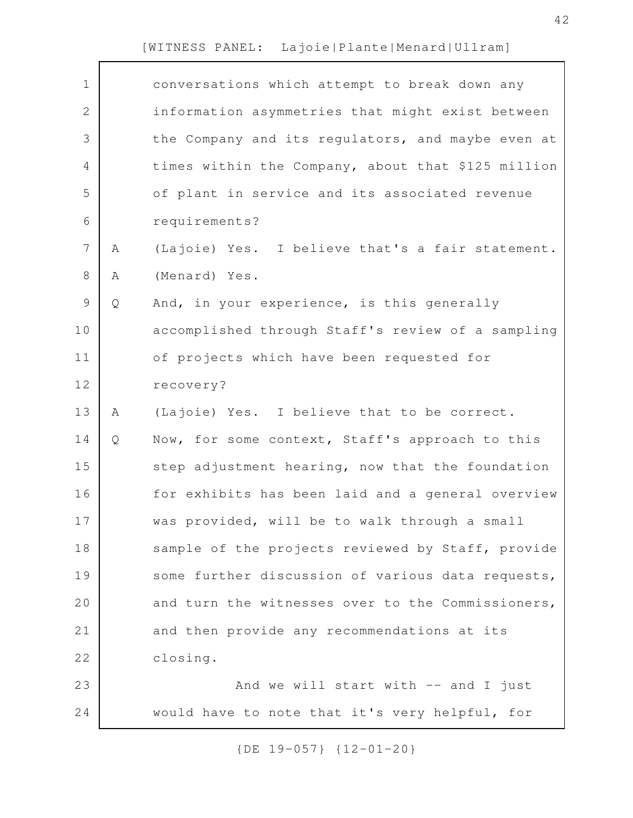| $\mathbf 1$    |   | conversations which attempt to break down any      |
|----------------|---|----------------------------------------------------|
| $\mathbf{2}$   |   | information asymmetries that might exist between   |
| 3              |   | the Company and its regulators, and maybe even at  |
| 4              |   | times within the Company, about that \$125 million |
| 5              |   | of plant in service and its associated revenue     |
| 6              |   | requirements?                                      |
| $\overline{7}$ | Α | (Lajoie) Yes. I believe that's a fair statement.   |
| 8              | Α | (Menard) Yes.                                      |
| $\mathsf 9$    | Q | And, in your experience, is this generally         |
| 10             |   | accomplished through Staff's review of a sampling  |
| 11             |   | of projects which have been requested for          |
| 12             |   | recovery?                                          |
| 13             | Α | (Lajoie) Yes. I believe that to be correct.        |
| 14             | Q | Now, for some context, Staff's approach to this    |
| 15             |   | step adjustment hearing, now that the foundation   |
| 16             |   | for exhibits has been laid and a general overview  |
| 17             |   | was provided, will be to walk through a small      |
| 18             |   | sample of the projects reviewed by Staff, provide  |
| 19             |   | some further discussion of various data requests,  |
| 20             |   | and turn the witnesses over to the Commissioners,  |
| 21             |   | and then provide any recommendations at its        |
| 22             |   | closing.                                           |
| 23             |   | And we will start with $--$ and I just             |
| 24             |   | would have to note that it's very helpful, for     |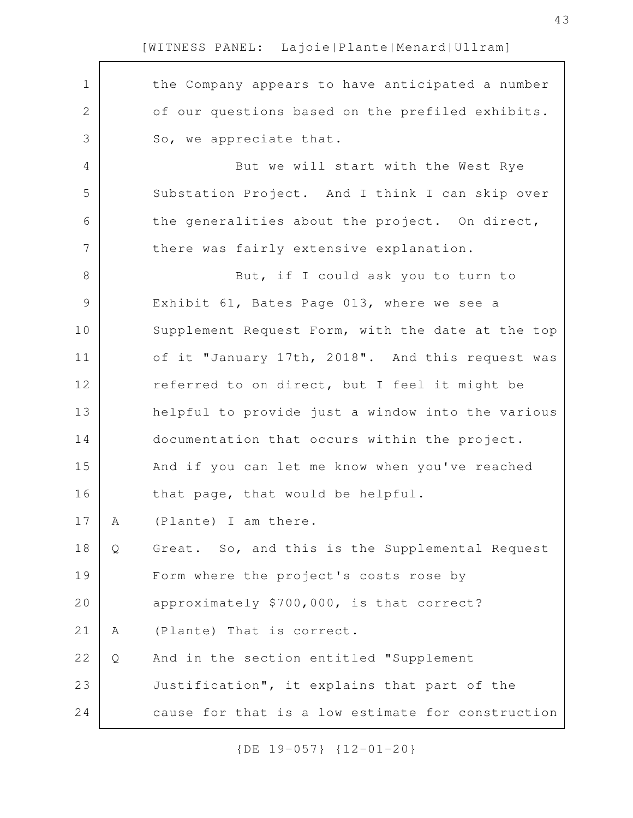| $\mathbf 1$   |   | the Company appears to have anticipated a number  |
|---------------|---|---------------------------------------------------|
| 2             |   | of our questions based on the prefiled exhibits.  |
| 3             |   | So, we appreciate that.                           |
| 4             |   | But we will start with the West Rye               |
| 5             |   | Substation Project. And I think I can skip over   |
| 6             |   | the generalities about the project. On direct,    |
| 7             |   | there was fairly extensive explanation.           |
| 8             |   | But, if I could ask you to turn to                |
| $\mathcal{G}$ |   | Exhibit 61, Bates Page 013, where we see a        |
| 10            |   | Supplement Request Form, with the date at the top |
| 11            |   | of it "January 17th, 2018". And this request was  |
| 12            |   | referred to on direct, but I feel it might be     |
| 13            |   | helpful to provide just a window into the various |
| 14            |   | documentation that occurs within the project.     |
| 15            |   | And if you can let me know when you've reached    |
| 16            |   | that page, that would be helpful.                 |
| 17            | А | (Plante) I am there                               |
| 18            | Q | Great. So, and this is the Supplemental Request   |
| 19            |   | Form where the project's costs rose by            |
| 20            |   | approximately \$700,000, is that correct?         |
| 21            | A | (Plante) That is correct.                         |
| 22            | Q | And in the section entitled "Supplement           |
| 23            |   | Justification", it explains that part of the      |
| 24            |   | cause for that is a low estimate for construction |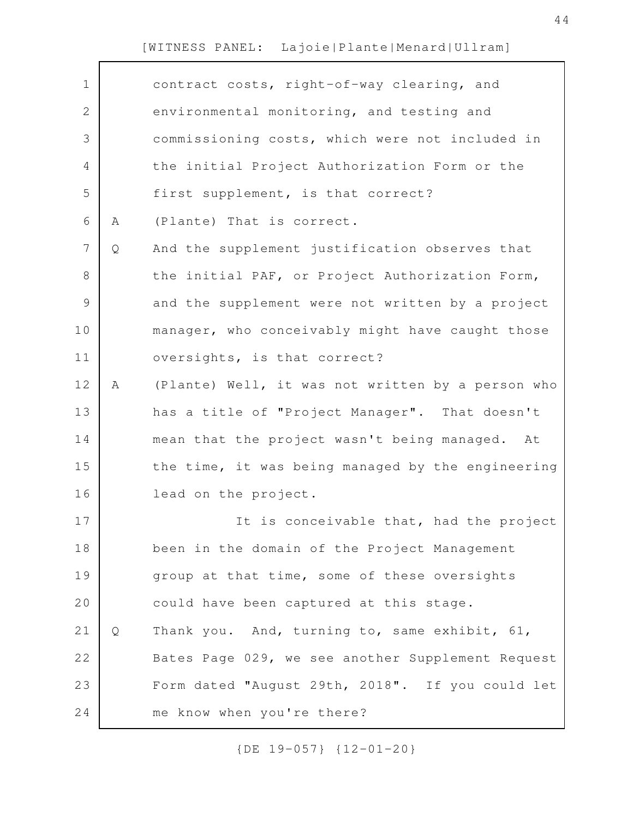| $\mathbf 1$ |   | contract costs, right-of-way clearing, and        |
|-------------|---|---------------------------------------------------|
| 2           |   | environmental monitoring, and testing and         |
| 3           |   | commissioning costs, which were not included in   |
| 4           |   | the initial Project Authorization Form or the     |
| 5           |   | first supplement, is that correct?                |
| 6           | Α | (Plante) That is correct.                         |
| 7           | Q | And the supplement justification observes that    |
| 8           |   | the initial PAF, or Project Authorization Form,   |
| 9           |   | and the supplement were not written by a project  |
| 10          |   | manager, who conceivably might have caught those  |
| 11          |   | oversights, is that correct?                      |
| 12          | Α | (Plante) Well, it was not written by a person who |
| 13          |   | has a title of "Project Manager". That doesn't    |
| 14          |   | mean that the project wasn't being managed. At    |
| 15          |   | the time, it was being managed by the engineering |
| 16          |   | lead on the project.                              |
| 17          |   | It is conceivable that, had the project           |
| 18          |   | been in the domain of the Project Management      |
| 19          |   | group at that time, some of these oversights      |
| 20          |   | could have been captured at this stage.           |
| 21          | Q | Thank you. And, turning to, same exhibit, 61,     |
| 22          |   | Bates Page 029, we see another Supplement Request |
| 23          |   | Form dated "August 29th, 2018". If you could let  |
| 24          |   | me know when you're there?                        |
|             |   |                                                   |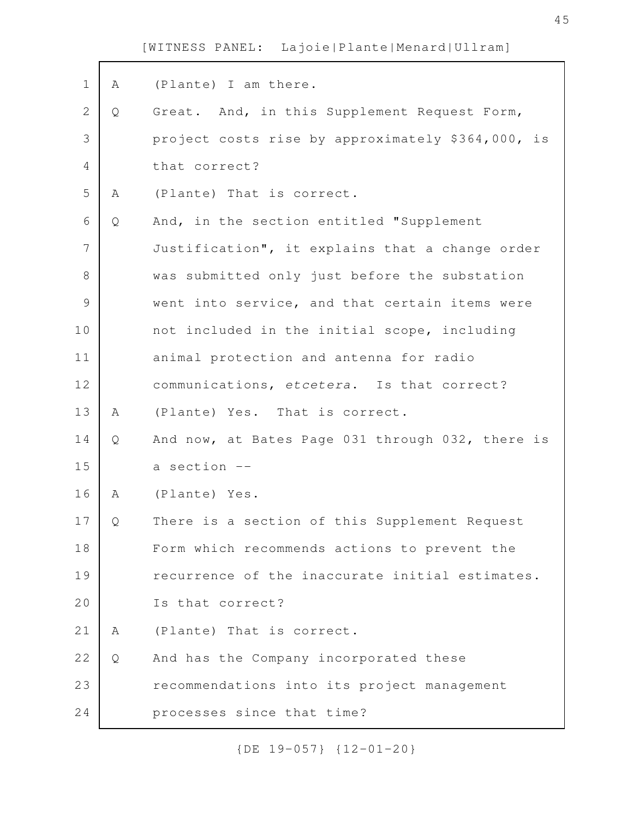| $\mathbf 1$ | Α | (Plante) I am there.                              |
|-------------|---|---------------------------------------------------|
| 2           | Q | Great. And, in this Supplement Request Form,      |
| 3           |   | project costs rise by approximately \$364,000, is |
| 4           |   | that correct?                                     |
| 5           | Α | (Plante) That is correct.                         |
| 6           | Q | And, in the section entitled "Supplement          |
| 7           |   | Justification", it explains that a change order   |
| 8           |   | was submitted only just before the substation     |
| $\mathsf 9$ |   | went into service, and that certain items were    |
| 10          |   | not included in the initial scope, including      |
| 11          |   | animal protection and antenna for radio           |
| 12          |   | communications, etcetera. Is that correct?        |
| 13          | Α | (Plante) Yes. That is correct.                    |
| 14          | Q | And now, at Bates Page 031 through 032, there is  |
| 15          |   | a section --                                      |
| 16          | Α | (Plante) Yes.                                     |
| 17          | Q | There is a section of this Supplement Request     |
| 18          |   | Form which recommends actions to prevent the      |
| 19          |   | recurrence of the inaccurate initial estimates.   |
| 20          |   | Is that correct?                                  |
| 21          | A | (Plante) That is correct.                         |
| 22          | Q | And has the Company incorporated these            |
| 23          |   | recommendations into its project management       |
| 24          |   | processes since that time?                        |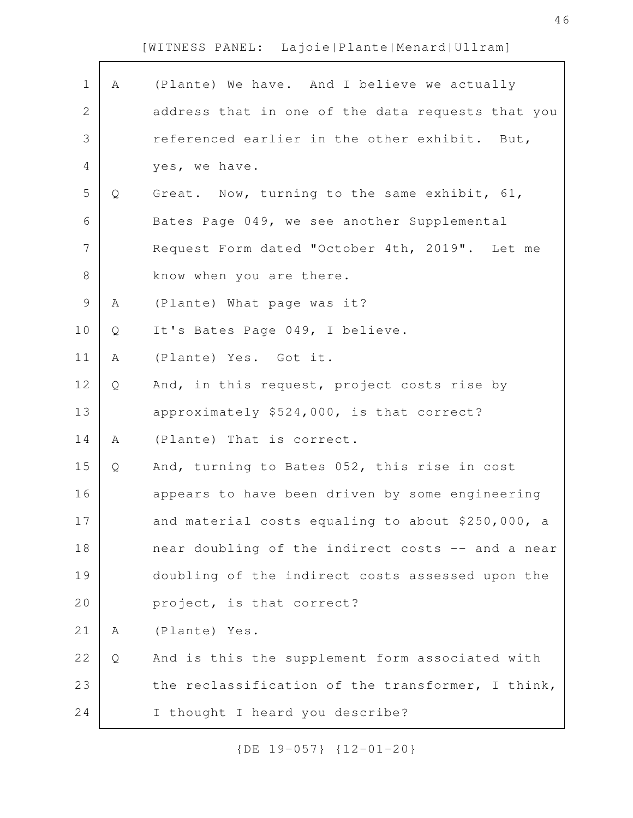| $\mathbf 1$    | A | (Plante) We have. And I believe we actually       |
|----------------|---|---------------------------------------------------|
| $\overline{2}$ |   | address that in one of the data requests that you |
| 3              |   | referenced earlier in the other exhibit. But,     |
| 4              |   | yes, we have.                                     |
| 5              | Q | Great. Now, turning to the same exhibit, 61,      |
| 6              |   | Bates Page 049, we see another Supplemental       |
| $\overline{7}$ |   | Request Form dated "October 4th, 2019". Let me    |
| 8              |   | know when you are there.                          |
| 9              | Α | (Plante) What page was it?                        |
| 10             | Q | It's Bates Page 049, I believe.                   |
| 11             | Α | (Plante) Yes. Got it.                             |
| 12             | Q | And, in this request, project costs rise by       |
| 13             |   | approximately \$524,000, is that correct?         |
| 14             | A | (Plante) That is correct.                         |
| 15             | Q | And, turning to Bates 052, this rise in cost      |
| 16             |   | appears to have been driven by some engineering   |
| 17             |   | and material costs equaling to about \$250,000, a |
| 18             |   | near doubling of the indirect costs -- and a near |
| 19             |   | doubling of the indirect costs assessed upon the  |
| 20             |   | project, is that correct?                         |
| 21             | Α | (Plante) Yes.                                     |
| 22             | Q | And is this the supplement form associated with   |
| 23             |   | the reclassification of the transformer, I think, |
| 24             |   | I thought I heard you describe?                   |
|                |   |                                                   |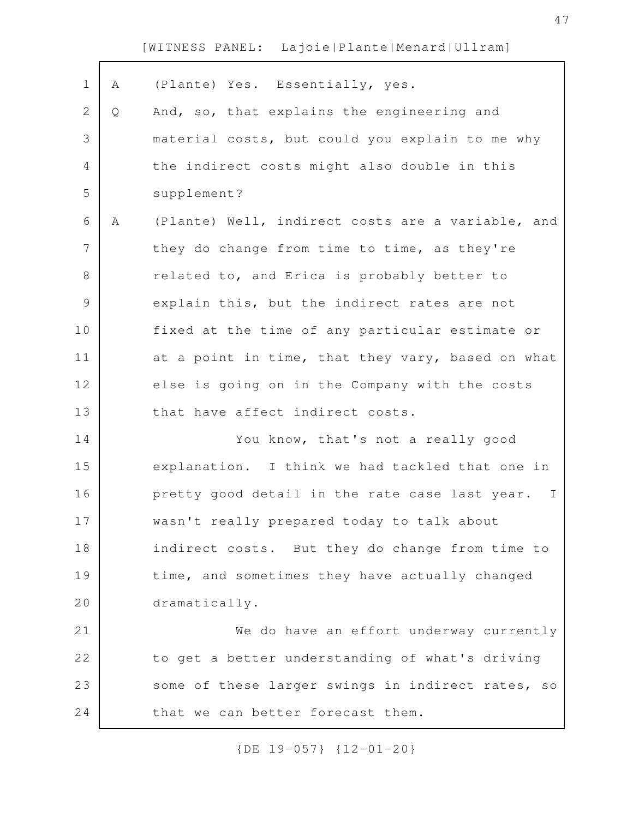A (Plante) Yes. Essentially, yes. Q And, so, that explains the engineering and material costs, but could you explain to me why the indirect costs might also double in this supplement? A (Plante) Well, indirect costs are a variable, and they do change from time to time, as they're related to, and Erica is probably better to explain this, but the indirect rates are not fixed at the time of any particular estimate or at a point in time, that they vary, based on what else is going on in the Company with the costs that have affect indirect costs. You know, that's not a really good explanation. I think we had tackled that one in pretty good detail in the rate case last year. I wasn't really prepared today to talk about indirect costs. But they do change from time to time, and sometimes they have actually changed dramatically. We do have an effort underway currently to get a better understanding of what's driving some of these larger swings in indirect rates, so that we can better forecast them. 1 2 3 4 5 6 7 8 9 10 11 12 13 14 15 16 17 18 19 20 21 22 23 24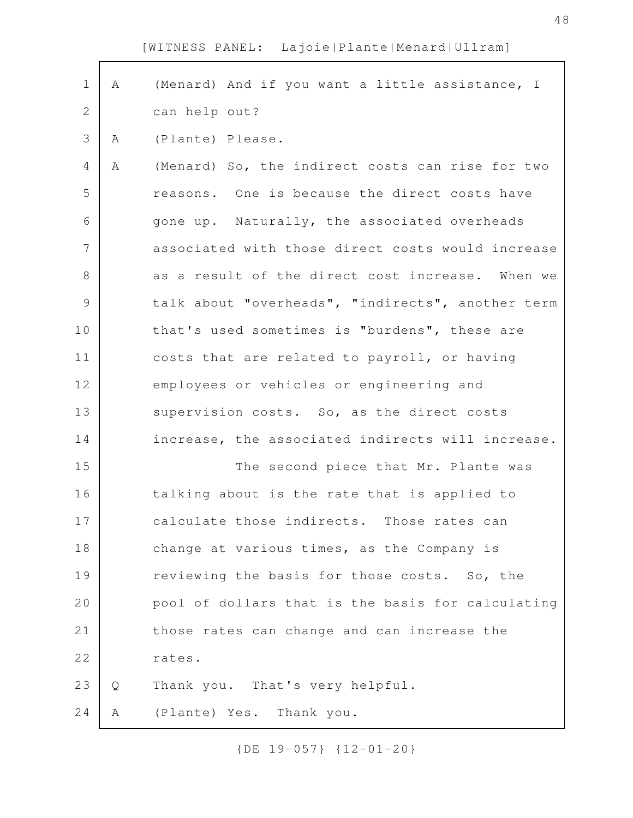| $\mathbf 1$ | Α | (Menard) And if you want a little assistance, I   |
|-------------|---|---------------------------------------------------|
| 2           |   | can help out?                                     |
| 3           | A | (Plante) Please.                                  |
| 4           | Α | (Menard) So, the indirect costs can rise for two  |
| 5           |   | reasons. One is because the direct costs have     |
| 6           |   | gone up. Naturally, the associated overheads      |
| 7           |   | associated with those direct costs would increase |
| 8           |   | as a result of the direct cost increase. When we  |
| 9           |   | talk about "overheads", "indirects", another term |
| 10          |   | that's used sometimes is "burdens", these are     |
|             |   |                                                   |
| 11          |   | costs that are related to payroll, or having      |
| 12          |   | employees or vehicles or engineering and          |
| 13          |   | supervision costs. So, as the direct costs        |
| 14          |   | increase, the associated indirects will increase. |
| 15          |   | The second piece that Mr. Plante was              |
| 16          |   | talking about is the rate that is applied to      |
| 17          |   | calculate those indirects. Those rates can        |
| 18          |   | change at various times, as the Company is        |
| 19          |   | reviewing the basis for those costs. So, the      |
| 20          |   | pool of dollars that is the basis for calculating |
| 21          |   | those rates can change and can increase the       |
| 22          |   | rates.                                            |
| 23          | Q | Thank you. That's very helpful.                   |
| 24          | Α | (Plante) Yes. Thank you.                          |
|             |   |                                                   |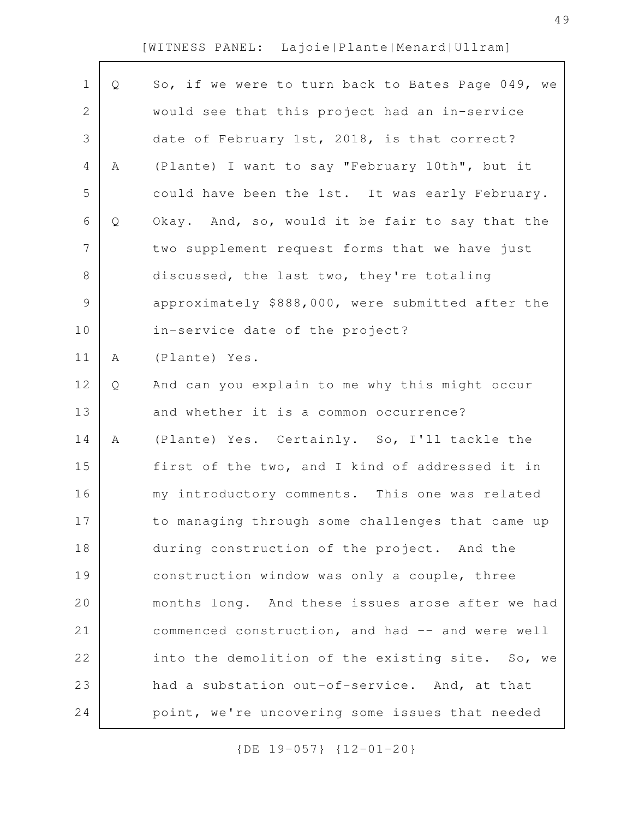| $\mathbf 1$    | Q | So, if we were to turn back to Bates Page 049, we |
|----------------|---|---------------------------------------------------|
| $\sqrt{2}$     |   | would see that this project had an in-service     |
| 3              |   | date of February 1st, 2018, is that correct?      |
| $\overline{4}$ | Α | (Plante) I want to say "February 10th", but it    |
| 5              |   | could have been the 1st. It was early February.   |
| 6              | Q | Okay. And, so, would it be fair to say that the   |
| $\overline{7}$ |   | two supplement request forms that we have just    |
| $\,8\,$        |   | discussed, the last two, they're totaling         |
| $\mathcal{G}$  |   | approximately \$888,000, were submitted after the |
| 10             |   | in-service date of the project?                   |
| 11             | Α | (Plante) Yes.                                     |
| 12             | Q | And can you explain to me why this might occur    |
| 13             |   | and whether it is a common occurrence?            |
| 14             | Α | (Plante) Yes. Certainly. So, I'll tackle the      |
| 15             |   | first of the two, and I kind of addressed it in   |
| 16             |   | my introductory comments. This one was related    |
| 17             |   | to managing through some challenges that came up  |
| 18             |   | during construction of the project. And the       |
| 19             |   | construction window was only a couple, three      |
| 20             |   | months long. And these issues arose after we had  |
| 21             |   | commenced construction, and had -- and were well  |
| 22             |   | into the demolition of the existing site. So, we  |
| 23             |   | had a substation out-of-service. And, at that     |
| 24             |   | point, we're uncovering some issues that needed   |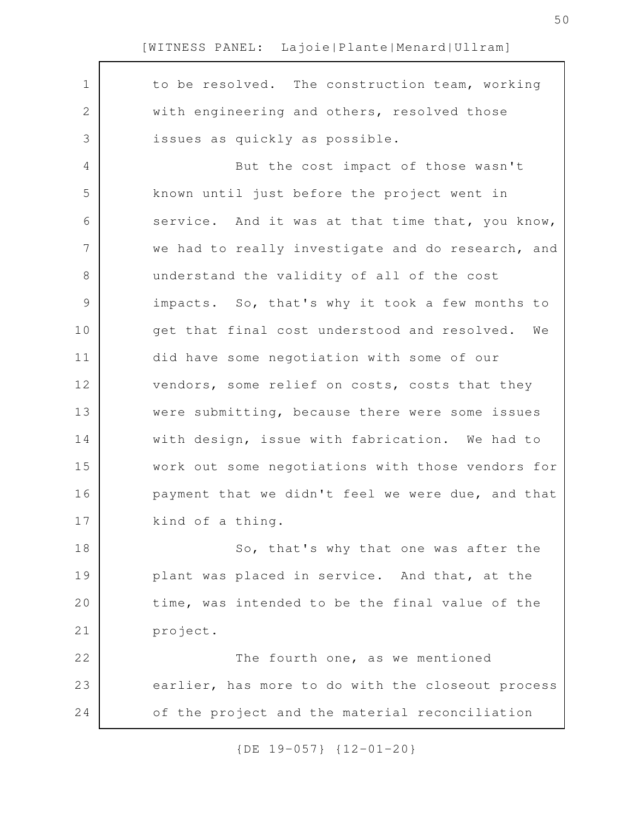to be resolved. The construction team, working with engineering and others, resolved those issues as quickly as possible. But the cost impact of those wasn't known until just before the project went in service. And it was at that time that, you know, we had to really investigate and do research, and understand the validity of all of the cost impacts. So, that's why it took a few months to get that final cost understood and resolved. We did have some negotiation with some of our vendors, some relief on costs, costs that they were submitting, because there were some issues with design, issue with fabrication. We had to work out some negotiations with those vendors for payment that we didn't feel we were due, and that kind of a thing. So, that's why that one was after the plant was placed in service. And that, at the time, was intended to be the final value of the project. The fourth one, as we mentioned earlier, has more to do with the closeout process of the project and the material reconciliation 1 2 3 4 5 6 7 8 9 10 11 12 13 14 15 16 17 18 19 20 21 22 23 24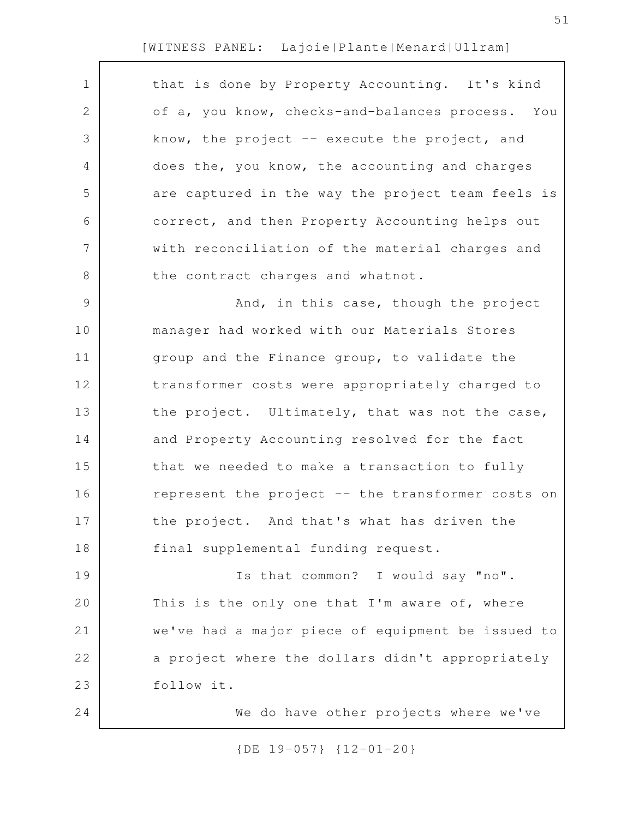| $\mathbf 1$    | that is done by Property Accounting. It's kind    |
|----------------|---------------------------------------------------|
| $\mathbf{2}$   | of a, you know, checks-and-balances process. You  |
| 3              | know, the project $-$ execute the project, and    |
| 4              | does the, you know, the accounting and charges    |
| 5              | are captured in the way the project team feels is |
| 6              | correct, and then Property Accounting helps out   |
| $\overline{7}$ | with reconciliation of the material charges and   |
| 8              | the contract charges and whatnot.                 |
| 9              | And, in this case, though the project             |
| 10             | manager had worked with our Materials Stores      |
| 11             | group and the Finance group, to validate the      |
| 12             | transformer costs were appropriately charged to   |
| 13             | the project. Ultimately, that was not the case,   |
| 14             | and Property Accounting resolved for the fact     |
| 15             | that we needed to make a transaction to fully     |
| 16             | represent the project -- the transformer costs on |
| 17             | the project. And that's what has driven the       |
| 18             | final supplemental funding request.               |
| 19             | Is that common? I would say "no".                 |
| 20             | This is the only one that I'm aware of, where     |
| 21             | we've had a major piece of equipment be issued to |
| 22             | a project where the dollars didn't appropriately  |
| 23             | follow it.                                        |
| 24             | We do have other projects where we've             |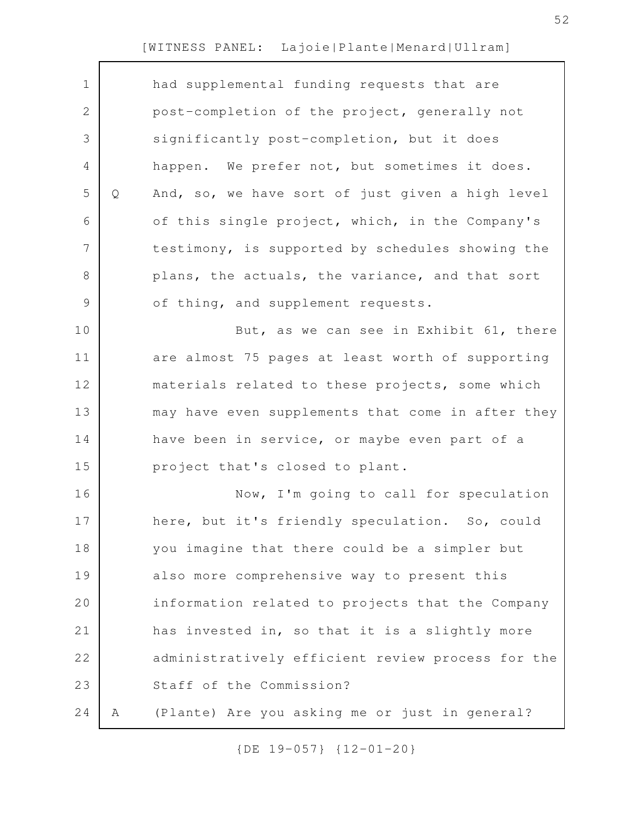| $\mathbf 1$   |   | had supplemental funding requests that are        |
|---------------|---|---------------------------------------------------|
| $\mathbf 2$   |   | post-completion of the project, generally not     |
| 3             |   | significantly post-completion, but it does        |
| 4             |   | happen. We prefer not, but sometimes it does.     |
| 5             | Q | And, so, we have sort of just given a high level  |
| 6             |   | of this single project, which, in the Company's   |
| 7             |   | testimony, is supported by schedules showing the  |
| 8             |   | plans, the actuals, the variance, and that sort   |
| $\mathcal{G}$ |   | of thing, and supplement requests.                |
| 10            |   | But, as we can see in Exhibit 61, there           |
| 11            |   | are almost 75 pages at least worth of supporting  |
| 12            |   | materials related to these projects, some which   |
| 13            |   | may have even supplements that come in after they |
| 14            |   | have been in service, or maybe even part of a     |
| 15            |   | project that's closed to plant.                   |
| 16            |   | Now, I'm going to call for speculation            |
| 17            |   | here, but it's friendly speculation. So, could    |
| 18            |   | you imagine that there could be a simpler but     |
| 19            |   | also more comprehensive way to present this       |
| 20            |   | information related to projects that the Company  |
| 21            |   | has invested in, so that it is a slightly more    |
| 22            |   | administratively efficient review process for the |
| 23            |   | Staff of the Commission?                          |
| 24            | A | (Plante) Are you asking me or just in general?    |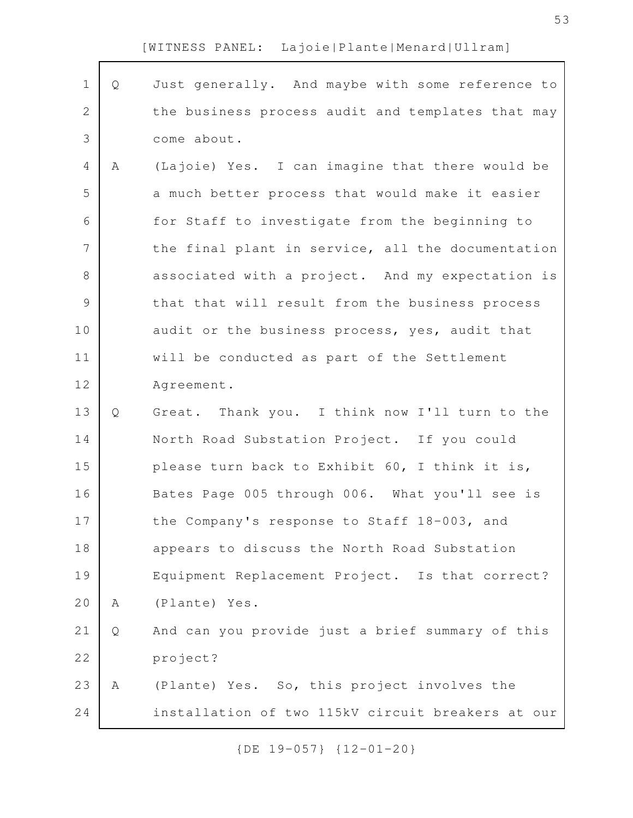| $\mathbf 1$    | Q            | Just generally. And maybe with some reference to  |
|----------------|--------------|---------------------------------------------------|
| $\mathbf{2}$   |              | the business process audit and templates that may |
| $\mathfrak{Z}$ |              | come about.                                       |
| 4              | Α            | (Lajoie) Yes. I can imagine that there would be   |
| 5              |              | a much better process that would make it easier   |
| 6              |              | for Staff to investigate from the beginning to    |
| 7              |              | the final plant in service, all the documentation |
| $8\,$          |              | associated with a project. And my expectation is  |
| $\mathcal{G}$  |              | that that will result from the business process   |
| 10             |              | audit or the business process, yes, audit that    |
| 11             |              | will be conducted as part of the Settlement       |
| 12             |              | Agreement.                                        |
| 13             | $\mathsf{Q}$ | Great. Thank you. I think now I'll turn to the    |
| 14             |              | North Road Substation Project. If you could       |
| 15             |              | please turn back to Exhibit 60, I think it is,    |
| 16             |              | Bates Page 005 through 006. What you'll see is    |
| 17             |              | the Company's response to Staff 18-003, and       |
| 18             |              | appears to discuss the North Road Substation      |
| 19             |              | Equipment Replacement Project. Is that correct?   |
| 20             | Α            | (Plante) Yes.                                     |
| 21             | Q            | And can you provide just a brief summary of this  |
| 22             |              | project?                                          |
| 23             | Α            | (Plante) Yes. So, this project involves the       |
| 24             |              | installation of two 115kV circuit breakers at our |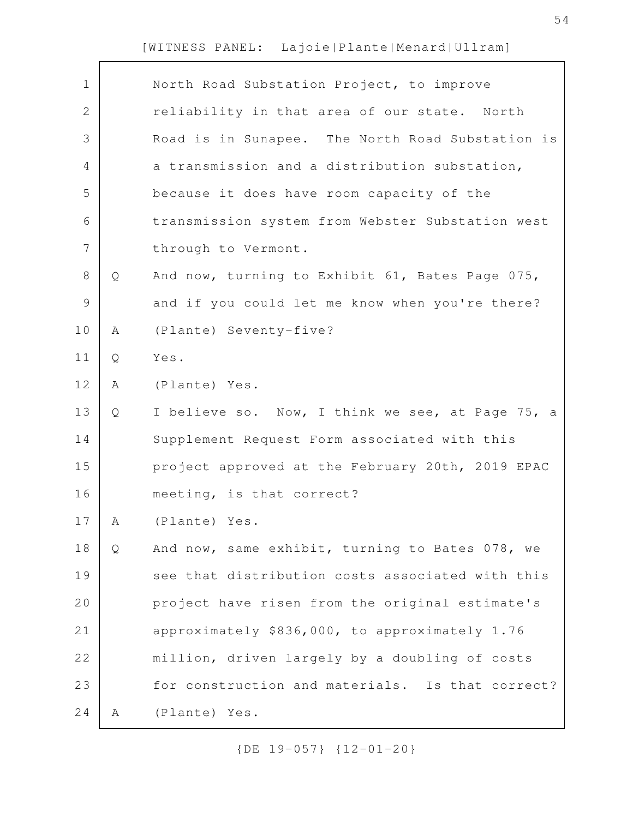Г

| $\mathbf 1$   |   | North Road Substation Project, to improve        |
|---------------|---|--------------------------------------------------|
| 2             |   | reliability in that area of our state. North     |
| 3             |   | Road is in Sunapee. The North Road Substation is |
| 4             |   | a transmission and a distribution substation,    |
| 5             |   | because it does have room capacity of the        |
| 6             |   | transmission system from Webster Substation west |
| 7             |   | through to Vermont.                              |
| 8             | Q | And now, turning to Exhibit 61, Bates Page 075,  |
| $\mathcal{G}$ |   | and if you could let me know when you're there?  |
| 10            | Α | (Plante) Seventy-five?                           |
| 11            | Q | Yes.                                             |
| 12            | Α | (Plante) Yes.                                    |
| 13            | Q | I believe so. Now, I think we see, at Page 75, a |
| 14            |   | Supplement Request Form associated with this     |
| 15            |   | project approved at the February 20th, 2019 EPAC |
| 16            |   | meeting, is that correct?                        |
| 17            | A | (Plante) Yes.                                    |
| 18            | Q | And now, same exhibit, turning to Bates 078, we  |
| 19            |   | see that distribution costs associated with this |
| 20            |   | project have risen from the original estimate's  |
| 21            |   | approximately \$836,000, to approximately 1.76   |
| 22            |   | million, driven largely by a doubling of costs   |
| 23            |   | for construction and materials. Is that correct? |
| 24            | Α | (Plante) Yes.                                    |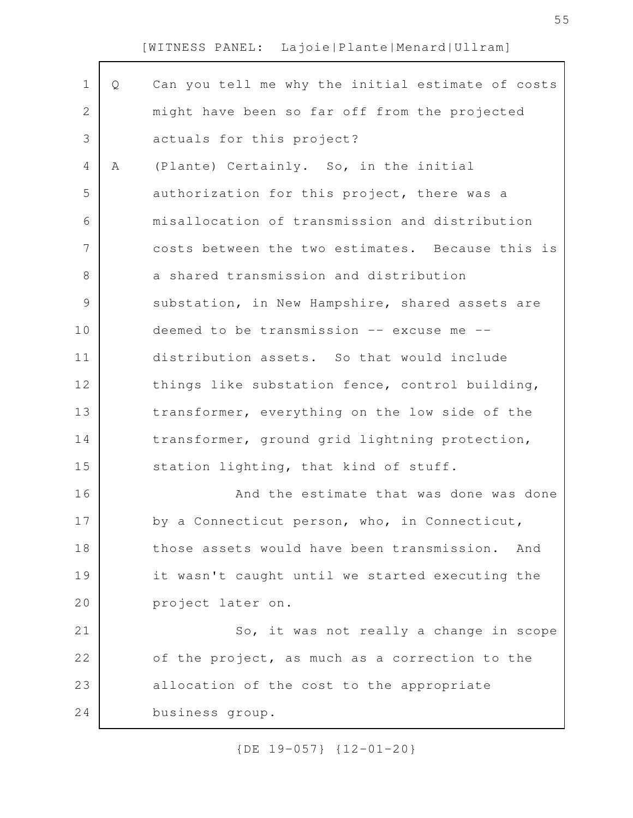| $\mathbf 1$   | Q | Can you tell me why the initial estimate of costs |
|---------------|---|---------------------------------------------------|
| 2             |   | might have been so far off from the projected     |
| 3             |   | actuals for this project?                         |
| 4             | A | (Plante) Certainly. So, in the initial            |
| 5             |   | authorization for this project, there was a       |
| 6             |   | misallocation of transmission and distribution    |
| 7             |   | costs between the two estimates. Because this is  |
| $\,8\,$       |   | a shared transmission and distribution            |
| $\mathcal{G}$ |   | substation, in New Hampshire, shared assets are   |
| 10            |   | deemed to be transmission -- excuse me --         |
| 11            |   | distribution assets. So that would include        |
| 12            |   | things like substation fence, control building,   |
| 13            |   | transformer, everything on the low side of the    |
| 14            |   | transformer, ground grid lightning protection,    |
| 15            |   | station lighting, that kind of stuff.             |
| 16            |   | And the estimate that was done was done           |
| 17            |   | by a Connecticut person, who, in Connecticut,     |
| 18            |   | those assets would have been transmission.<br>And |
| 19            |   | it wasn't caught until we started executing the   |
| 20            |   | project later on.                                 |
| 21            |   | So, it was not really a change in scope           |
| 22            |   | of the project, as much as a correction to the    |
| 23            |   | allocation of the cost to the appropriate         |
| 24            |   | business group.                                   |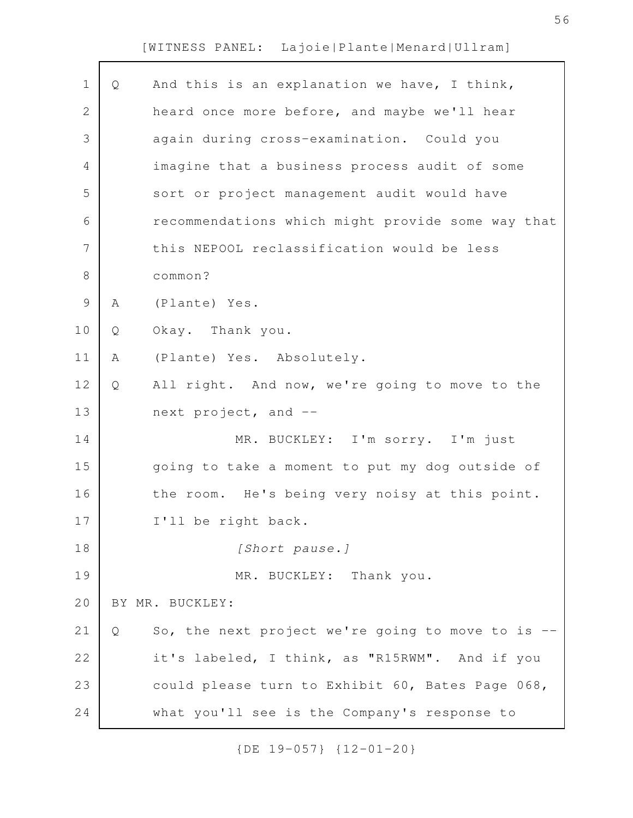| Q | And this is an explanation we have, I think,      |
|---|---------------------------------------------------|
|   | heard once more before, and maybe we'll hear      |
|   | again during cross-examination. Could you         |
|   | imagine that a business process audit of some     |
|   | sort or project management audit would have       |
|   | recommendations which might provide some way that |
|   | this NEPOOL reclassification would be less        |
|   | common?                                           |
| Α | (Plante) Yes.                                     |
| Q | Okay. Thank you.                                  |
| Α | (Plante) Yes. Absolutely.                         |
| Q | All right. And now, we're going to move to the    |
|   | next project, and --                              |
|   | MR. BUCKLEY: I'm sorry. I'm just                  |
|   | going to take a moment to put my dog outside of   |
|   | the room. He's being very noisy at this point.    |
|   | I'll be right back.                               |
|   | [Short pause.]                                    |
|   | MR. BUCKLEY: Thank you.                           |
|   | BY MR. BUCKLEY:                                   |
| Q | So, the next project we're going to move to is -- |
|   | it's labeled, I think, as "R15RWM". And if you    |
|   | could please turn to Exhibit 60, Bates Page 068,  |
|   | what you'll see is the Company's response to      |
|   |                                                   |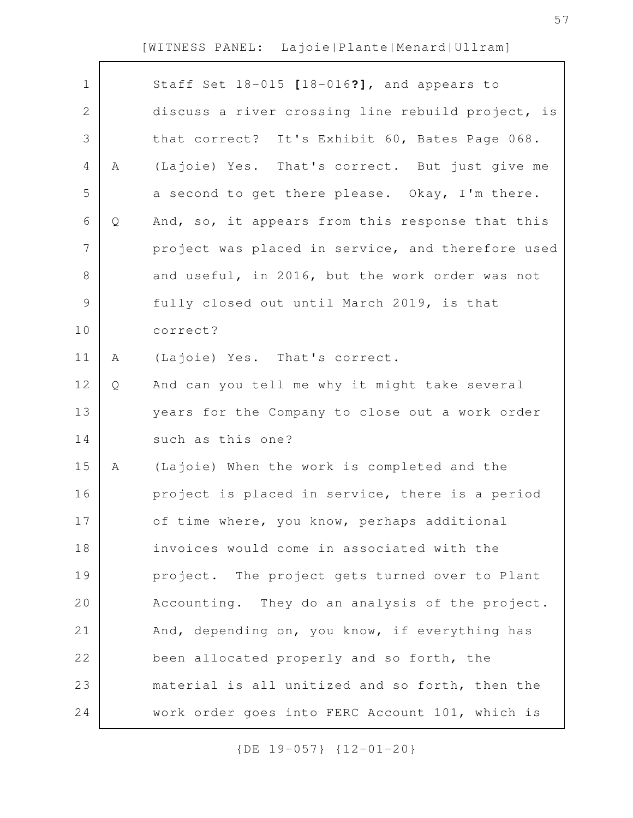| $\mathbf 1$    |   | Staff Set 18-015 [18-016?], and appears to        |
|----------------|---|---------------------------------------------------|
| $\mathbf{2}$   |   | discuss a river crossing line rebuild project, is |
| 3              |   | that correct? It's Exhibit 60, Bates Page 068.    |
| $\overline{4}$ | Α | (Lajoie) Yes. That's correct. But just give me    |
| 5              |   | a second to get there please. Okay, I'm there.    |
| 6              | Q | And, so, it appears from this response that this  |
| 7              |   | project was placed in service, and therefore used |
| $\,8\,$        |   | and useful, in 2016, but the work order was not   |
| $\mathsf 9$    |   | fully closed out until March 2019, is that        |
| 10             |   | correct?                                          |
| 11             | A | (Lajoie) Yes. That's correct.                     |
| 12             | Q | And can you tell me why it might take several     |
| 13             |   | years for the Company to close out a work order   |
| 14             |   | such as this one?                                 |
| 15             | Α | (Lajoie) When the work is completed and the       |
| 16             |   | project is placed in service, there is a period   |
| 17             |   | of time where, you know, perhaps additional       |
| 18             |   | invoices would come in associated with the        |
| 19             |   | project. The project gets turned over to Plant    |
| 20             |   | Accounting. They do an analysis of the project.   |
| 21             |   | And, depending on, you know, if everything has    |
| 22             |   | been allocated properly and so forth, the         |
| 23             |   | material is all unitized and so forth, then the   |
| 24             |   | work order goes into FERC Account 101, which is   |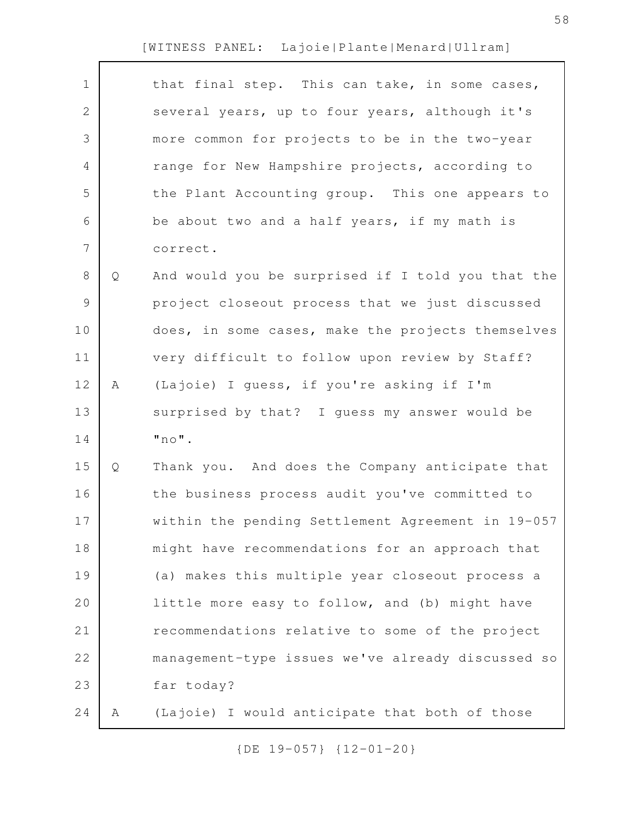| $\mathbf 1$  |   | that final step. This can take, in some cases,    |
|--------------|---|---------------------------------------------------|
| $\mathbf{2}$ |   | several years, up to four years, although it's    |
| 3            |   | more common for projects to be in the two-year    |
| 4            |   | range for New Hampshire projects, according to    |
| 5            |   | the Plant Accounting group. This one appears to   |
| 6            |   | be about two and a half years, if my math is      |
| 7            |   | correct.                                          |
| $8\,$        | Q | And would you be surprised if I told you that the |
| 9            |   | project closeout process that we just discussed   |
| 10           |   | does, in some cases, make the projects themselves |
| 11           |   | very difficult to follow upon review by Staff?    |
| 12           | Α | (Lajoie) I guess, if you're asking if I'm         |
| 13           |   | surprised by that? I guess my answer would be     |
| 14           |   | $"$ no $"$ .                                      |
| 15           | Q | Thank you. And does the Company anticipate that   |
| 16           |   | the business process audit you've committed to    |
| 17           |   | within the pending Settlement Agreement in 19-057 |
| 18           |   | might have recommendations for an approach that   |
| 19           |   | (a) makes this multiple year closeout process a   |
| 20           |   | little more easy to follow, and (b) might have    |
| 21           |   | recommendations relative to some of the project   |
| 22           |   | management-type issues we've already discussed so |
| 23           |   | far today?                                        |
| 24           | Α | (Lajoie) I would anticipate that both of those    |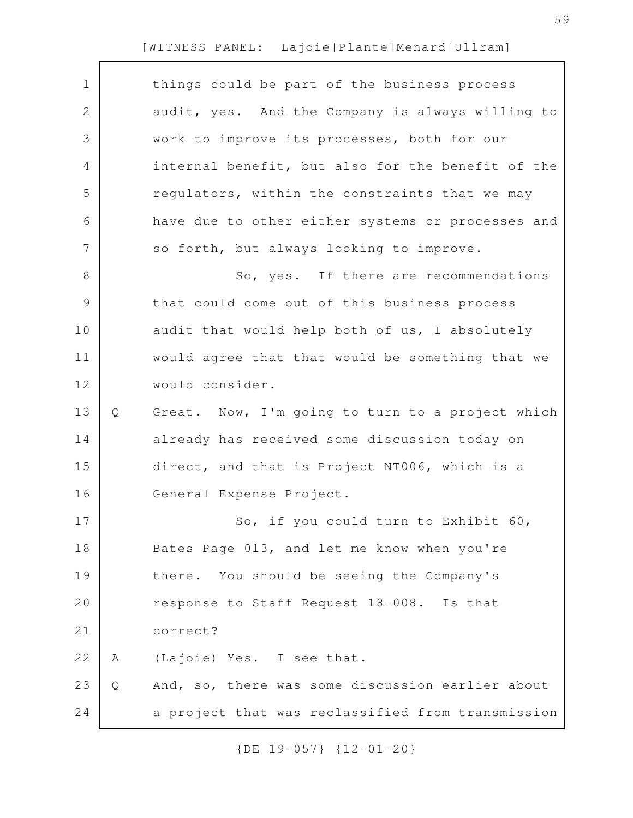| $\mathbf 1$   |   | things could be part of the business process      |
|---------------|---|---------------------------------------------------|
| $\mathbf{2}$  |   | audit, yes. And the Company is always willing to  |
| 3             |   | work to improve its processes, both for our       |
| 4             |   | internal benefit, but also for the benefit of the |
| 5             |   | regulators, within the constraints that we may    |
| 6             |   | have due to other either systems or processes and |
| 7             |   | so forth, but always looking to improve.          |
| $8\,$         |   | So, yes. If there are recommendations             |
| $\mathcal{G}$ |   | that could come out of this business process      |
| 10            |   | audit that would help both of us, I absolutely    |
| 11            |   | would agree that that would be something that we  |
| 12            |   | would consider.                                   |
| 13            | Q | Great. Now, I'm going to turn to a project which  |
| 14            |   | already has received some discussion today on     |
| 15            |   | direct, and that is Project NT006, which is a     |
| 16            |   | General Expense Project.                          |
| 17            |   | So, if you could turn to Exhibit 60,              |
| 18            |   | Bates Page 013, and let me know when you're       |
| 19            |   | there. You should be seeing the Company's         |
| 20            |   | response to Staff Request 18-008. Is that         |
| 21            |   | correct?                                          |
| 22            | Α | (Lajoie) Yes. I see that.                         |
| 23            | Q | And, so, there was some discussion earlier about  |
| 24            |   | a project that was reclassified from transmission |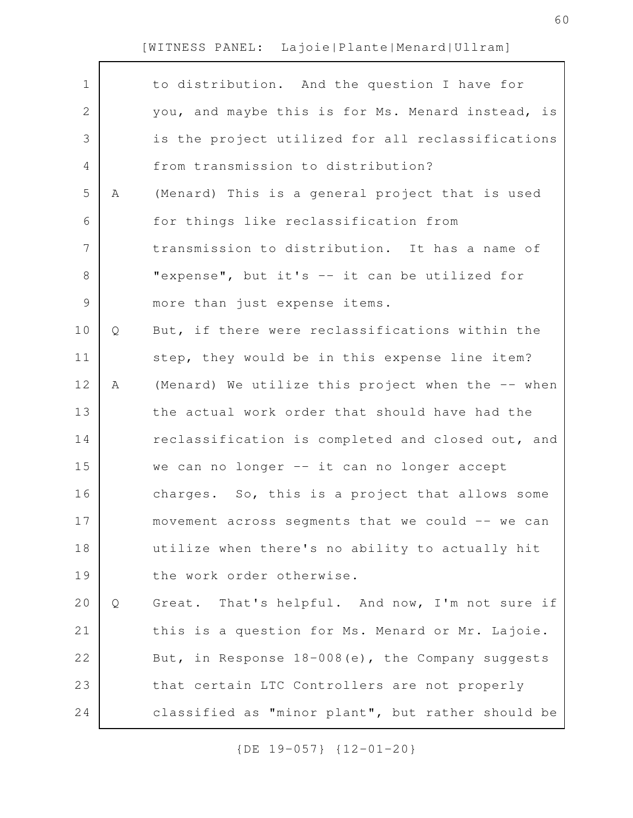| $\mathbf 1$    |   | to distribution. And the question I have for        |
|----------------|---|-----------------------------------------------------|
| $\mathbf{2}$   |   | you, and maybe this is for Ms. Menard instead, is   |
| 3              |   | is the project utilized for all reclassifications   |
| 4              |   | from transmission to distribution?                  |
| 5              | Α | (Menard) This is a general project that is used     |
| 6              |   | for things like reclassification from               |
| $\overline{7}$ |   | transmission to distribution. It has a name of      |
| $8\,$          |   | "expense", but it's -- it can be utilized for       |
| $\mathcal{G}$  |   | more than just expense items.                       |
| 10             | Q | But, if there were reclassifications within the     |
| 11             |   | step, they would be in this expense line item?      |
| 12             | Α | (Menard) We utilize this project when the -- when   |
| 13             |   | the actual work order that should have had the      |
| 14             |   | reclassification is completed and closed out, and   |
| 15             |   | we can no longer -- it can no longer accept         |
| 16             |   | charges. So, this is a project that allows some     |
| 17             |   | movement across segments that we could $--$ we can  |
| 18             |   | utilize when there's no ability to actually hit     |
| 19             |   | the work order otherwise.                           |
| 20             | Q | Great. That's helpful. And now, I'm not sure if     |
| 21             |   | this is a question for Ms. Menard or Mr. Lajoie.    |
| 22             |   | But, in Response $18-008(e)$ , the Company suggests |
| 23             |   | that certain LTC Controllers are not properly       |
| 24             |   | classified as "minor plant", but rather should be   |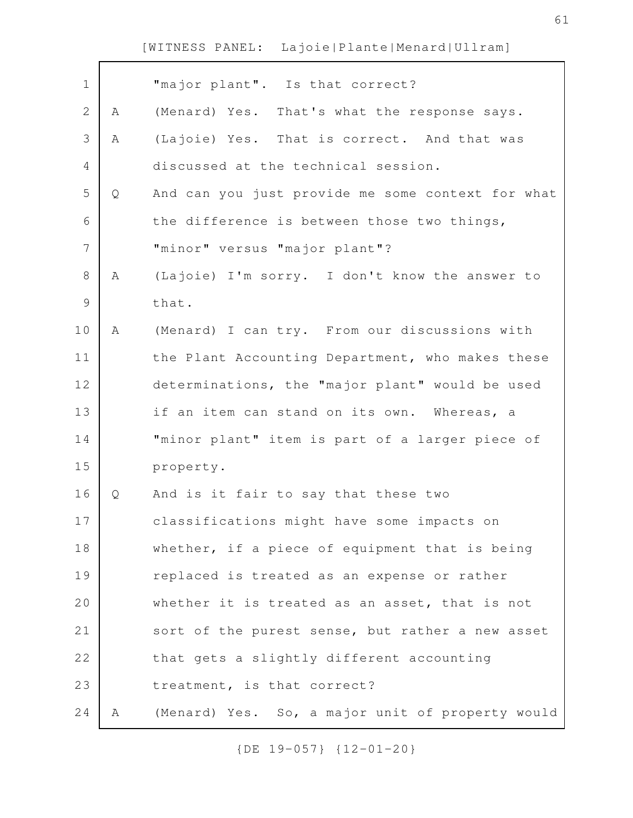| $\mathbf 1$   |   | "major plant". Is that correct?                   |
|---------------|---|---------------------------------------------------|
| 2             | A | (Menard) Yes. That's what the response says.      |
| 3             | Α | (Lajoie) Yes. That is correct. And that was       |
| 4             |   | discussed at the technical session.               |
| 5             | Q | And can you just provide me some context for what |
| 6             |   | the difference is between those two things,       |
| 7             |   | "minor" versus "major plant"?                     |
| 8             | Α | (Lajoie) I'm sorry. I don't know the answer to    |
| $\mathcal{G}$ |   | that.                                             |
| 10            | Α | (Menard) I can try. From our discussions with     |
| 11            |   | the Plant Accounting Department, who makes these  |
| 12            |   | determinations, the "major plant" would be used   |
| 13            |   | if an item can stand on its own. Whereas, a       |
| 14            |   | "minor plant" item is part of a larger piece of   |
| 15            |   | property.                                         |
| 16            | Q | And is it fair to say that these two              |
| 17            |   | classifications might have some impacts on        |
| 18            |   | whether, if a piece of equipment that is being    |
| 19            |   | replaced is treated as an expense or rather       |
| 20            |   | whether it is treated as an asset, that is not    |
| 21            |   | sort of the purest sense, but rather a new asset  |
| 22            |   | that gets a slightly different accounting         |
| 23            |   | treatment, is that correct?                       |
| 24            | A | (Menard) Yes. So, a major unit of property would  |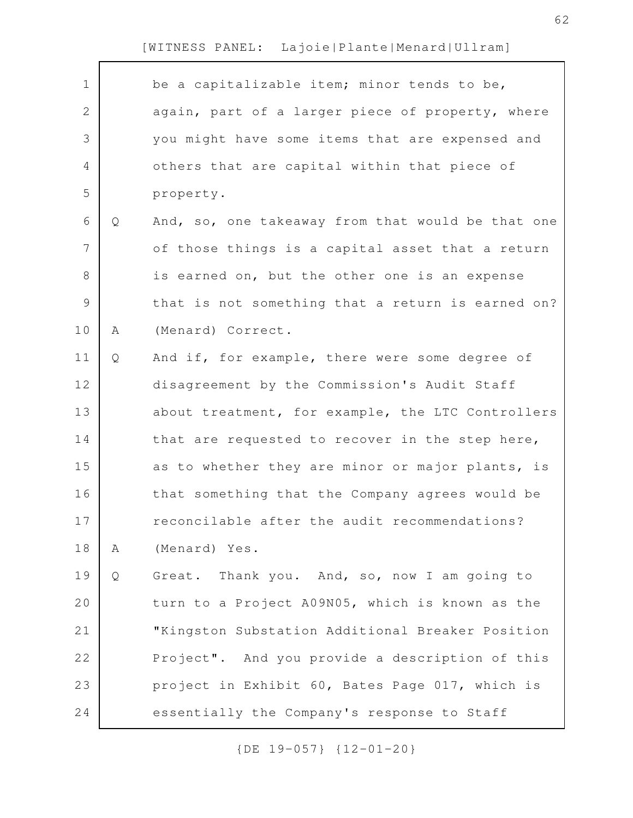|   | be a capitalizable item; minor tends to be,       |
|---|---------------------------------------------------|
|   | again, part of a larger piece of property, where  |
|   | you might have some items that are expensed and   |
|   | others that are capital within that piece of      |
|   | property.                                         |
| Q | And, so, one takeaway from that would be that one |
|   | of those things is a capital asset that a return  |
|   | is earned on, but the other one is an expense     |
|   | that is not something that a return is earned on? |
| Α | (Menard) Correct.                                 |
| Q | And if, for example, there were some degree of    |
|   | disagreement by the Commission's Audit Staff      |
|   | about treatment, for example, the LTC Controllers |
|   | that are requested to recover in the step here,   |
|   | as to whether they are minor or major plants, is  |
|   | that something that the Company agrees would be   |
|   | reconcilable after the audit recommendations?     |
| Α | (Menard) Yes.                                     |
| Q | Great. Thank you. And, so, now I am going to      |
|   | turn to a Project A09N05, which is known as the   |
|   | "Kingston Substation Additional Breaker Position  |
|   | Project". And you provide a description of this   |
|   | project in Exhibit 60, Bates Page 017, which is   |
|   | essentially the Company's response to Staff       |
|   |                                                   |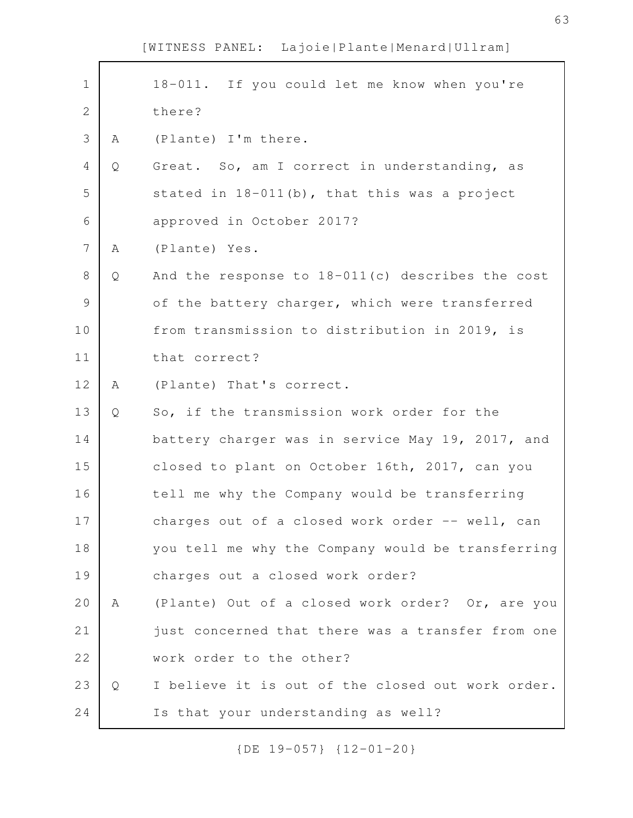| $\mathbf 1$    |   | 18-011. If you could let me know when you're       |
|----------------|---|----------------------------------------------------|
| $\sqrt{2}$     |   | there?                                             |
| 3              | Α | (Plante) I'm there.                                |
| 4              | Q | Great. So, am I correct in understanding, as       |
| 5              |   | stated in $18-011$ (b), that this was a project    |
| 6              |   | approved in October 2017?                          |
| $\overline{7}$ | Α | (Plante) Yes.                                      |
| 8              | Q | And the response to $18-011(c)$ describes the cost |
| $\mathcal{G}$  |   | of the battery charger, which were transferred     |
| 10             |   | from transmission to distribution in 2019, is      |
| 11             |   | that correct?                                      |
| 12             | Α | (Plante) That's correct.                           |
| 13             | Q | So, if the transmission work order for the         |
| 14             |   | battery charger was in service May 19, 2017, and   |
| 15             |   | closed to plant on October 16th, 2017, can you     |
| 16             |   | tell me why the Company would be transferring      |
| 17             |   | charges out of a closed work order -- well, can    |
| 18             |   | you tell me why the Company would be transferring  |
| 19             |   | charges out a closed work order?                   |
| 20             | Α | (Plante) Out of a closed work order? Or, are you   |
| 21             |   | just concerned that there was a transfer from one  |
| 22             |   | work order to the other?                           |
| 23             | Q | I believe it is out of the closed out work order.  |
| 24             |   | Is that your understanding as well?                |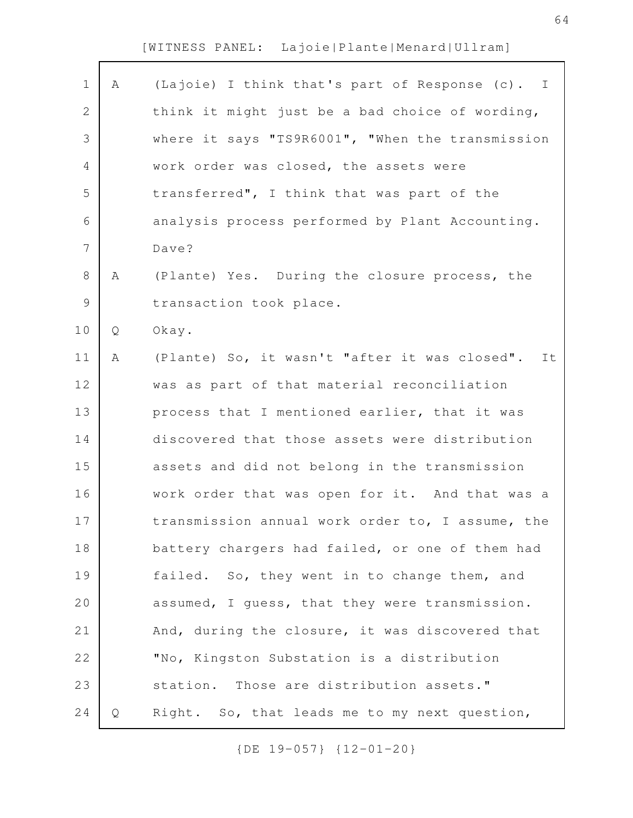| $\mathbf 1$ | Α | (Lajoie) I think that's part of Response (c). I  |
|-------------|---|--------------------------------------------------|
| $\mathbf 2$ |   | think it might just be a bad choice of wording,  |
| 3           |   | where it says "TS9R6001", "When the transmission |
| 4           |   | work order was closed, the assets were           |
| 5           |   | transferred", I think that was part of the       |
| 6           |   | analysis process performed by Plant Accounting.  |
| 7           |   | Dave?                                            |
| $8\,$       | Α | (Plante) Yes. During the closure process, the    |
| $\mathsf 9$ |   | transaction took place.                          |
| 10          | Q | Okay.                                            |
| 11          | Α | (Plante) So, it wasn't "after it was closed". It |
| 12          |   | was as part of that material reconciliation      |
| 13          |   | process that I mentioned earlier, that it was    |
| 14          |   | discovered that those assets were distribution   |
| 15          |   | assets and did not belong in the transmission    |
| 16          |   | work order that was open for it. And that was a  |
| 17          |   | transmission annual work order to, I assume, the |
| 18          |   | battery chargers had failed, or one of them had  |
| 19          |   | failed. So, they went in to change them, and     |
| 20          |   | assumed, I quess, that they were transmission.   |
| 21          |   | And, during the closure, it was discovered that  |
| 22          |   | "No, Kingston Substation is a distribution       |
| 23          |   | station. Those are distribution assets."         |
| 24          | Q | Right. So, that leads me to my next question,    |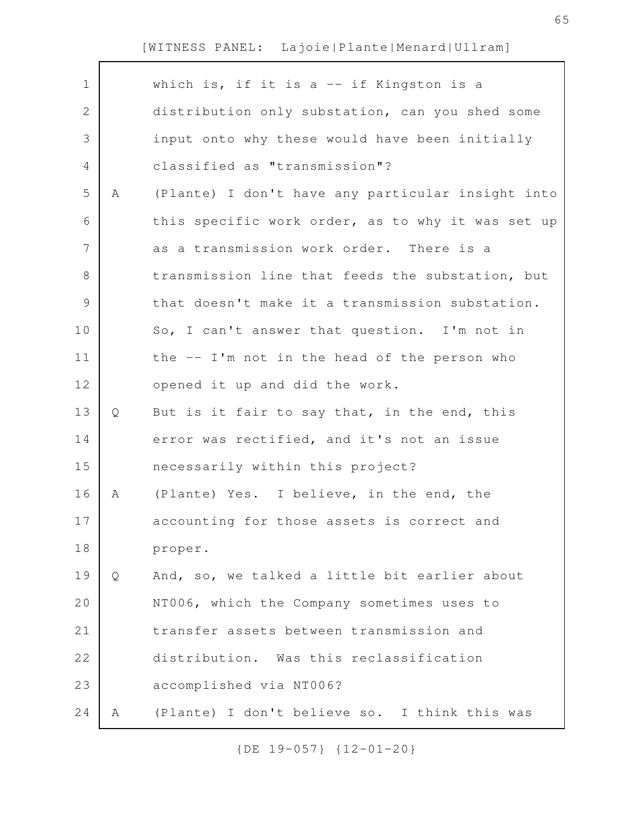|   | which is, if it is a -- if Kingston is a          |
|---|---------------------------------------------------|
|   | distribution only substation, can you shed some   |
|   | input onto why these would have been initially    |
|   | classified as "transmission"?                     |
| Α | (Plante) I don't have any particular insight into |
|   | this specific work order, as to why it was set up |
|   | as a transmission work order. There is a          |
|   | transmission line that feeds the substation, but  |
|   | that doesn't make it a transmission substation.   |
|   | So, I can't answer that question. I'm not in      |
|   | the -- I'm not in the head of the person who      |
|   | opened it up and did the work.                    |
| Q | But is it fair to say that, in the end, this      |
|   | error was rectified, and it's not an issue        |
|   | necessarily within this project?                  |
| A | (Plante) Yes. I believe, in the end, the          |
|   | accounting for those assets is correct and        |
|   | proper.                                           |
| Q | And, so, we talked a little bit earlier about     |
|   | NT006, which the Company sometimes uses to        |
|   | transfer assets between transmission and          |
|   | distribution. Was this reclassification           |
|   | accomplished via NT006?                           |
| A | (Plante) I don't believe so. I think this was     |
|   |                                                   |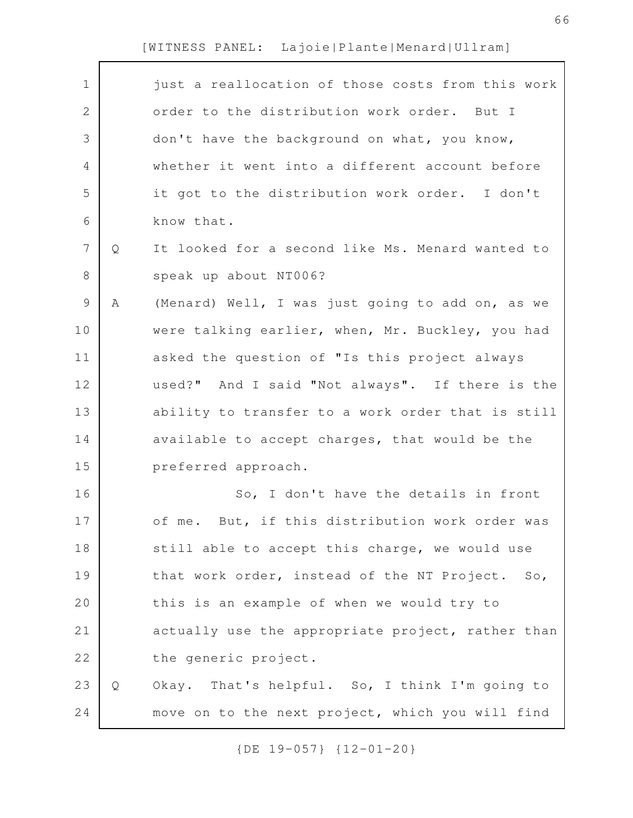$\mathbf{r}$ 

| $\mathbf 1$    |   | just a reallocation of those costs from this work |
|----------------|---|---------------------------------------------------|
| $\mathbf 2$    |   | order to the distribution work order. But I       |
| 3              |   | don't have the background on what, you know,      |
| 4              |   | whether it went into a different account before   |
| 5              |   | it got to the distribution work order. I don't    |
| 6              |   | know that.                                        |
| $\overline{7}$ | Q | It looked for a second like Ms. Menard wanted to  |
| 8              |   | speak up about NT006?                             |
| 9              | Α | (Menard) Well, I was just going to add on, as we  |
| 10             |   | were talking earlier, when, Mr. Buckley, you had  |
| 11             |   | asked the question of "Is this project always     |
| 12             |   | used?" And I said "Not always". If there is the   |
| 13             |   | ability to transfer to a work order that is still |
| 14             |   | available to accept charges, that would be the    |
| 15             |   | preferred approach.                               |
| 16             |   | So, I don't have the details in front             |
| 17             |   | of me. But, if this distribution work order was   |
| 18             |   | still able to accept this charge, we would use    |
| 19             |   | that work order, instead of the NT Project. So,   |
| 20             |   | this is an example of when we would try to        |
| 21             |   | actually use the appropriate project, rather than |
| 22             |   | the generic project.                              |
| 23             | Q | Okay. That's helpful. So, I think I'm going to    |
| 24             |   | move on to the next project, which you will find  |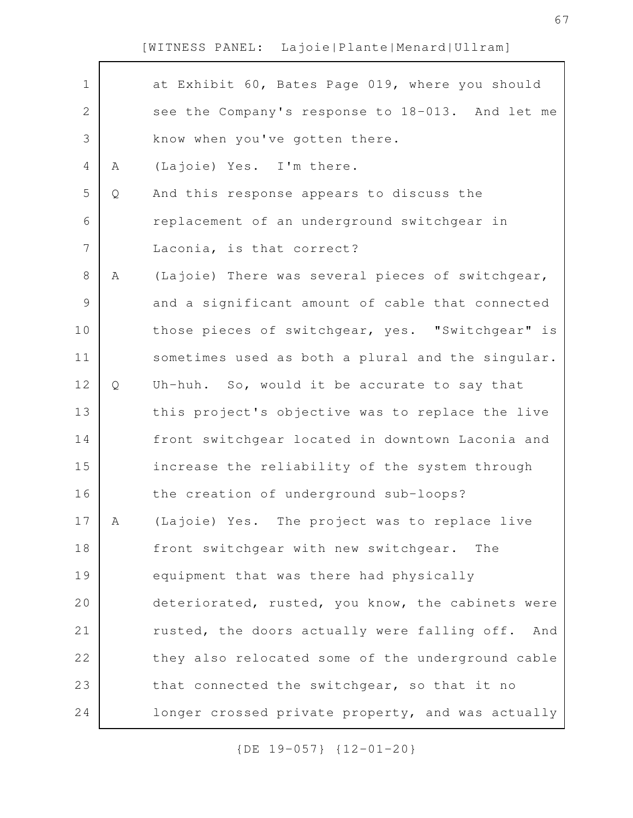| $\mathbf 1$    |   | at Exhibit 60, Bates Page 019, where you should   |
|----------------|---|---------------------------------------------------|
| $\mathbf{2}$   |   | see the Company's response to 18-013. And let me  |
| 3              |   | know when you've gotten there.                    |
| 4              | Α | (Lajoie) Yes. I'm there.                          |
| 5              | Q | And this response appears to discuss the          |
| 6              |   | replacement of an underground switchgear in       |
| $\overline{7}$ |   | Laconia, is that correct?                         |
| $8\,$          | Α | (Lajoie) There was several pieces of switchgear,  |
| 9              |   | and a significant amount of cable that connected  |
| 10             |   | those pieces of switchgear, yes. "Switchgear" is  |
| 11             |   | sometimes used as both a plural and the singular. |
| 12             | Q | Uh-huh. So, would it be accurate to say that      |
| 13             |   | this project's objective was to replace the live  |
| 14             |   | front switchgear located in downtown Laconia and  |
| 15             |   | increase the reliability of the system through    |
| 16             |   | the creation of underground sub-loops?            |
| 17             | A | (Lajoie) Yes. The project was to replace live     |
| 18             |   | front switchgear with new switchgear.<br>The      |
| 19             |   | equipment that was there had physically           |
| 20             |   | deteriorated, rusted, you know, the cabinets were |
| 21             |   | rusted, the doors actually were falling off. And  |
| 22             |   | they also relocated some of the underground cable |
| 23             |   | that connected the switchgear, so that it no      |
| 24             |   | longer crossed private property, and was actually |
|                |   |                                                   |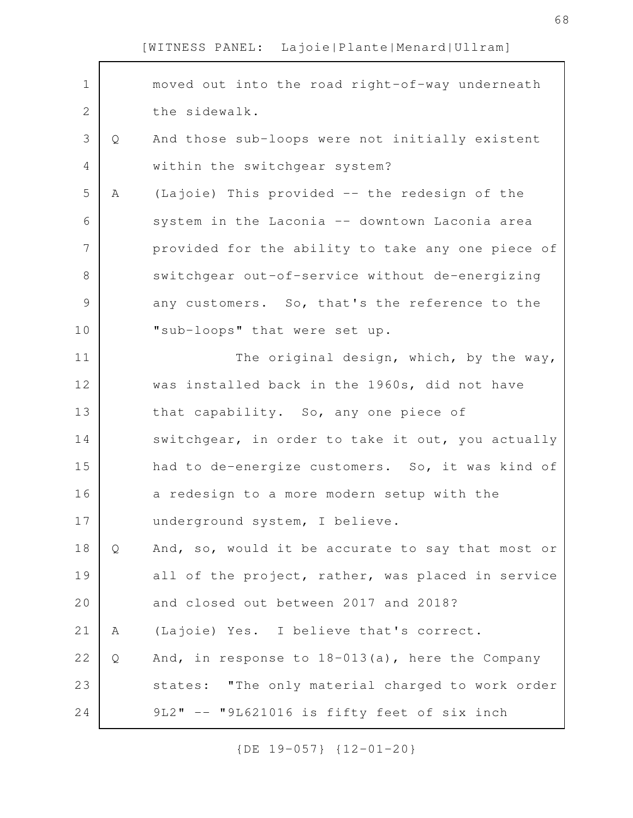| $\mathbf 1$   |   | moved out into the road right-of-way underneath    |
|---------------|---|----------------------------------------------------|
| 2             |   | the sidewalk.                                      |
| 3             | Q | And those sub-loops were not initially existent    |
| 4             |   | within the switchgear system?                      |
| 5             | Α | (Lajoie) This provided -- the redesign of the      |
| 6             |   | system in the Laconia -- downtown Laconia area     |
| 7             |   | provided for the ability to take any one piece of  |
| 8             |   | switchgear out-of-service without de-energizing    |
| $\mathcal{G}$ |   | any customers. So, that's the reference to the     |
| 10            |   | "sub-loops" that were set up.                      |
| 11            |   | The original design, which, by the way,            |
| 12            |   | was installed back in the 1960s, did not have      |
| 13            |   | that capability. So, any one piece of              |
| 14            |   | switchgear, in order to take it out, you actually  |
| 15            |   | had to de-energize customers. So, it was kind of   |
| 16            |   | a redesign to a more modern setup with the         |
| 17            |   | underground system, I believe.                     |
| 18            | Q | And, so, would it be accurate to say that most or  |
| 19            |   | all of the project, rather, was placed in service  |
| 20            |   | and closed out between 2017 and 2018?              |
| 21            | Α | (Lajoie) Yes. I believe that's correct.            |
| 22            | Q | And, in response to $18-013(a)$ , here the Company |
| 23            |   | states: "The only material charged to work order   |
| 24            |   | 9L2" -- "9L621016 is fifty feet of six inch        |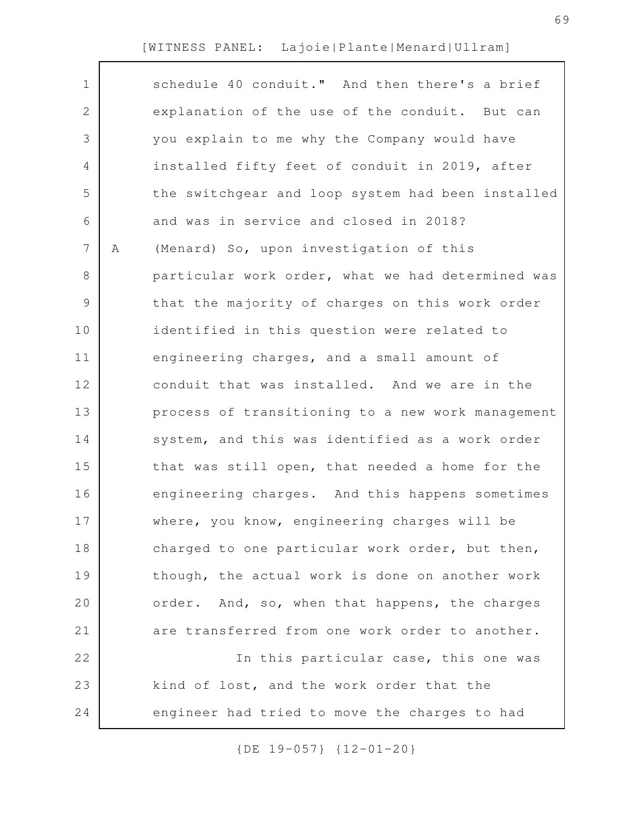| $\mathbf 1$    |   | schedule 40 conduit." And then there's a brief    |
|----------------|---|---------------------------------------------------|
| $\mathbf{2}$   |   | explanation of the use of the conduit. But can    |
| 3              |   | you explain to me why the Company would have      |
| 4              |   | installed fifty feet of conduit in 2019, after    |
| 5              |   | the switchgear and loop system had been installed |
| 6              |   | and was in service and closed in 2018?            |
| $\overline{7}$ | Α | (Menard) So, upon investigation of this           |
| 8              |   | particular work order, what we had determined was |
| 9              |   | that the majority of charges on this work order   |
| 10             |   | identified in this question were related to       |
| 11             |   | engineering charges, and a small amount of        |
| 12             |   | conduit that was installed. And we are in the     |
| 13             |   | process of transitioning to a new work management |
| 14             |   | system, and this was identified as a work order   |
| 15             |   | that was still open, that needed a home for the   |
| 16             |   | engineering charges. And this happens sometimes   |
| 17             |   | where, you know, engineering charges will be      |
| 18             |   | charged to one particular work order, but then,   |
| 19             |   | though, the actual work is done on another work   |
| 20             |   | order. And, so, when that happens, the charges    |
| 21             |   | are transferred from one work order to another.   |
| 22             |   | In this particular case, this one was             |
| 23             |   | kind of lost, and the work order that the         |
| 24             |   | engineer had tried to move the charges to had     |
|                |   |                                                   |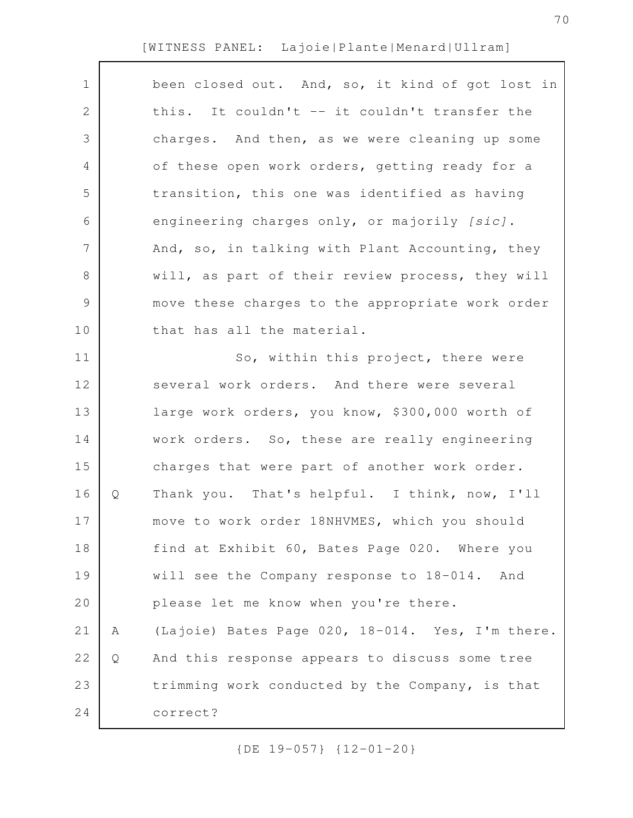| $\mathbf 1$    |   | been closed out. And, so, it kind of got lost in |
|----------------|---|--------------------------------------------------|
| $\mathbf{2}$   |   | this. It couldn't -- it couldn't transfer the    |
| 3              |   | charges. And then, as we were cleaning up some   |
| $\overline{4}$ |   | of these open work orders, getting ready for a   |
| 5              |   | transition, this one was identified as having    |
| 6              |   | engineering charges only, or majorily [sic].     |
| $\overline{7}$ |   | And, so, in talking with Plant Accounting, they  |
| $8\,$          |   | will, as part of their review process, they will |
| $\mathcal{G}$  |   | move these charges to the appropriate work order |
| 10             |   | that has all the material.                       |
| 11             |   | So, within this project, there were              |
| 12             |   | several work orders. And there were several      |
| 13             |   | large work orders, you know, \$300,000 worth of  |
| 14             |   | work orders. So, these are really engineering    |
| 15             |   | charges that were part of another work order.    |
| 16             | Q | Thank you. That's helpful. I think, now, I'll    |
| 17             |   | move to work order 18NHVMES, which you should    |
| 18             |   | find at Exhibit 60, Bates Page 020. Where you    |
| 19             |   | will see the Company response to 18-014. And     |
| 20             |   | please let me know when you're there.            |
| 21             | Α | (Lajoie) Bates Page 020, 18-014. Yes, I'm there. |
| 22             | Q | And this response appears to discuss some tree   |
| 23             |   | trimming work conducted by the Company, is that  |
| 24             |   | correct?                                         |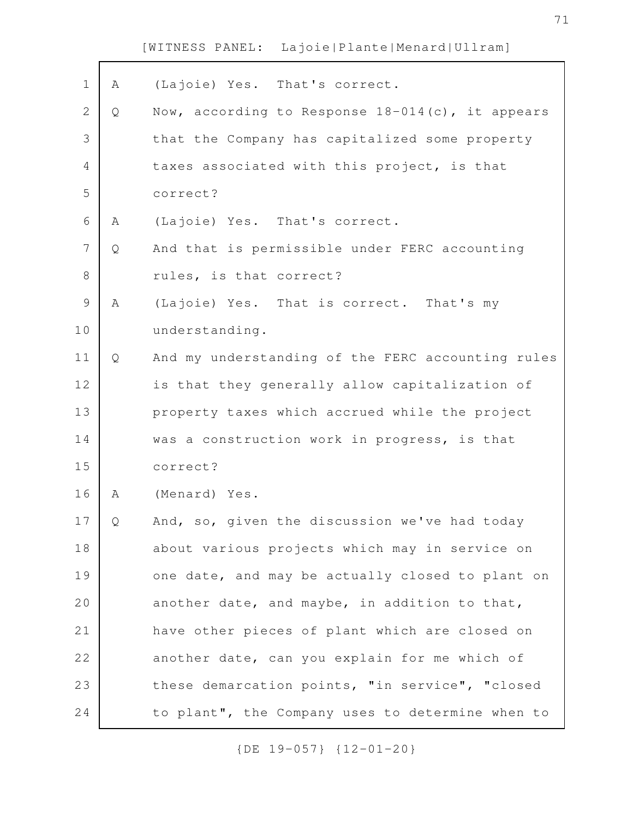| $\mathbf 1$   | Α | (Lajoie) Yes. That's correct.                       |
|---------------|---|-----------------------------------------------------|
| $\mathbf{2}$  | Q | Now, according to Response $18-014(c)$ , it appears |
| 3             |   | that the Company has capitalized some property      |
| 4             |   | taxes associated with this project, is that         |
| 5             |   | correct?                                            |
| 6             | Α | (Lajoie) Yes. That's correct.                       |
| 7             | Q | And that is permissible under FERC accounting       |
| $8\,$         |   | rules, is that correct?                             |
| $\mathcal{G}$ | Α | (Lajoie) Yes. That is correct. That's my            |
| 10            |   | understanding.                                      |
| 11            | Q | And my understanding of the FERC accounting rules   |
| 12            |   | is that they generally allow capitalization of      |
| 13            |   | property taxes which accrued while the project      |
| 14            |   | was a construction work in progress, is that        |
| 15            |   | correct?                                            |
| 16            | Α | (Menard) Yes.                                       |
| 17            | Q | And, so, given the discussion we've had today       |
| 18            |   | about various projects which may in service on      |
| 19            |   | one date, and may be actually closed to plant on    |
| 20            |   | another date, and maybe, in addition to that,       |
| 21            |   | have other pieces of plant which are closed on      |
| 22            |   | another date, can you explain for me which of       |
| 23            |   | these demarcation points, "in service", "closed     |
| 24            |   | to plant", the Company uses to determine when to    |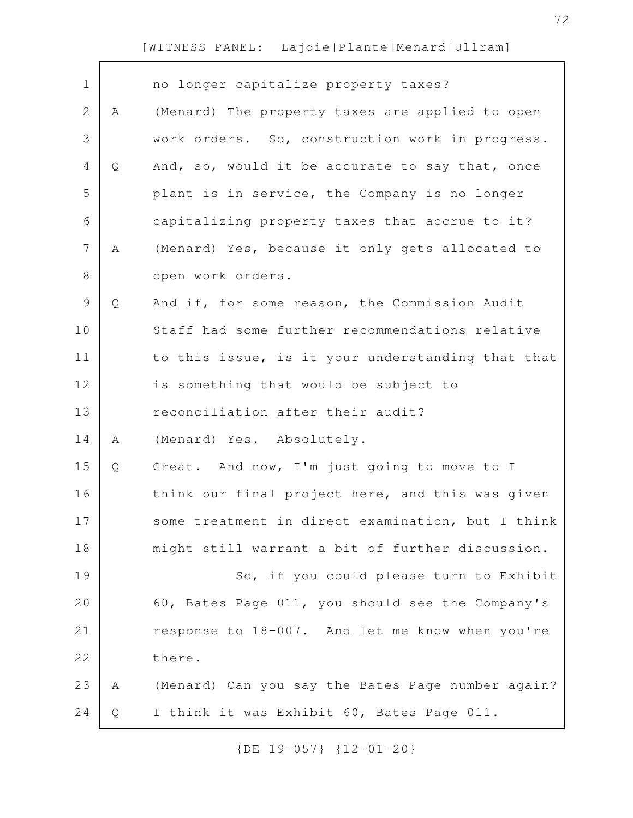| $\mathbf 1$    |   | no longer capitalize property taxes?              |
|----------------|---|---------------------------------------------------|
| $\overline{2}$ | A | (Menard) The property taxes are applied to open   |
| 3              |   | work orders. So, construction work in progress.   |
| 4              | Q | And, so, would it be accurate to say that, once   |
| 5              |   | plant is in service, the Company is no longer     |
| 6              |   | capitalizing property taxes that accrue to it?    |
| 7              | Α | (Menard) Yes, because it only gets allocated to   |
| 8              |   | open work orders.                                 |
| $\mathsf 9$    | Q | And if, for some reason, the Commission Audit     |
| 10             |   | Staff had some further recommendations relative   |
| 11             |   | to this issue, is it your understanding that that |
| 12             |   | is something that would be subject to             |
| 13             |   | reconciliation after their audit?                 |
| 14             | Α | (Menard) Yes. Absolutely.                         |
| 15             | Q | Great. And now, I'm just going to move to I       |
| 16             |   | think our final project here, and this was given  |
| 17             |   | some treatment in direct examination, but I think |
| 18             |   | might still warrant a bit of further discussion.  |
| 19             |   | So, if you could please turn to Exhibit           |
| 20             |   | 60, Bates Page 011, you should see the Company's  |
| 21             |   | response to 18-007. And let me know when you're   |
| 22             |   | there.                                            |
| 23             | A | (Menard) Can you say the Bates Page number again? |
| 24             | Q | I think it was Exhibit 60, Bates Page 011.        |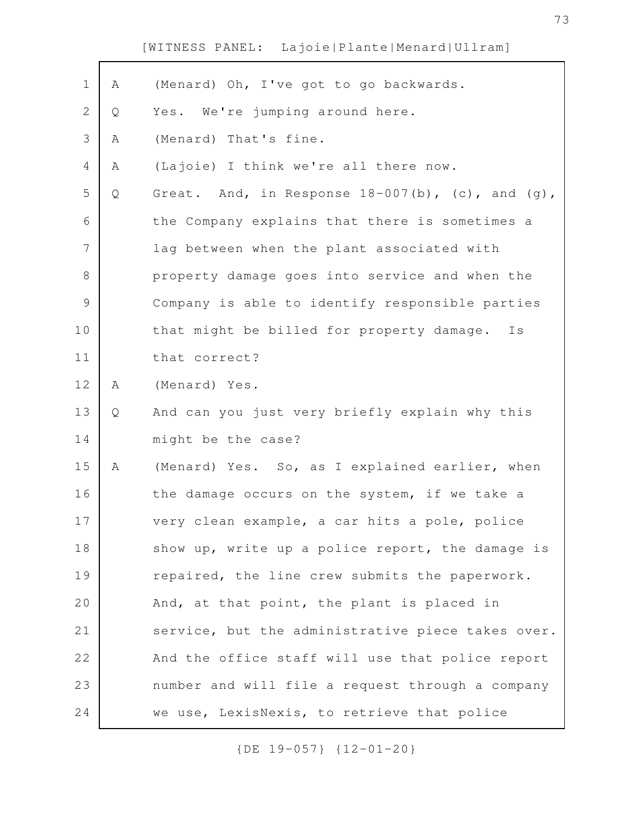| $\mathbf 1$   | Α | (Menard) Oh, I've got to go backwards.            |
|---------------|---|---------------------------------------------------|
| 2             | Q | Yes. We're jumping around here.                   |
| 3             | Α | (Menard) That's fine.                             |
| 4             | Α | (Lajoie) I think we're all there now.             |
| 5             | Q | Great. And, in Response 18-007(b), (c), and (g),  |
| 6             |   | the Company explains that there is sometimes a    |
| 7             |   | lag between when the plant associated with        |
| 8             |   | property damage goes into service and when the    |
| $\mathcal{G}$ |   | Company is able to identify responsible parties   |
| 10            |   | that might be billed for property damage.<br>Ιs   |
| 11            |   | that correct?                                     |
| 12            | Α | (Menard) Yes.                                     |
| 13            | Q | And can you just very briefly explain why this    |
| 14            |   | might be the case?                                |
| 15            | Α | (Menard) Yes. So, as I explained earlier, when    |
| 16            |   | the damage occurs on the system, if we take a     |
| 17            |   | very clean example, a car hits a pole, police     |
| 18            |   | show up, write up a police report, the damage is  |
| 19            |   | repaired, the line crew submits the paperwork.    |
| 20            |   | And, at that point, the plant is placed in        |
| 21            |   | service, but the administrative piece takes over. |
| 22            |   | And the office staff will use that police report  |
| 23            |   | number and will file a request through a company  |
| 24            |   | we use, LexisNexis, to retrieve that police       |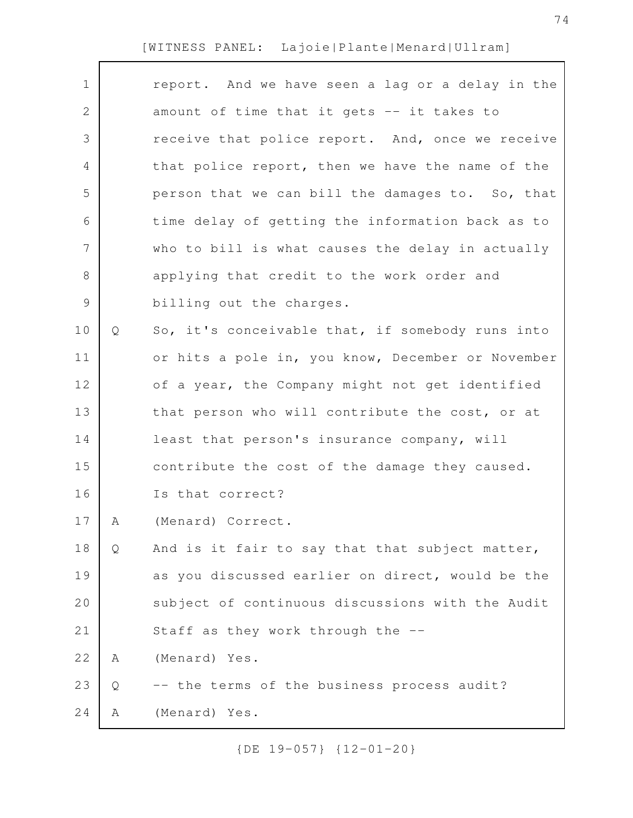| $\mathbf 1$    |   | report. And we have seen a lag or a delay in the  |
|----------------|---|---------------------------------------------------|
| $\mathbf{2}$   |   | amount of time that it gets -- it takes to        |
| 3              |   | receive that police report. And, once we receive  |
| 4              |   | that police report, then we have the name of the  |
| 5              |   | person that we can bill the damages to. So, that  |
| 6              |   | time delay of getting the information back as to  |
| $\overline{7}$ |   | who to bill is what causes the delay in actually  |
| 8              |   | applying that credit to the work order and        |
| $\mathcal{G}$  |   | billing out the charges.                          |
| 10             | Q | So, it's conceivable that, if somebody runs into  |
| 11             |   | or hits a pole in, you know, December or November |
| 12             |   | of a year, the Company might not get identified   |
| 13             |   | that person who will contribute the cost, or at   |
| 14             |   | least that person's insurance company, will       |
| 15             |   | contribute the cost of the damage they caused.    |
| 16             |   | Is that correct?                                  |
| 17             | A | (Menard) Correct                                  |
| 18             | Q | And is it fair to say that that subject matter,   |
| 19             |   | as you discussed earlier on direct, would be the  |
| 20             |   | subject of continuous discussions with the Audit  |
| 21             |   | Staff as they work through the --                 |
| 22             | A | (Menard) Yes.                                     |
| 23             | Q | -- the terms of the business process audit?       |
| 24             | Α | (Menard) Yes.                                     |
|                |   |                                                   |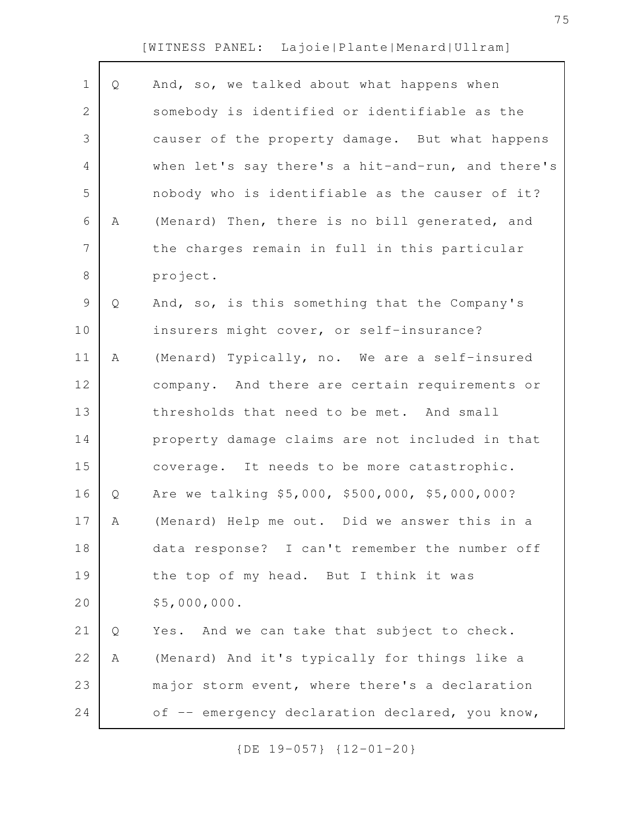| $\mathbf 1$    | Q | And, so, we talked about what happens when        |
|----------------|---|---------------------------------------------------|
| $\mathbf 2$    |   | somebody is identified or identifiable as the     |
| 3              |   | causer of the property damage. But what happens   |
| 4              |   | when let's say there's a hit-and-run, and there's |
| 5              |   | nobody who is identifiable as the causer of it?   |
| 6              | Α | (Menard) Then, there is no bill generated, and    |
| $\overline{7}$ |   | the charges remain in full in this particular     |
| 8              |   | project.                                          |
| $\mathsf 9$    | Q | And, so, is this something that the Company's     |
| 10             |   | insurers might cover, or self-insurance?          |
| 11             | Α | (Menard) Typically, no. We are a self-insured     |
| 12             |   | company. And there are certain requirements or    |
| 13             |   | thresholds that need to be met. And small         |
| 14             |   | property damage claims are not included in that   |
| 15             |   | coverage. It needs to be more catastrophic.       |
| 16             | Q | Are we talking \$5,000, \$500,000, \$5,000,000?   |
| 17             | Α | (Menard) Help me out. Did we answer this in a     |
| 18             |   | data response? I can't remember the number off    |
| 19             |   | the top of my head. But I think it was            |
| 20             |   | \$5,000,000.                                      |
| 21             | Q | Yes. And we can take that subject to check.       |
| 22             | Α | (Menard) And it's typically for things like a     |
| 23             |   | major storm event, where there's a declaration    |
| 24             |   | of -- emergency declaration declared, you know,   |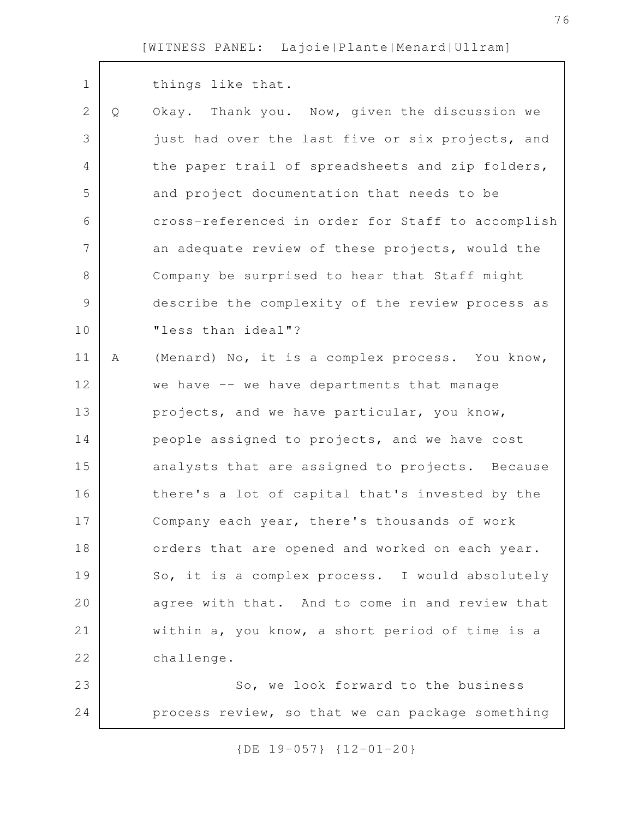| $\mathbf 1$    |   | things like that.                                 |
|----------------|---|---------------------------------------------------|
| $\mathbf{2}$   | Q | Okay. Thank you. Now, given the discussion we     |
| 3              |   | just had over the last five or six projects, and  |
| $\overline{4}$ |   | the paper trail of spreadsheets and zip folders,  |
| 5              |   | and project documentation that needs to be        |
| 6              |   | cross-referenced in order for Staff to accomplish |
| 7              |   | an adequate review of these projects, would the   |
| 8              |   | Company be surprised to hear that Staff might     |
| $\mathcal{G}$  |   | describe the complexity of the review process as  |
| 10             |   | "less than ideal"?                                |
| 11             | Α | (Menard) No, it is a complex process. You know,   |
| 12             |   | we have -- we have departments that manage        |
| 13             |   | projects, and we have particular, you know,       |
| 14             |   | people assigned to projects, and we have cost     |
| 15             |   | analysts that are assigned to projects. Because   |
| 16             |   | there's a lot of capital that's invested by the   |
| 17             |   | Company each year, there's thousands of work      |
| 18             |   | orders that are opened and worked on each year.   |
| 19             |   | So, it is a complex process. I would absolutely   |
| 20             |   | agree with that. And to come in and review that   |
| 21             |   | within a, you know, a short period of time is a   |
| 22             |   | challenge.                                        |
| 23             |   | So, we look forward to the business               |
| 24             |   | process review, so that we can package something  |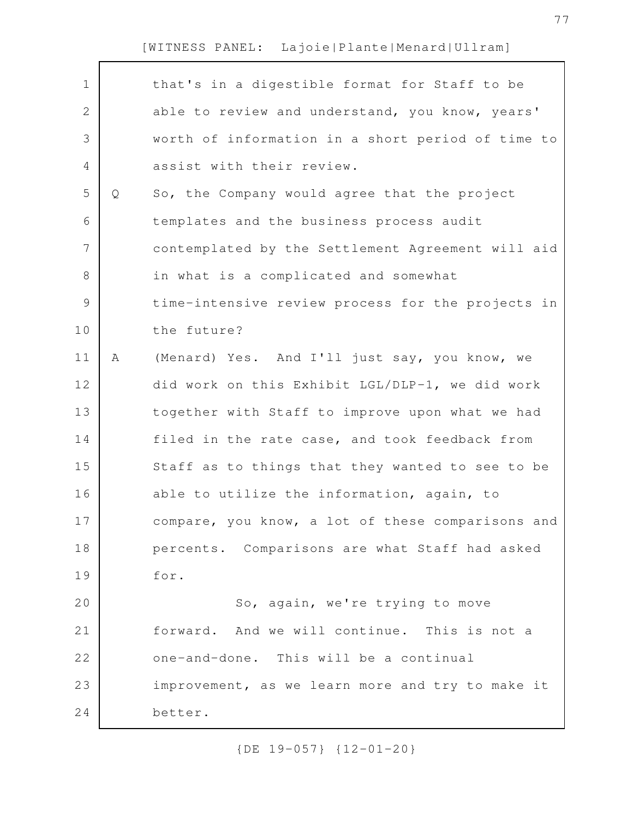| $\mathbf 1$ |   | that's in a digestible format for Staff to be     |
|-------------|---|---------------------------------------------------|
| 2           |   | able to review and understand, you know, years'   |
| 3           |   | worth of information in a short period of time to |
| 4           |   | assist with their review.                         |
| 5           | Q | So, the Company would agree that the project      |
| 6           |   | templates and the business process audit          |
| 7           |   | contemplated by the Settlement Agreement will aid |
| $8\,$       |   | in what is a complicated and somewhat             |
| $\mathsf 9$ |   | time-intensive review process for the projects in |
| 10          |   | the future?                                       |
| 11          | Α | (Menard) Yes. And I'll just say, you know, we     |
| 12          |   | did work on this Exhibit LGL/DLP-1, we did work   |
| 13          |   | together with Staff to improve upon what we had   |
| 14          |   | filed in the rate case, and took feedback from    |
| 15          |   | Staff as to things that they wanted to see to be  |
| 16          |   | able to utilize the information, again, to        |
| 17          |   | compare, you know, a lot of these comparisons and |
| 18          |   | percents. Comparisons are what Staff had asked    |
| 19          |   | for.                                              |
| 20          |   | So, again, we're trying to move                   |
| 21          |   | forward. And we will continue. This is not a      |
| 22          |   | one-and-done. This will be a continual            |
| 23          |   | improvement, as we learn more and try to make it  |
| 24          |   | better.                                           |
|             |   |                                                   |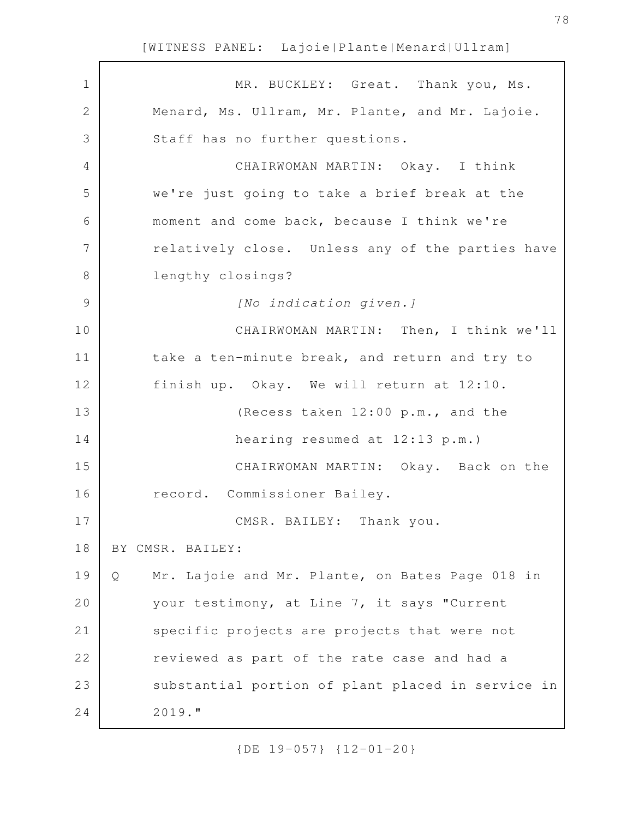| $\mathbf 1$   | MR. BUCKLEY: Great. Thank you, Ms.                   |
|---------------|------------------------------------------------------|
| 2             | Menard, Ms. Ullram, Mr. Plante, and Mr. Lajoie.      |
| 3             | Staff has no further questions.                      |
| 4             | CHAIRWOMAN MARTIN: Okay. I think                     |
| 5             | we're just going to take a brief break at the        |
| 6             | moment and come back, because I think we're          |
| 7             | relatively close. Unless any of the parties have     |
| 8             | lengthy closings?                                    |
| $\mathcal{G}$ | [No indication given.]                               |
| 10            | CHAIRWOMAN MARTIN: Then, I think we'll               |
| 11            | take a ten-minute break, and return and try to       |
| 12            | finish up. Okay. We will return at 12:10.            |
| 13            | (Recess taken 12:00 p.m., and the                    |
| 14            | hearing resumed at 12:13 p.m.)                       |
| 15            | CHAIRWOMAN MARTIN: Okay. Back on the                 |
| 16            | record. Commissioner Bailey.                         |
| 17            | CMSR. BAILEY: Thank you.                             |
| 18            | BY CMSR. BAILEY:                                     |
| 19            | Mr. Lajoie and Mr. Plante, on Bates Page 018 in<br>Q |
| 20            | your testimony, at Line 7, it says "Current          |
| 21            | specific projects are projects that were not         |
| 22            | reviewed as part of the rate case and had a          |
| 23            | substantial portion of plant placed in service in    |
| 24            | $2019.$ "                                            |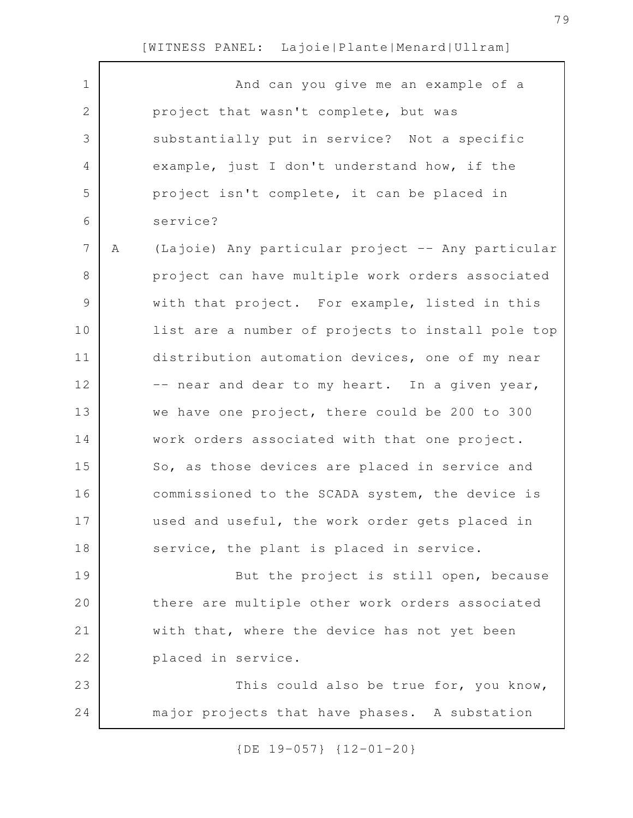$\sqrt{ }$ 

| $\mathbf 1$   |   | And can you give me an example of a               |
|---------------|---|---------------------------------------------------|
| $\mathbf{2}$  |   | project that wasn't complete, but was             |
| 3             |   | substantially put in service? Not a specific      |
| 4             |   | example, just I don't understand how, if the      |
| 5             |   | project isn't complete, it can be placed in       |
| 6             |   | service?                                          |
| 7             | Α | (Lajoie) Any particular project -- Any particular |
| 8             |   | project can have multiple work orders associated  |
| $\mathcal{G}$ |   | with that project. For example, listed in this    |
| 10            |   | list are a number of projects to install pole top |
| 11            |   | distribution automation devices, one of my near   |
| 12            |   | -- near and dear to my heart. In a given year,    |
| 13            |   | we have one project, there could be 200 to 300    |
| 14            |   | work orders associated with that one project.     |
| 15            |   | So, as those devices are placed in service and    |
| 16            |   | commissioned to the SCADA system, the device is   |
| 17            |   | used and useful, the work order gets placed in    |
| 18            |   | service, the plant is placed in service.          |
| 19            |   | But the project is still open, because            |
| 20            |   | there are multiple other work orders associated   |
| 21            |   | with that, where the device has not yet been      |
| 22            |   | placed in service.                                |
| 23            |   | This could also be true for, you know,            |
| 24            |   | major projects that have phases. A substation     |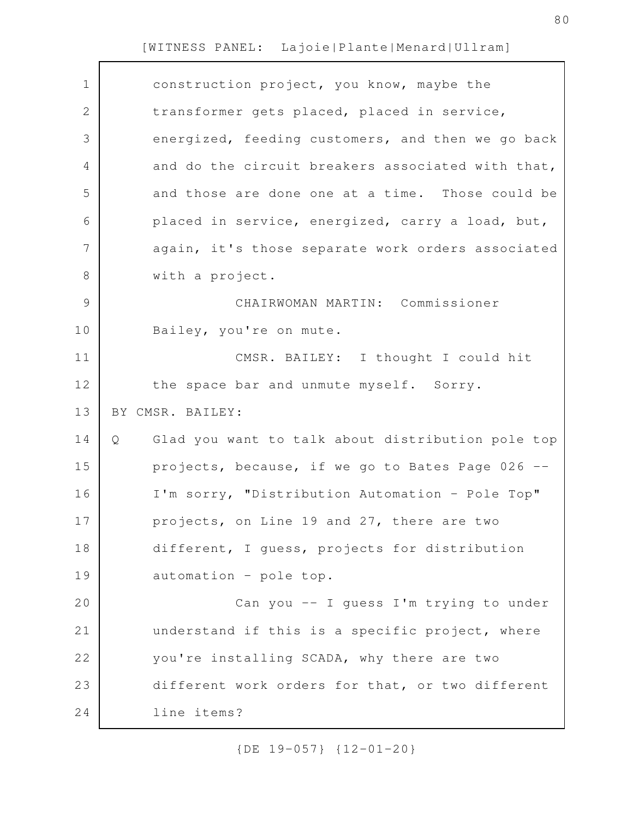| $\mathbf 1$    | construction project, you know, maybe the              |
|----------------|--------------------------------------------------------|
| $\overline{2}$ | transformer gets placed, placed in service,            |
| 3              | energized, feeding customers, and then we go back      |
| 4              | and do the circuit breakers associated with that,      |
| 5              | and those are done one at a time. Those could be       |
| 6              | placed in service, energized, carry a load, but,       |
| 7              | again, it's those separate work orders associated      |
| 8              | with a project.                                        |
| $\mathcal{G}$  | CHAIRWOMAN MARTIN: Commissioner                        |
| 10             | Bailey, you're on mute.                                |
| 11             | CMSR. BAILEY: I thought I could hit                    |
| 12             | the space bar and unmute myself. Sorry.                |
|                |                                                        |
| 13             | BY CMSR. BAILEY:                                       |
| 14             | Glad you want to talk about distribution pole top<br>Q |
| 15             | projects, because, if we go to Bates Page 026 --       |
| 16             | I'm sorry, "Distribution Automation - Pole Top"        |
| 17             | projects, on Line 19 and 27, there are two             |
| 18             | different, I guess, projects for distribution          |
| 19             | automation - pole top.                                 |
| 20             | Can you -- I quess I'm trying to under                 |
| 21             | understand if this is a specific project, where        |
| 22             | you're installing SCADA, why there are two             |
| 23             | different work orders for that, or two different       |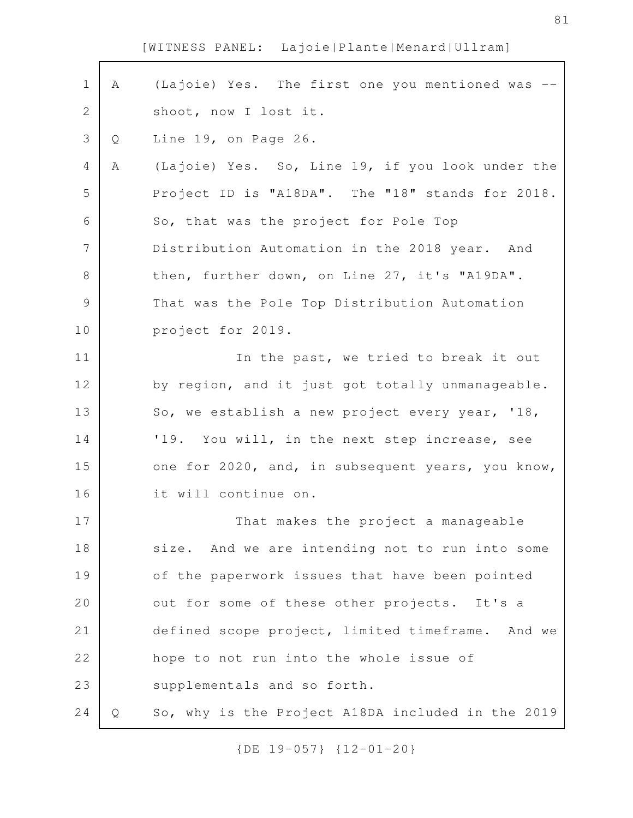| $\mathbf 1$ | A | (Lajoie) Yes. The first one you mentioned was     |
|-------------|---|---------------------------------------------------|
| 2           |   | shoot, now I lost it.                             |
| 3           | Q | Line 19, on Page 26.                              |
| 4           | Α | (Lajoie) Yes. So, Line 19, if you look under the  |
| 5           |   | Project ID is "A18DA". The "18" stands for 2018.  |
| 6           |   | So, that was the project for Pole Top             |
| 7           |   | Distribution Automation in the 2018 year. And     |
| $\,8\,$     |   | then, further down, on Line 27, it's "A19DA".     |
| $\mathsf 9$ |   | That was the Pole Top Distribution Automation     |
| 10          |   | project for 2019.                                 |
| 11          |   | In the past, we tried to break it out             |
| 12          |   | by region, and it just got totally unmanageable.  |
| 13          |   | So, we establish a new project every year, '18,   |
| 14          |   | '19. You will, in the next step increase, see     |
| 15          |   | one for 2020, and, in subsequent years, you know, |
| 16          |   | it will continue on.                              |
| 17          |   | That makes the project a manageable               |
| 18          |   | size. And we are intending not to run into some   |
| 19          |   | of the paperwork issues that have been pointed    |
| 20          |   | out for some of these other projects. It's a      |
| 21          |   | defined scope project, limited timeframe. And we  |
| 22          |   | hope to not run into the whole issue of           |
| 23          |   | supplementals and so forth.                       |
| 24          | Q | So, why is the Project A18DA included in the 2019 |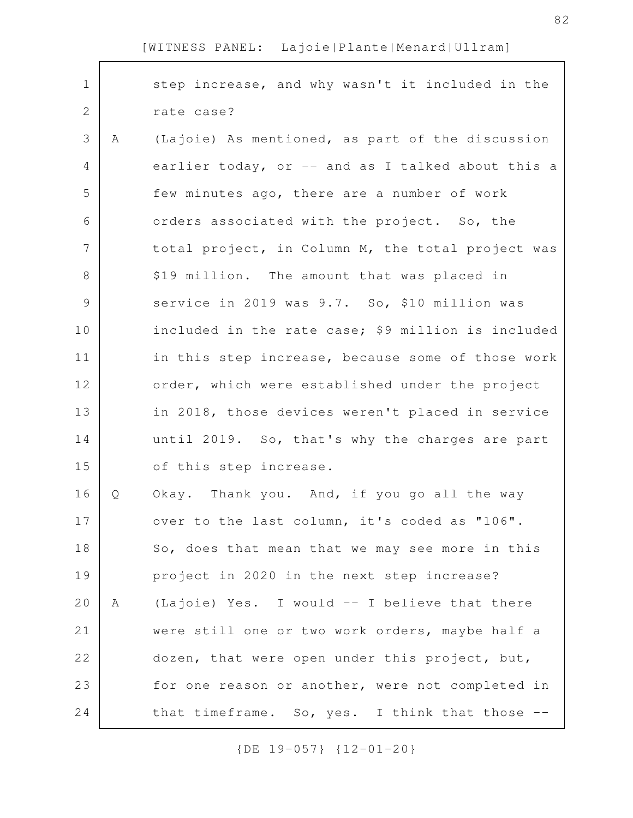| $\mathbf 1$    |   | step increase, and why wasn't it included in the   |
|----------------|---|----------------------------------------------------|
| $\mathbf{2}$   |   | rate case?                                         |
| 3              | Α | (Lajoie) As mentioned, as part of the discussion   |
| 4              |   | earlier today, or -- and as I talked about this a  |
| 5              |   | few minutes ago, there are a number of work        |
| 6              |   | orders associated with the project. So, the        |
| $\overline{7}$ |   | total project, in Column M, the total project was  |
| $8\,$          |   | \$19 million. The amount that was placed in        |
| 9              |   | service in 2019 was 9.7. So, \$10 million was      |
| 10             |   | included in the rate case; \$9 million is included |
| 11             |   | in this step increase, because some of those work  |
| 12             |   | order, which were established under the project    |
| 13             |   | in 2018, those devices weren't placed in service   |
| 14             |   | until 2019. So, that's why the charges are part    |
| 15             |   | of this step increase.                             |
| 16             | Q | Okay. Thank you. And, if you go all the way        |
| 17             |   | over to the last column, it's coded as "106".      |
| 18             |   | So, does that mean that we may see more in this    |
| 19             |   | project in 2020 in the next step increase?         |
| 20             | A | (Lajoie) Yes. I would -- I believe that there      |
| 21             |   | were still one or two work orders, maybe half a    |
| 22             |   | dozen, that were open under this project, but,     |
| 23             |   | for one reason or another, were not completed in   |
| 24             |   | that timeframe. So, yes. I think that those --     |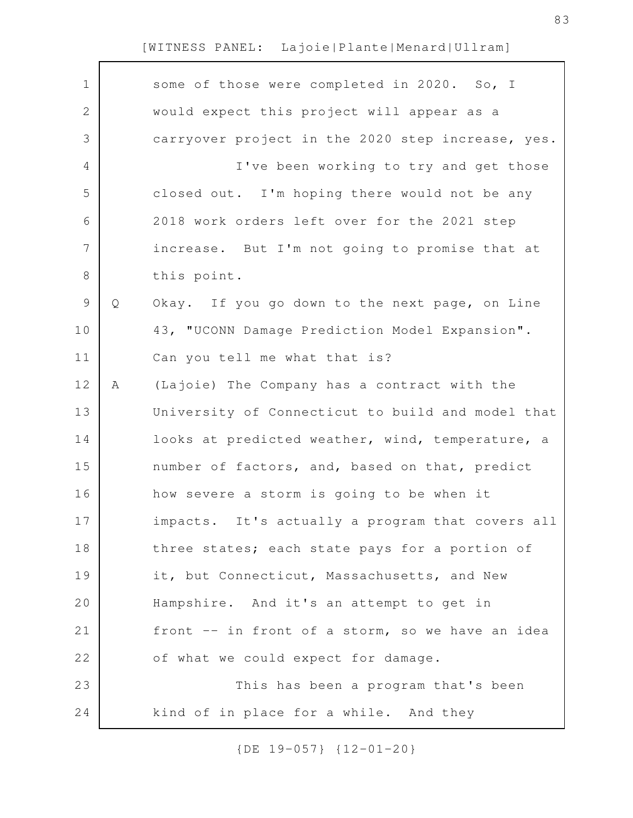| $\mathbf 1$    |   | some of those were completed in 2020. So, I       |
|----------------|---|---------------------------------------------------|
| $\mathbf{2}$   |   | would expect this project will appear as a        |
| 3              |   | carryover project in the 2020 step increase, yes. |
| 4              |   | I've been working to try and get those            |
| 5              |   | closed out. I'm hoping there would not be any     |
| 6              |   | 2018 work orders left over for the 2021 step      |
| $\overline{7}$ |   | increase. But I'm not going to promise that at    |
| 8              |   | this point.                                       |
| $\mathsf 9$    | Q | Okay. If you go down to the next page, on Line    |
| 10             |   | 43, "UCONN Damage Prediction Model Expansion".    |
| 11             |   | Can you tell me what that is?                     |
| 12             | Α | (Lajoie) The Company has a contract with the      |
| 13             |   | University of Connecticut to build and model that |
| 14             |   | looks at predicted weather, wind, temperature, a  |
| 15             |   | number of factors, and, based on that, predict    |
| 16             |   | how severe a storm is going to be when it         |
| 17             |   | impacts. It's actually a program that covers all  |
| 18             |   | three states; each state pays for a portion of    |
| 19             |   | it, but Connecticut, Massachusetts, and New       |
| 20             |   | Hampshire. And it's an attempt to get in          |
| 21             |   | front -- in front of a storm, so we have an idea  |
| 22             |   | of what we could expect for damage.               |
| 23             |   | This has been a program that's been               |
| 24             |   | kind of in place for a while. And they            |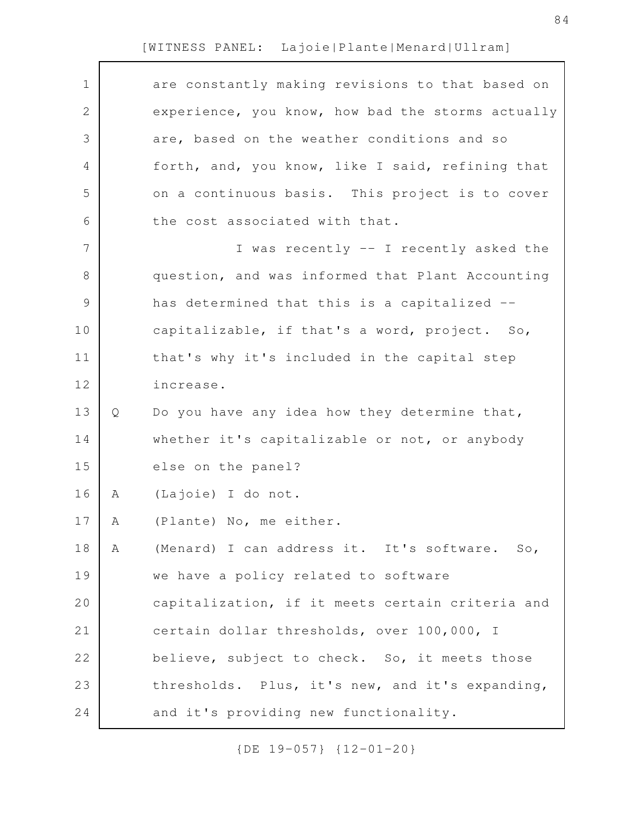| $\mathbf 1$   |   | are constantly making revisions to that based on  |
|---------------|---|---------------------------------------------------|
| $\mathbf{2}$  |   | experience, you know, how bad the storms actually |
| 3             |   | are, based on the weather conditions and so       |
| 4             |   | forth, and, you know, like I said, refining that  |
| 5             |   | on a continuous basis. This project is to cover   |
| 6             |   | the cost associated with that.                    |
| 7             |   | I was recently -- I recently asked the            |
| $\,8\,$       |   | question, and was informed that Plant Accounting  |
| $\mathcal{G}$ |   | has determined that this is a capitalized --      |
| 10            |   | capitalizable, if that's a word, project. So,     |
| 11            |   | that's why it's included in the capital step      |
| 12            |   | increase.                                         |
| 13            | Q | Do you have any idea how they determine that,     |
| 14            |   | whether it's capitalizable or not, or anybody     |
| 15            |   | else on the panel?                                |
| 16            | Α | (Lajoie) I do not.                                |
| 17            | A | (Plante) No, me either.                           |
| 18            | Α | (Menard) I can address it. It's software. So,     |
| 19            |   | we have a policy related to software              |
| 20            |   | capitalization, if it meets certain criteria and  |
| 21            |   | certain dollar thresholds, over 100,000, I        |
| 22            |   | believe, subject to check. So, it meets those     |
| 23            |   | thresholds. Plus, it's new, and it's expanding,   |
| 24            |   | and it's providing new functionality.             |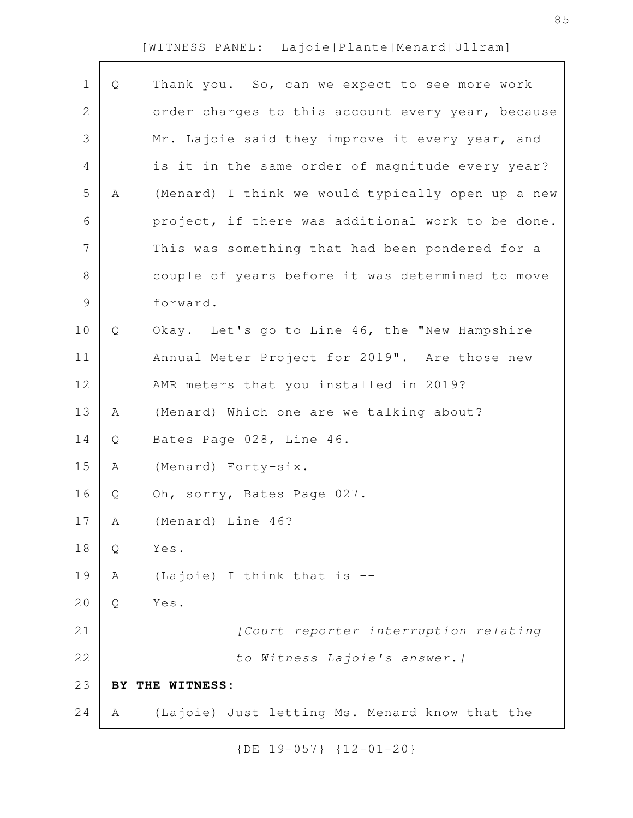| Q | Thank you. So, can we expect to see more work     |
|---|---------------------------------------------------|
|   | order charges to this account every year, because |
|   | Mr. Lajoie said they improve it every year, and   |
|   | is it in the same order of magnitude every year?  |
| Α | (Menard) I think we would typically open up a new |
|   | project, if there was additional work to be done. |
|   | This was something that had been pondered for a   |
|   | couple of years before it was determined to move  |
|   | forward.                                          |
| Q | Okay. Let's go to Line 46, the "New Hampshire     |
|   | Annual Meter Project for 2019". Are those new     |
|   | AMR meters that you installed in 2019?            |
| Α | (Menard) Which one are we talking about?          |
| Q | Bates Page 028, Line 46.                          |
| Α | (Menard) Forty-six.                               |
| Q | Oh, sorry, Bates Page 027.                        |
| A | (Menard) Line 46?                                 |
| Q | Yes.                                              |
| Α | (Lajoie) I think that is --                       |
| Q | Yes.                                              |
|   | [Court reporter interruption relating             |
|   | to Witness Lajoie's answer. ]                     |
|   | BY THE WITNESS:                                   |
| Α | (Lajoie) Just letting Ms. Menard know that the    |
|   |                                                   |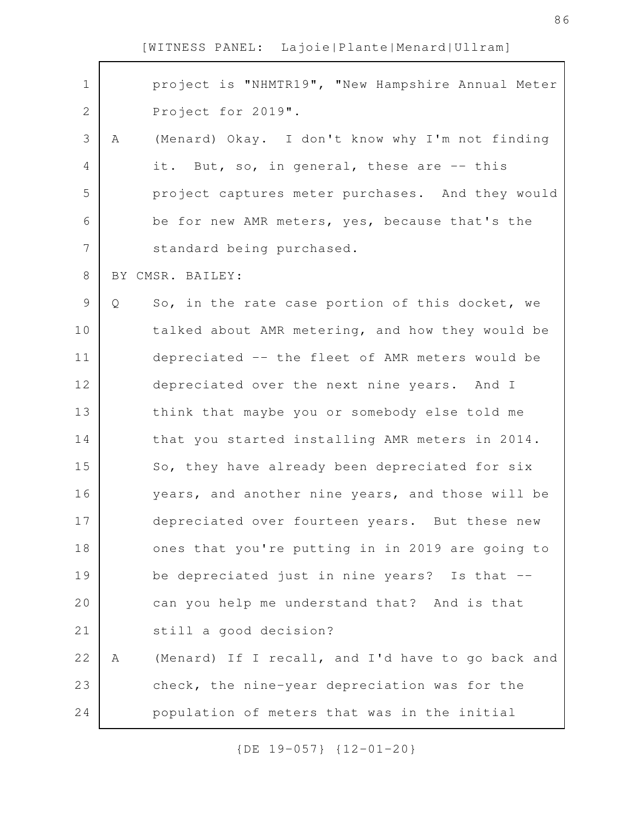| $\mathbf 1$  | project is "NHMTR19", "New Hampshire Annual Meter      |
|--------------|--------------------------------------------------------|
| $\mathbf{2}$ | Project for 2019".                                     |
| 3            | (Menard) Okay. I don't know why I'm not finding<br>Α   |
| 4            | it. But, so, in general, these are -- this             |
| 5            | project captures meter purchases. And they would       |
| 6            | be for new AMR meters, yes, because that's the         |
| 7            | standard being purchased.                              |
| 8            | BY CMSR. BAILEY:                                       |
| 9            | So, in the rate case portion of this docket, we<br>Q   |
| 10           | talked about AMR metering, and how they would be       |
| 11           | depreciated -- the fleet of AMR meters would be        |
| 12           | depreciated over the next nine years. And I            |
| 13           | think that maybe you or somebody else told me          |
| 14           | that you started installing AMR meters in 2014.        |
| 15           | So, they have already been depreciated for six         |
| 16           | years, and another nine years, and those will be       |
| 17           | depreciated over fourteen years. But these new         |
| 18           | ones that you're putting in in 2019 are going to       |
| 19           | be depreciated just in nine years? Is that --          |
| 20           | can you help me understand that? And is that           |
| 21           | still a good decision?                                 |
| 22           | (Menard) If I recall, and I'd have to go back and<br>Α |
| 23           | check, the nine-year depreciation was for the          |
| 24           | population of meters that was in the initial           |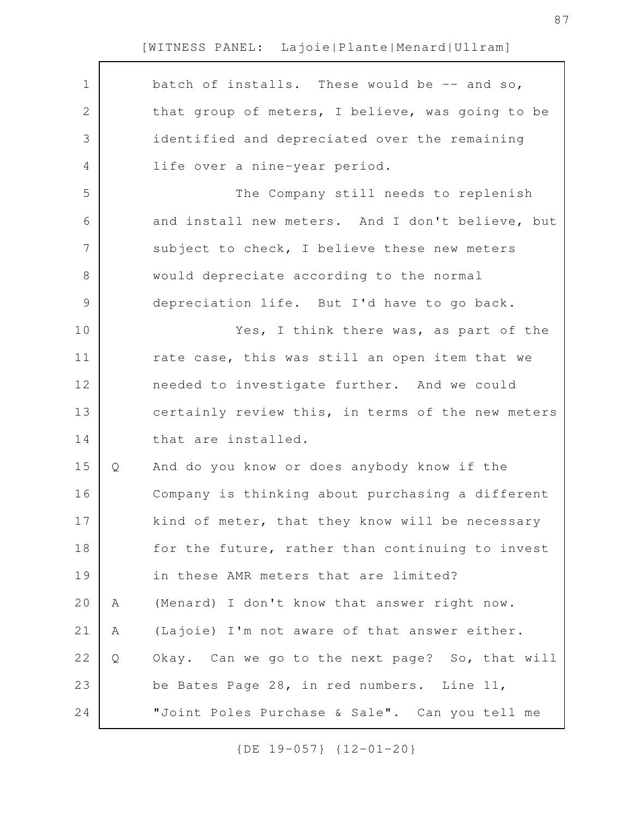|   | batch of installs. These would be -- and so,      |
|---|---------------------------------------------------|
|   | that group of meters, I believe, was going to be  |
|   | identified and depreciated over the remaining     |
|   | life over a nine-year period.                     |
|   | The Company still needs to replenish              |
|   | and install new meters. And I don't believe, but  |
|   | subject to check, I believe these new meters      |
|   | would depreciate according to the normal          |
|   | depreciation life. But I'd have to go back.       |
|   | Yes, I think there was, as part of the            |
|   | rate case, this was still an open item that we    |
|   | needed to investigate further. And we could       |
|   | certainly review this, in terms of the new meters |
|   | that are installed.                               |
| Q | And do you know or does anybody know if the       |
|   | Company is thinking about purchasing a different  |
|   | kind of meter, that they know will be necessary   |
|   | for the future, rather than continuing to invest  |
|   | in these AMR meters that are limited?             |
| Α | (Menard) I don't know that answer right now.      |
| Α | (Lajoie) I'm not aware of that answer either.     |
| Q | Okay. Can we go to the next page? So, that will   |
|   | be Bates Page 28, in red numbers. Line 11,        |
|   | "Joint Poles Purchase & Sale". Can you tell me    |
|   |                                                   |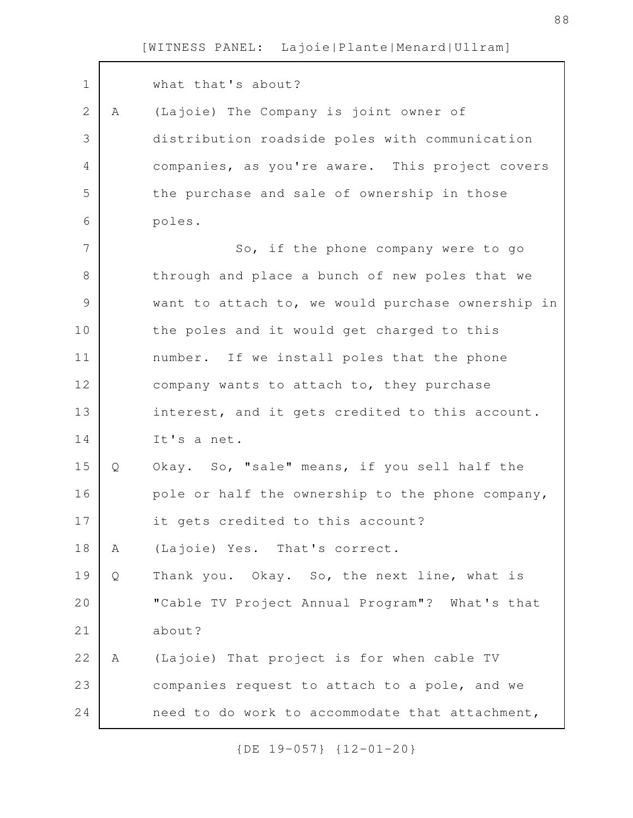| $\mathbf 1$ |   | what that's about?                                |
|-------------|---|---------------------------------------------------|
| 2           | Α | (Lajoie) The Company is joint owner of            |
| 3           |   | distribution roadside poles with communication    |
| 4           |   | companies, as you're aware. This project covers   |
| 5           |   | the purchase and sale of ownership in those       |
| 6           |   | poles.                                            |
| 7           |   | So, if the phone company were to go               |
| 8           |   | through and place a bunch of new poles that we    |
| $\mathsf 9$ |   | want to attach to, we would purchase ownership in |
| 10          |   | the poles and it would get charged to this        |
| 11          |   | number. If we install poles that the phone        |
| 12          |   | company wants to attach to, they purchase         |
| 13          |   | interest, and it gets credited to this account.   |
| 14          |   | It's a net.                                       |
| 15          | Q | Okay. So, "sale" means, if you sell half the      |
| 16          |   | pole or half the ownership to the phone company,  |
| 17          |   | it gets credited to this account?                 |
| 18          | Α | (Lajoie) Yes. That's correct.                     |
| 19          | Q | Thank you. Okay. So, the next line, what is       |
| 20          |   | "Cable TV Project Annual Program"? What's that    |
| 21          |   | about?                                            |
| 22          | A | (Lajoie) That project is for when cable TV        |
| 23          |   | companies request to attach to a pole, and we     |
| 24          |   | need to do work to accommodate that attachment,   |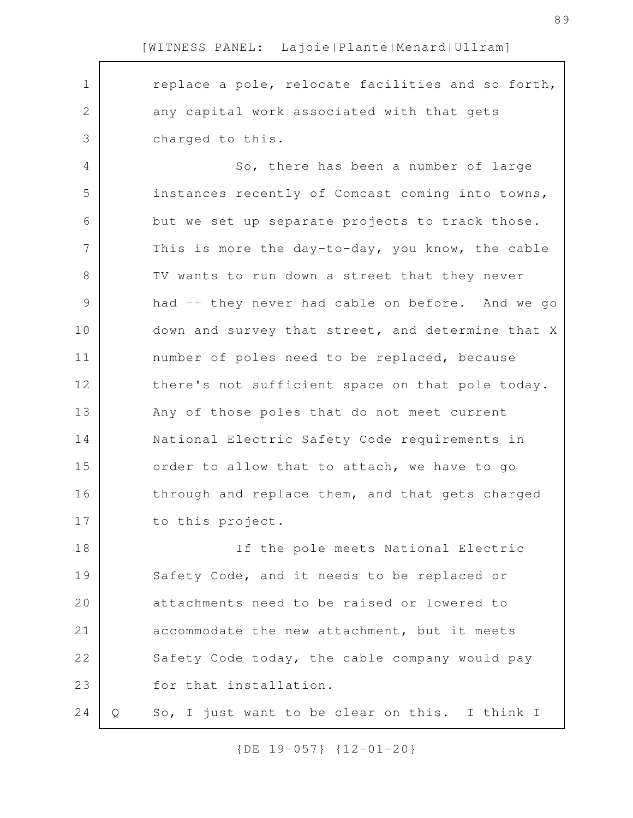1

2

3

replace a pole, relocate facilities and so forth, any capital work associated with that gets charged to this.

So, there has been a number of large instances recently of Comcast coming into towns, but we set up separate projects to track those. This is more the day-to-day, you know, the cable TV wants to run down a street that they never had -- they never had cable on before. And we go down and survey that street, and determine that X number of poles need to be replaced, because there's not sufficient space on that pole today. Any of those poles that do not meet current National Electric Safety Code requirements in order to allow that to attach, we have to go through and replace them, and that gets charged to this project. 4 5 6 7 8 9 10 11 12 13 14 15 16 17

If the pole meets National Electric Safety Code, and it needs to be replaced or attachments need to be raised or lowered to accommodate the new attachment, but it meets Safety Code today, the cable company would pay for that installation. 18 19 20 21 22 23

Q So, I just want to be clear on this. I think I 24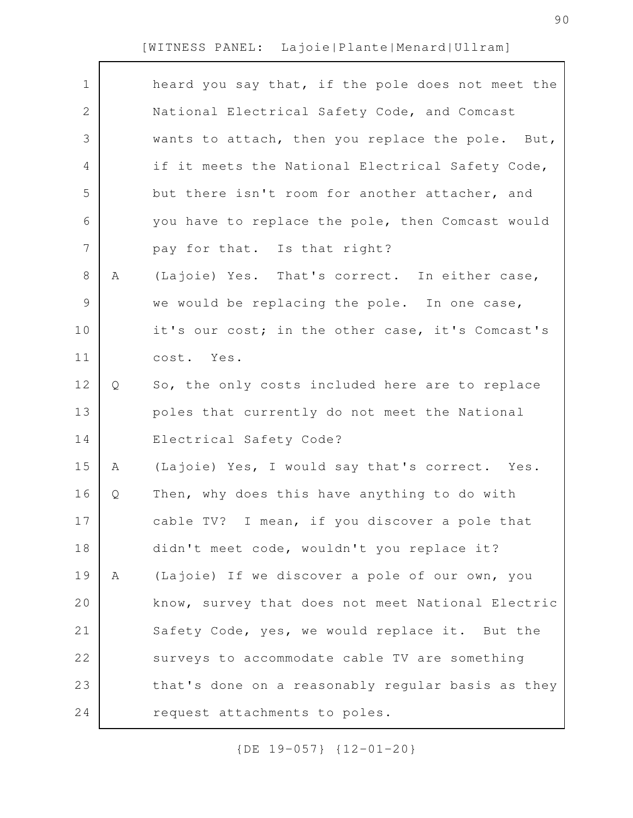| $\mathbf 1$  |   | heard you say that, if the pole does not meet the |
|--------------|---|---------------------------------------------------|
| $\mathbf{2}$ |   | National Electrical Safety Code, and Comcast      |
| 3            |   | wants to attach, then you replace the pole. But,  |
| 4            |   | if it meets the National Electrical Safety Code,  |
| 5            |   | but there isn't room for another attacher, and    |
| 6            |   | you have to replace the pole, then Comcast would  |
| 7            |   | pay for that. Is that right?                      |
| 8            | A | (Lajoie) Yes. That's correct. In either case,     |
| 9            |   | we would be replacing the pole. In one case,      |
| 10           |   | it's our cost; in the other case, it's Comcast's  |
| 11           |   | cost. Yes.                                        |
| 12           | Q | So, the only costs included here are to replace   |
| 13           |   | poles that currently do not meet the National     |
| 14           |   | Electrical Safety Code?                           |
| 15           | Α | (Lajoie) Yes, I would say that's correct. Yes.    |
| 16           | Q | Then, why does this have anything to do with      |
| 17           |   | cable TV? I mean, if you discover a pole that     |
| 18           |   | didn't meet code, wouldn't you replace it?        |
| 19           | Α | (Lajoie) If we discover a pole of our own, you    |
| 20           |   | know, survey that does not meet National Electric |
| 21           |   | Safety Code, yes, we would replace it. But the    |
| 22           |   | surveys to accommodate cable TV are something     |
| 23           |   | that's done on a reasonably regular basis as they |
| 24           |   | request attachments to poles.                     |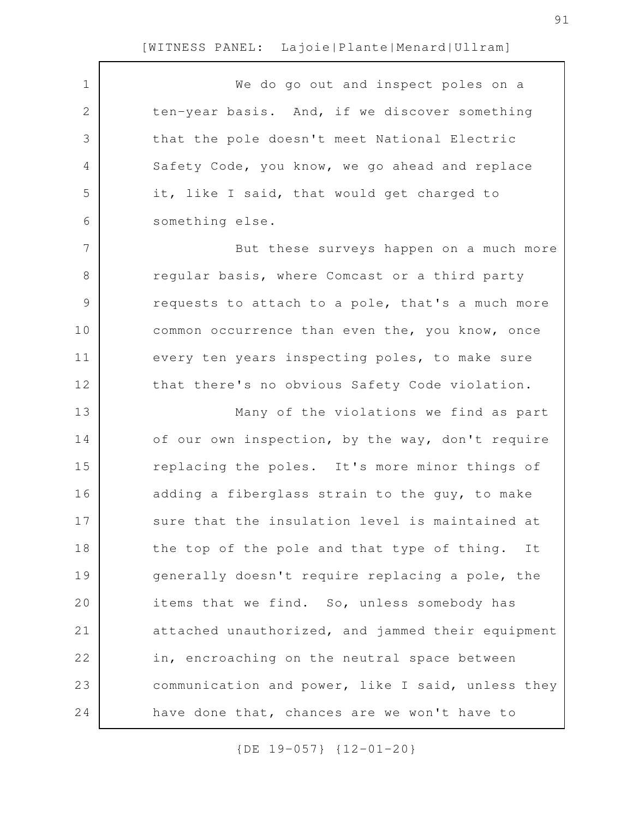| $\mathbf 1$   | We do go out and inspect poles on a               |
|---------------|---------------------------------------------------|
| $\mathbf 2$   | ten-year basis. And, if we discover something     |
| 3             | that the pole doesn't meet National Electric      |
| 4             | Safety Code, you know, we go ahead and replace    |
| 5             | it, like I said, that would get charged to        |
| 6             | something else.                                   |
| 7             | But these surveys happen on a much more           |
| 8             | regular basis, where Comcast or a third party     |
| $\mathcal{G}$ | requests to attach to a pole, that's a much more  |
| 10            | common occurrence than even the, you know, once   |
| 11            | every ten years inspecting poles, to make sure    |
| 12            | that there's no obvious Safety Code violation.    |
| 13            | Many of the violations we find as part            |
| 14            | of our own inspection, by the way, don't require  |
| 15            | replacing the poles. It's more minor things of    |
| 16            | adding a fiberglass strain to the guy, to make    |
| 17            | sure that the insulation level is maintained at   |
| 18            | the top of the pole and that type of thing. It    |
| 19            | generally doesn't require replacing a pole, the   |
| 20            | items that we find. So, unless somebody has       |
| 21            | attached unauthorized, and jammed their equipment |
| 22            | in, encroaching on the neutral space between      |
| 23            | communication and power, like I said, unless they |
| 24            | have done that, chances are we won't have to      |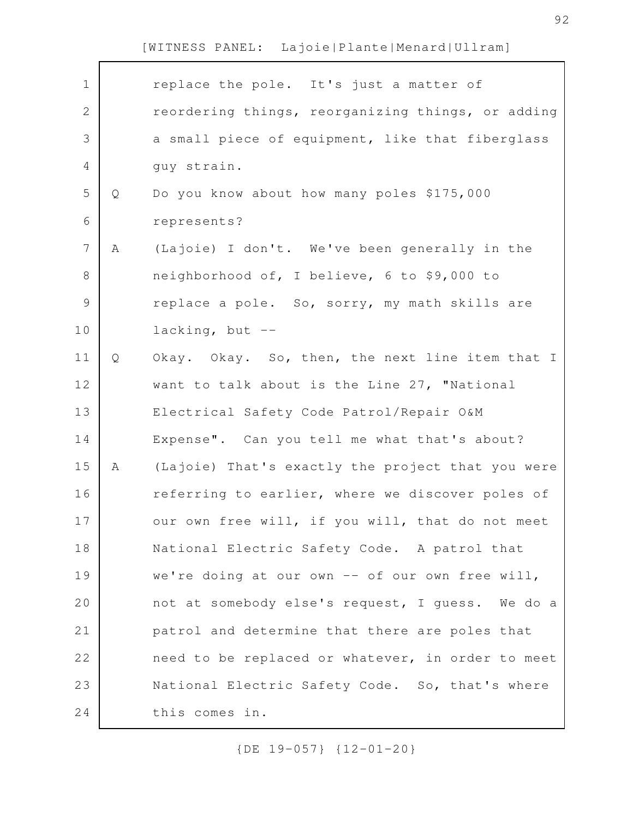| $\mathbf 1$    |   | replace the pole. It's just a matter of           |
|----------------|---|---------------------------------------------------|
| 2              |   | reordering things, reorganizing things, or adding |
| 3              |   | a small piece of equipment, like that fiberglass  |
| 4              |   | guy strain.                                       |
| 5              | Q | Do you know about how many poles \$175,000        |
| 6              |   | represents?                                       |
| $\overline{7}$ | Α | (Lajoie) I don't. We've been generally in the     |
| $8\,$          |   | neighborhood of, I believe, 6 to \$9,000 to       |
| $\mathcal{G}$  |   | replace a pole. So, sorry, my math skills are     |
| 10             |   | lacking, but --                                   |
| 11             | Q | Okay. Okay. So, then, the next line item that I   |
| 12             |   | want to talk about is the Line 27, "National      |
| 13             |   | Electrical Safety Code Patrol/Repair O&M          |
| 14             |   | Expense". Can you tell me what that's about?      |
| 15             | Α | (Lajoie) That's exactly the project that you were |
| 16             |   | referring to earlier, where we discover poles of  |
| 17             |   | our own free will, if you will, that do not meet  |
| 18             |   | National Electric Safety Code. A patrol that      |
| 19             |   | we're doing at our own -- of our own free will,   |
| 20             |   | not at somebody else's request, I guess. We do a  |
| 21             |   | patrol and determine that there are poles that    |
| 22             |   | need to be replaced or whatever, in order to meet |
| 23             |   | National Electric Safety Code. So, that's where   |
| 24             |   | this comes in.                                    |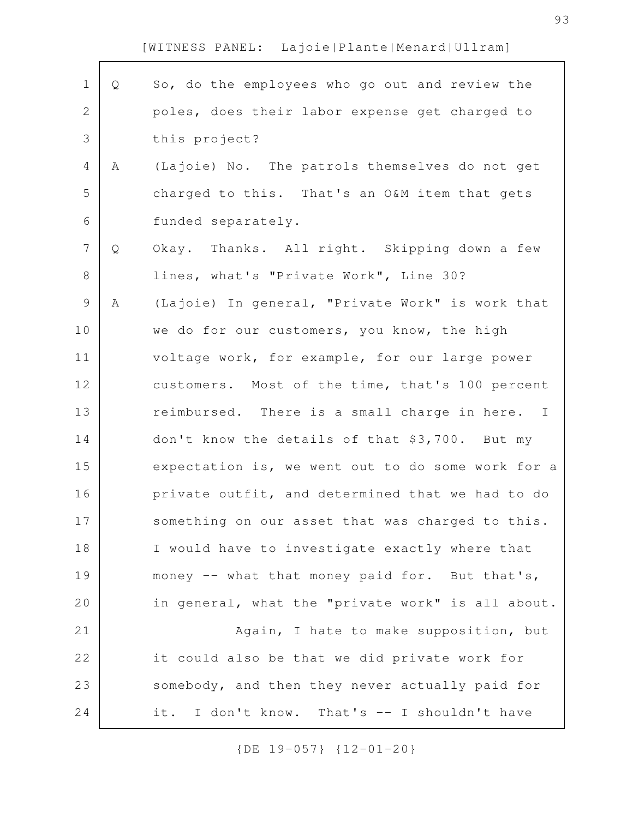| $\mathbf 1$ | Q | So, do the employees who go out and review the    |
|-------------|---|---------------------------------------------------|
| 2           |   | poles, does their labor expense get charged to    |
| 3           |   | this project?                                     |
| 4           | A | (Lajoie) No. The patrols themselves do not get    |
| 5           |   | charged to this. That's an O&M item that gets     |
| 6           |   | funded separately.                                |
| 7           | Q | Okay. Thanks. All right. Skipping down a few      |
| 8           |   | lines, what's "Private Work", Line 30?            |
| $\mathsf 9$ | Α | (Lajoie) In general, "Private Work" is work that  |
| 10          |   | we do for our customers, you know, the high       |
| 11          |   | voltage work, for example, for our large power    |
| 12          |   | customers. Most of the time, that's 100 percent   |
| 13          |   | reimbursed. There is a small charge in here. I    |
| 14          |   | don't know the details of that \$3,700. But my    |
| 15          |   | expectation is, we went out to do some work for a |
| 16          |   | private outfit, and determined that we had to do  |
| 17          |   | something on our asset that was charged to this.  |
| 18          |   | I would have to investigate exactly where that    |
| 19          |   | money -- what that money paid for. But that's,    |
| 20          |   | in general, what the "private work" is all about. |
| 21          |   | Again, I hate to make supposition, but            |
| 22          |   | it could also be that we did private work for     |
| 23          |   | somebody, and then they never actually paid for   |
| 24          |   | it. I don't know. That's -- I shouldn't have      |
|             |   |                                                   |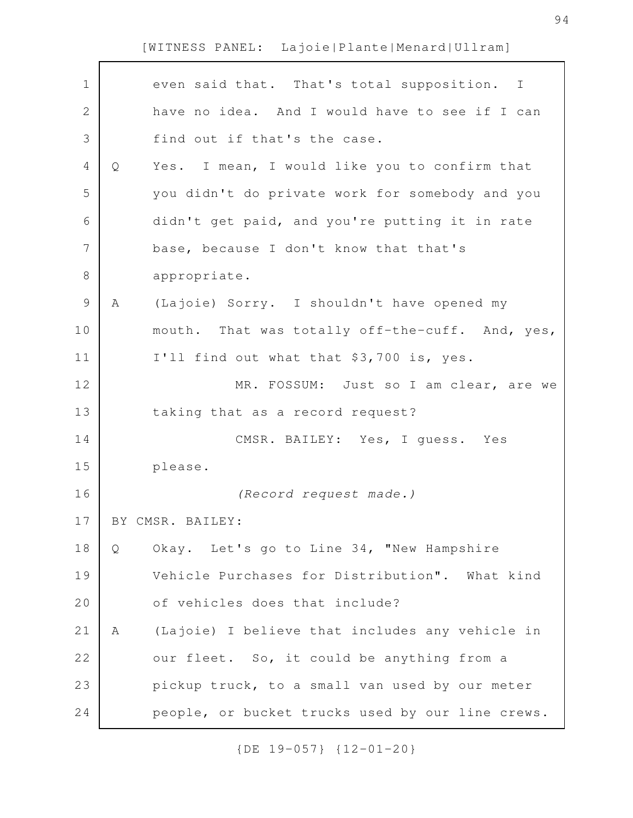| $\mathbf 1$  |   | even said that. That's total supposition. I      |
|--------------|---|--------------------------------------------------|
| $\mathbf{2}$ |   | have no idea. And I would have to see if I can   |
| 3            |   | find out if that's the case.                     |
| 4            | Q | Yes. I mean, I would like you to confirm that    |
| 5            |   | you didn't do private work for somebody and you  |
| 6            |   | didn't get paid, and you're putting it in rate   |
| 7            |   | base, because I don't know that that's           |
| 8            |   | appropriate.                                     |
| $\mathsf 9$  | Α | (Lajoie) Sorry. I shouldn't have opened my       |
| 10           |   | mouth. That was totally off-the-cuff. And, yes,  |
| 11           |   | I'll find out what that \$3,700 is, yes.         |
| 12           |   | MR. FOSSUM: Just so I am clear, are we           |
| 13           |   | taking that as a record request?                 |
| 14           |   | CMSR. BAILEY: Yes, I guess. Yes                  |
| 15           |   | please.                                          |
| 16           |   | (Record request made.)                           |
| 17           |   | BY CMSR. BAILEY:                                 |
| 18           | Q | Okay. Let's go to Line 34, "New Hampshire        |
| 19           |   | Vehicle Purchases for Distribution". What kind   |
| 20           |   | of vehicles does that include?                   |
| 21           | A | (Lajoie) I believe that includes any vehicle in  |
| 22           |   | our fleet. So, it could be anything from a       |
| 23           |   | pickup truck, to a small van used by our meter   |
| 24           |   | people, or bucket trucks used by our line crews. |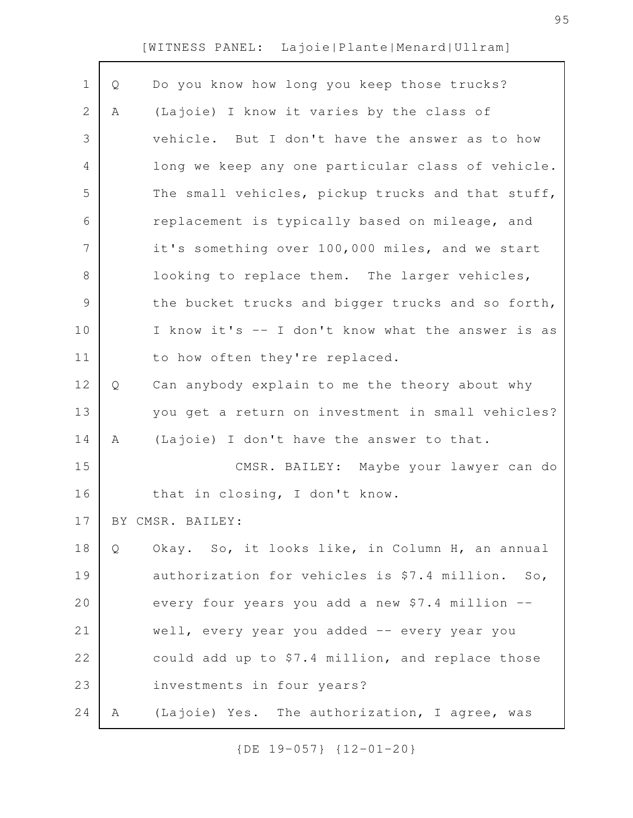| Q | Do you know how long you keep those trucks?       |
|---|---------------------------------------------------|
| Α | (Lajoie) I know it varies by the class of         |
|   | vehicle. But I don't have the answer as to how    |
|   | long we keep any one particular class of vehicle. |
|   | The small vehicles, pickup trucks and that stuff, |
|   | replacement is typically based on mileage, and    |
|   | it's something over 100,000 miles, and we start   |
|   | looking to replace them. The larger vehicles,     |
|   | the bucket trucks and bigger trucks and so forth, |
|   | I know it's -- I don't know what the answer is as |
|   | to how often they're replaced.                    |
| Q | Can anybody explain to me the theory about why    |
|   | you get a return on investment in small vehicles? |
| A | (Lajoie) I don't have the answer to that.         |
|   | CMSR. BAILEY: Maybe your lawyer can do            |
|   | that in closing, I don't know.                    |
|   | BY CMSR. BAILEY:                                  |
| Q | Okay. So, it looks like, in Column H, an annual   |
|   | authorization for vehicles is \$7.4 million. So,  |
|   | every four years you add a new \$7.4 million --   |
|   | well, every year you added -- every year you      |
|   | could add up to \$7.4 million, and replace those  |
|   | investments in four years?                        |
| Α | (Lajoie) Yes. The authorization, I agree, was     |
|   |                                                   |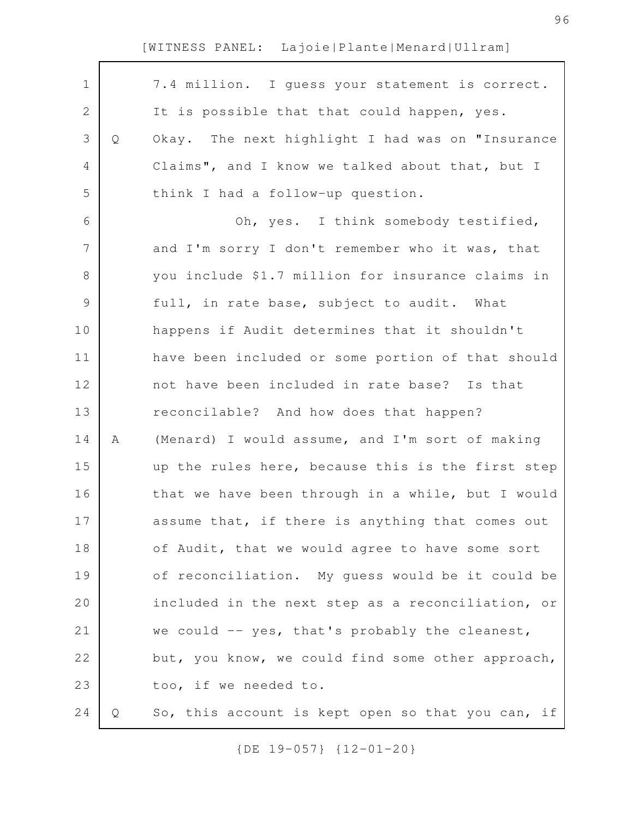|   | 7.4 million. I guess your statement is correct.   |
|---|---------------------------------------------------|
|   | It is possible that that could happen, yes.       |
| Q | Okay. The next highlight I had was on "Insurance  |
|   | Claims", and I know we talked about that, but I   |
|   | think I had a follow-up question.                 |
|   | Oh, yes. I think somebody testified,              |
|   | and I'm sorry I don't remember who it was, that   |
|   | you include \$1.7 million for insurance claims in |
|   | full, in rate base, subject to audit. What        |
|   | happens if Audit determines that it shouldn't     |
|   | have been included or some portion of that should |
|   | not have been included in rate base? Is that      |
|   | reconcilable? And how does that happen?           |
| Α | (Menard) I would assume, and I'm sort of making   |
|   | up the rules here, because this is the first step |
|   | that we have been through in a while, but I would |
|   | assume that, if there is anything that comes out  |
|   | of Audit, that we would agree to have some sort   |
|   | of reconciliation. My guess would be it could be  |
|   | included in the next step as a reconciliation, or |
|   | we could -- yes, that's probably the cleanest,    |
|   | but, you know, we could find some other approach, |
|   | too, if we needed to.                             |
| Q | So, this account is kept open so that you can, if |
|   |                                                   |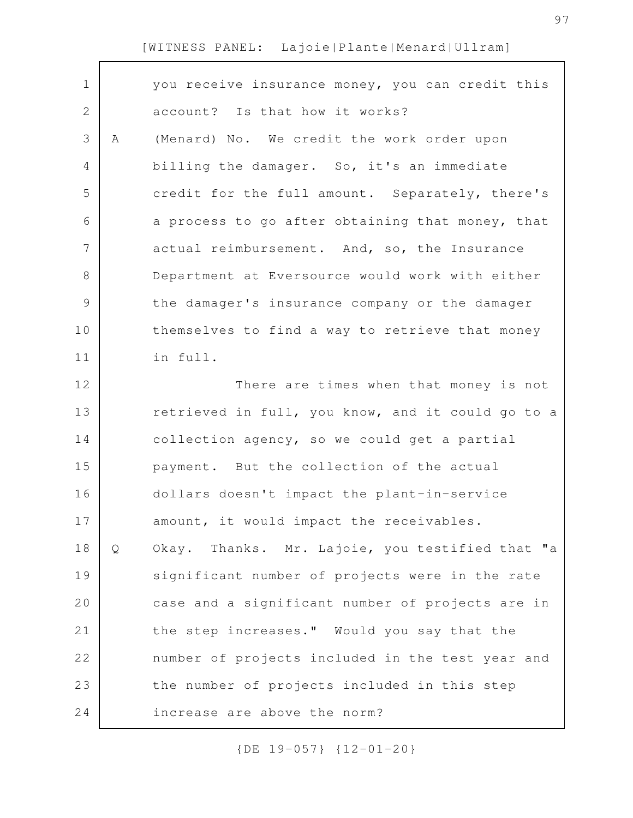| $\mathbf 1$ |   | you receive insurance money, you can credit this  |
|-------------|---|---------------------------------------------------|
| 2           |   | account? Is that how it works?                    |
| 3           | A | (Menard) No. We credit the work order upon        |
| 4           |   | billing the damager. So, it's an immediate        |
| 5           |   | credit for the full amount. Separately, there's   |
| 6           |   | a process to go after obtaining that money, that  |
| 7           |   | actual reimbursement. And, so, the Insurance      |
| 8           |   | Department at Eversource would work with either   |
| 9           |   | the damager's insurance company or the damager    |
| 10          |   | themselves to find a way to retrieve that money   |
| 11          |   | in full.                                          |
| 12          |   | There are times when that money is not            |
| 13          |   | retrieved in full, you know, and it could go to a |
| 14          |   | collection agency, so we could get a partial      |
| 15          |   | payment. But the collection of the actual         |
| 16          |   | dollars doesn't impact the plant-in-service       |
| 17          |   | amount, it would impact the receivables.          |
| 18          | Q | Okay. Thanks. Mr. Lajoie, you testified that "a   |
| 19          |   | significant number of projects were in the rate   |
| 20          |   | case and a significant number of projects are in  |
| 21          |   | the step increases." Would you say that the       |
| 22          |   | number of projects included in the test year and  |
| 23          |   | the number of projects included in this step      |
| 24          |   | increase are above the norm?                      |
|             |   |                                                   |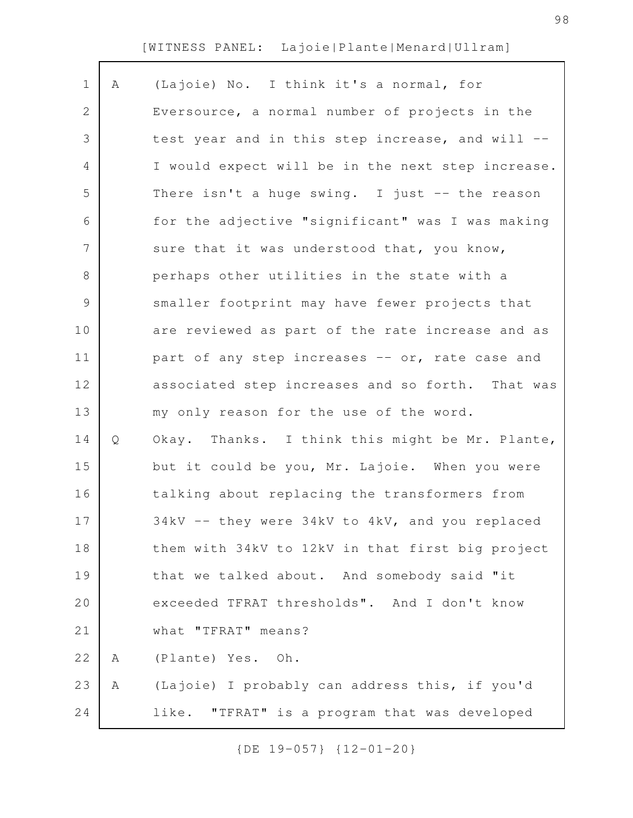| $\mathbf 1$    | Α | (Lajoie) No. I think it's a normal, for           |
|----------------|---|---------------------------------------------------|
| $\mathbf{2}$   |   | Eversource, a normal number of projects in the    |
| 3              |   | test year and in this step increase, and will --  |
| 4              |   | I would expect will be in the next step increase. |
| 5              |   | There isn't a huge swing. I just -- the reason    |
| 6              |   | for the adjective "significant" was I was making  |
| $\overline{7}$ |   | sure that it was understood that, you know,       |
| $8\,$          |   | perhaps other utilities in the state with a       |
| $\mathcal{G}$  |   | smaller footprint may have fewer projects that    |
| 10             |   | are reviewed as part of the rate increase and as  |
| 11             |   | part of any step increases -- or, rate case and   |
| 12             |   | associated step increases and so forth. That was  |
| 13             |   | my only reason for the use of the word.           |
| 14             | Q | Okay. Thanks. I think this might be Mr. Plante,   |
| 15             |   | but it could be you, Mr. Lajoie. When you were    |
| 16             |   | talking about replacing the transformers from     |
| 17             |   | 34kV -- they were 34kV to 4kV, and you replaced   |
| 18             |   | them with 34kV to 12kV in that first big project  |
| 19             |   | that we talked about. And somebody said "it       |
| 20             |   | exceeded TFRAT thresholds". And I don't know      |
| 21             |   | what "TFRAT" means?                               |
| 22             | Α | (Plante) Yes. Oh.                                 |
| 23             | Α | (Lajoie) I probably can address this, if you'd    |
| 24             |   | like. "TFRAT" is a program that was developed     |
|                |   |                                                   |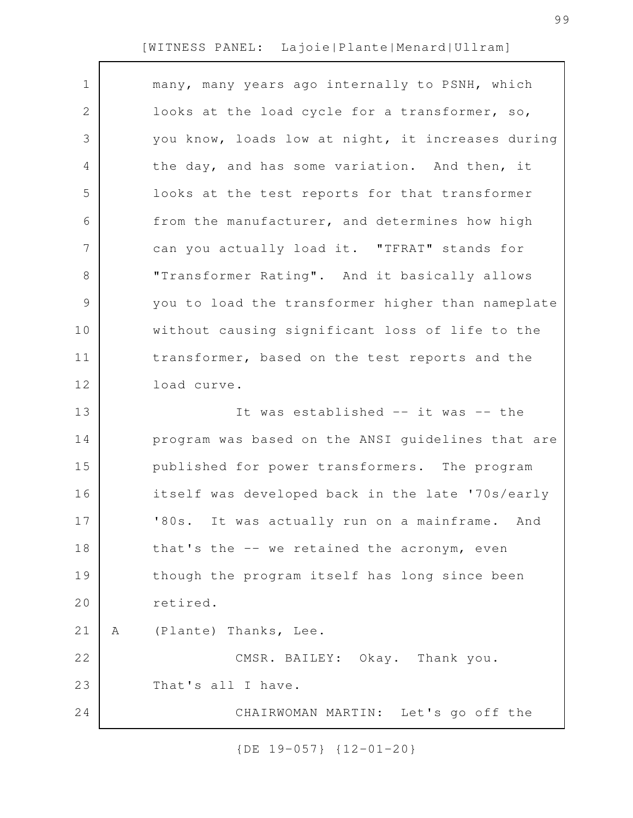| $\mathbf 1$    | many, many years ago internally to PSNH, which    |
|----------------|---------------------------------------------------|
| 2              | looks at the load cycle for a transformer, so,    |
| 3              | you know, loads low at night, it increases during |
| 4              | the day, and has some variation. And then, it     |
| 5              | looks at the test reports for that transformer    |
| 6              | from the manufacturer, and determines how high    |
| $\overline{7}$ | can you actually load it. "TFRAT" stands for      |
| $8\,$          | "Transformer Rating". And it basically allows     |
| 9              | you to load the transformer higher than nameplate |
| 10             | without causing significant loss of life to the   |
| 11             | transformer, based on the test reports and the    |
| 12             | load curve.                                       |
| 13             | It was established -- it was -- the               |
| 14             | program was based on the ANSI guidelines that are |
| 15             | published for power transformers. The program     |
| 16             | itself was developed back in the late '70s/early  |
| 17             | '80s. It was actually run on a mainframe. And     |
| 18             | that's the -- we retained the acronym, even       |
| 19             | though the program itself has long since been     |
| 20             | retired.                                          |
| 21             | (Plante) Thanks, Lee.<br>Α                        |
| 22             | CMSR. BAILEY: Okay. Thank you.                    |
| 23             | That's all I have.                                |
| 24             | CHAIRWOMAN MARTIN: Let's go off the               |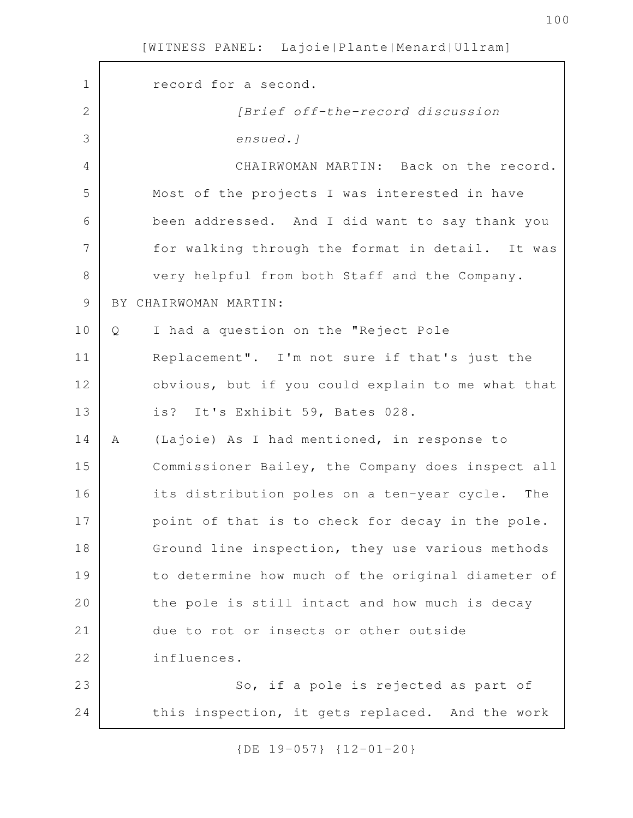| $\mathbf 1$ | record for a second.                              |
|-------------|---------------------------------------------------|
| 2           | [Brief off-the-record discussion                  |
| 3           | ensued.]                                          |
| 4           | CHAIRWOMAN MARTIN: Back on the record.            |
| 5           | Most of the projects I was interested in have     |
| 6           | been addressed. And I did want to say thank you   |
| 7           | for walking through the format in detail. It was  |
| 8           | very helpful from both Staff and the Company.     |
| 9           | BY CHAIRWOMAN MARTIN:                             |
| 10          | I had a question on the "Reject Pole<br>Q         |
| 11          | Replacement". I'm not sure if that's just the     |
| 12          | obvious, but if you could explain to me what that |
| 13          | is? It's Exhibit 59, Bates 028.                   |
| 14          | (Lajoie) As I had mentioned, in response to<br>A  |
| 15          | Commissioner Bailey, the Company does inspect all |
| 16          | its distribution poles on a ten-year cycle. The   |
| 17          | point of that is to check for decay in the pole.  |
| 18          | Ground line inspection, they use various methods  |
| 19          | to determine how much of the original diameter of |
| 20          | the pole is still intact and how much is decay    |
| 21          | due to rot or insects or other outside            |
| 22          | influences.                                       |
| 23          | So, if a pole is rejected as part of              |
| 24          | this inspection, it gets replaced. And the work   |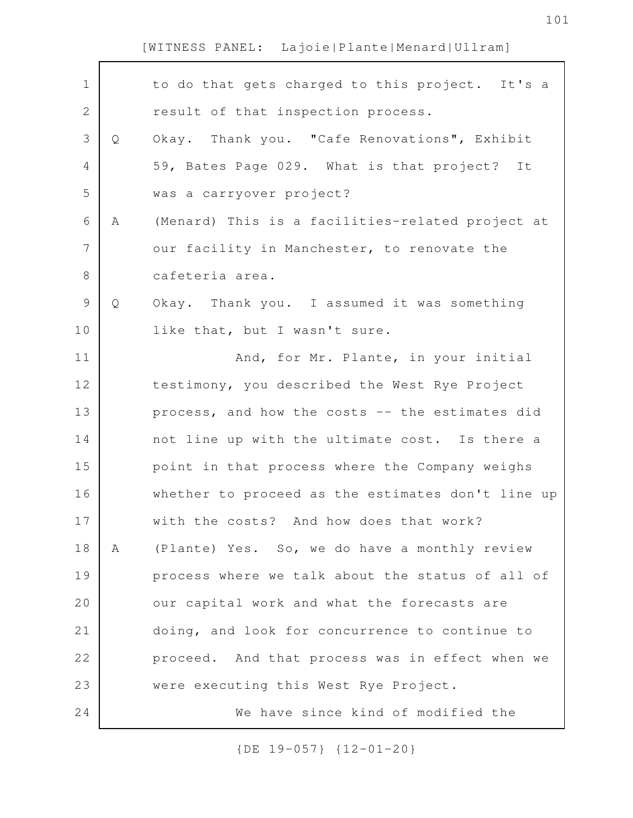| $\mathbf 1$    |   | to do that gets charged to this project. It's a   |
|----------------|---|---------------------------------------------------|
| $\mathbf{2}$   |   | result of that inspection process.                |
| 3              | Q | Okay. Thank you. "Cafe Renovations", Exhibit      |
| 4              |   | 59, Bates Page 029. What is that project? It      |
| 5              |   | was a carryover project?                          |
| 6              | Α | (Menard) This is a facilities-related project at  |
| $\overline{7}$ |   | our facility in Manchester, to renovate the       |
| 8              |   | cafeteria area.                                   |
| $\mathcal{G}$  | Q | Okay. Thank you. I assumed it was something       |
| 10             |   | like that, but I wasn't sure.                     |
| 11             |   | And, for Mr. Plante, in your initial              |
| 12             |   | testimony, you described the West Rye Project     |
| 13             |   | process, and how the costs -- the estimates did   |
| 14             |   | not line up with the ultimate cost. Is there a    |
| 15             |   | point in that process where the Company weighs    |
| 16             |   | whether to proceed as the estimates don't line up |
| 17             |   | with the costs? And how does that work?           |
| 18             | A | (Plante) Yes. So, we do have a monthly review     |
| 19             |   | process where we talk about the status of all of  |
| 20             |   | our capital work and what the forecasts are       |
| 21             |   | doing, and look for concurrence to continue to    |
| 22             |   | proceed. And that process was in effect when we   |
| 23             |   | were executing this West Rye Project.             |
| 24             |   | We have since kind of modified the                |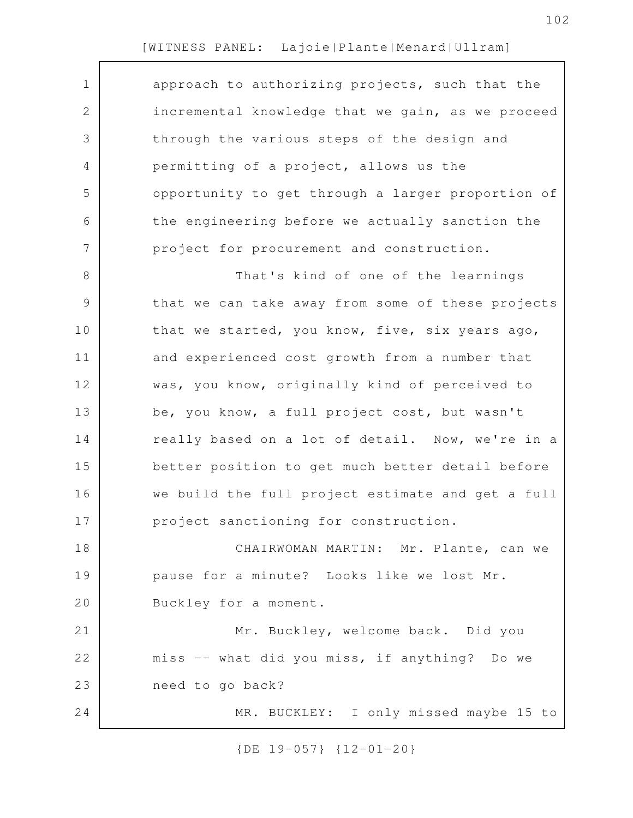| $\mathbf 1$     | approach to authorizing projects, such that the   |
|-----------------|---------------------------------------------------|
| $\mathbf{2}$    | incremental knowledge that we gain, as we proceed |
| 3               | through the various steps of the design and       |
| 4               | permitting of a project, allows us the            |
| 5               | opportunity to get through a larger proportion of |
| 6               | the engineering before we actually sanction the   |
| $7\phantom{.0}$ | project for procurement and construction.         |
| 8               | That's kind of one of the learnings               |
| $\overline{9}$  | that we can take away from some of these projects |
| 10              | that we started, you know, five, six years ago,   |
| 11              | and experienced cost growth from a number that    |
| 12              | was, you know, originally kind of perceived to    |
| 13              | be, you know, a full project cost, but wasn't     |
| 14              | really based on a lot of detail. Now, we're in a  |
| 15              | better position to get much better detail before  |
| 16              | we build the full project estimate and get a full |
| 17              | project sanctioning for construction.             |
| 18              | CHAIRWOMAN MARTIN: Mr. Plante, can we             |
| 19              | pause for a minute? Looks like we lost Mr.        |
| 20              | Buckley for a moment.                             |
| 21              | Mr. Buckley, welcome back. Did you                |
| 22              | miss -- what did you miss, if anything? Do we     |
| 23              | need to go back?                                  |
| 24              | MR. BUCKLEY: I only missed maybe 15 to            |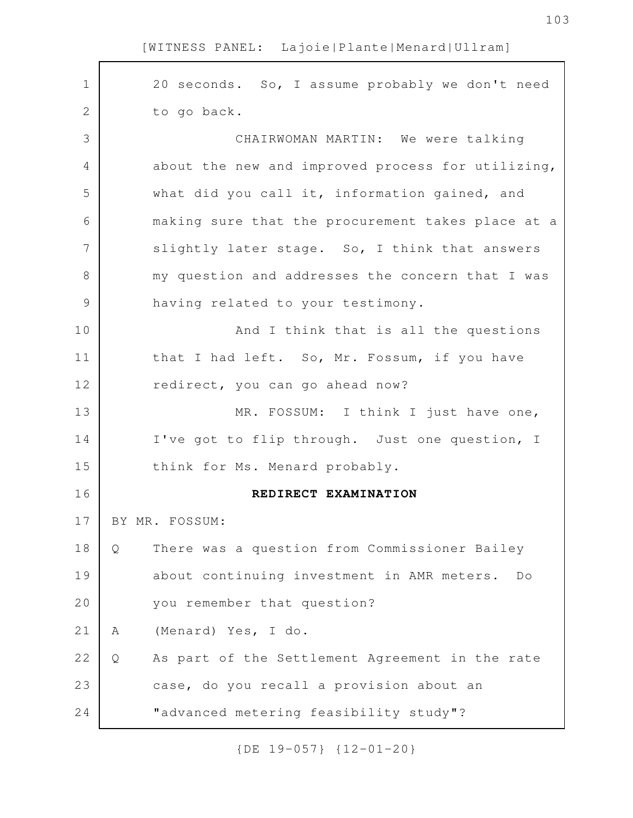| $\mathbf 1$   | 20 seconds. So, I assume probably we don't need      |
|---------------|------------------------------------------------------|
| $\mathbf{2}$  | to go back.                                          |
| 3             | CHAIRWOMAN MARTIN: We were talking                   |
| 4             | about the new and improved process for utilizing,    |
| 5             | what did you call it, information gained, and        |
| 6             | making sure that the procurement takes place at a    |
| 7             | slightly later stage. So, I think that answers       |
| 8             | my question and addresses the concern that I was     |
| $\mathcal{G}$ | having related to your testimony.                    |
| 10            | And I think that is all the questions                |
| 11            | that I had left. So, Mr. Fossum, if you have         |
| 12            | redirect, you can go ahead now?                      |
| 13            | MR. FOSSUM: I think I just have one,                 |
| 14            | I've got to flip through. Just one question, I       |
| 15            | think for Ms. Menard probably.                       |
| 16            | REDIRECT EXAMINATION                                 |
| 17            | BY MR. FOSSUM:                                       |
| 18            | There was a question from Commissioner Bailey<br>Q   |
| 19            | about continuing investment in AMR meters.<br>Do     |
| 20            | you remember that question?                          |
| 21            | (Menard) Yes, I do.<br>Α                             |
| 22            | As part of the Settlement Agreement in the rate<br>Q |
| 23            | case, do you recall a provision about an             |
| 24            | "advanced metering feasibility study"?               |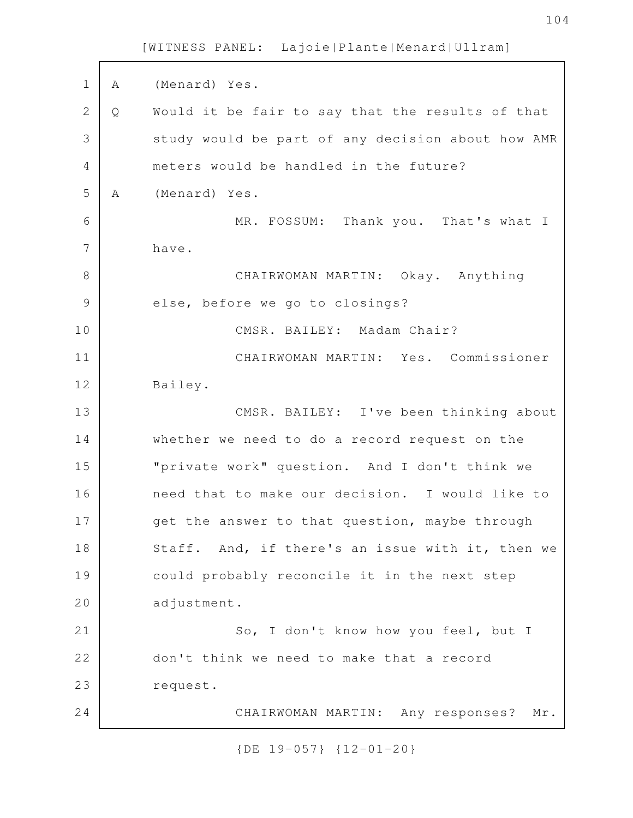A (Menard) Yes. Q Would it be fair to say that the results of that study would be part of any decision about how AMR meters would be handled in the future? A (Menard) Yes. MR. FOSSUM: Thank you. That's what I have. CHAIRWOMAN MARTIN: Okay. Anything else, before we go to closings? CMSR. BAILEY: Madam Chair? CHAIRWOMAN MARTIN: Yes. Commissioner Bailey. CMSR. BAILEY: I've been thinking about whether we need to do a record request on the "private work" question. And I don't think we need that to make our decision. I would like to get the answer to that question, maybe through Staff. And, if there's an issue with it, then we could probably reconcile it in the next step adjustment. So, I don't know how you feel, but I don't think we need to make that a record request. CHAIRWOMAN MARTIN: Any responses? Mr. 1 2 3 4 5 6 7 8 9 10 11 12 13 14 15 16 17 18 19 20 21 22 23 24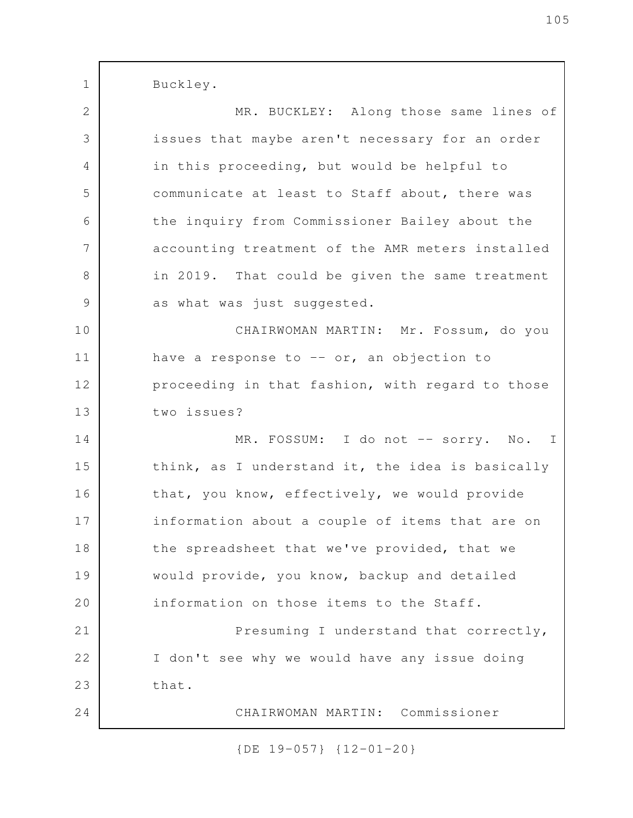Buckley. MR. BUCKLEY: Along those same lines of issues that maybe aren't necessary for an order in this proceeding, but would be helpful to communicate at least to Staff about, there was the inquiry from Commissioner Bailey about the accounting treatment of the AMR meters installed in 2019. That could be given the same treatment as what was just suggested. CHAIRWOMAN MARTIN: Mr. Fossum, do you have a response to  $-$  or, an objection to proceeding in that fashion, with regard to those two issues? MR. FOSSUM: I do not -- sorry. No. I think, as I understand it, the idea is basically that, you know, effectively, we would provide information about a couple of items that are on the spreadsheet that we've provided, that we would provide, you know, backup and detailed information on those items to the Staff. Presuming I understand that correctly, I don't see why we would have any issue doing that. CHAIRWOMAN MARTIN: Commissioner 1 2 3 4 5 6 7 8 9 10 11 12 13 14 15 16 17 18 19 20 21 22 23 24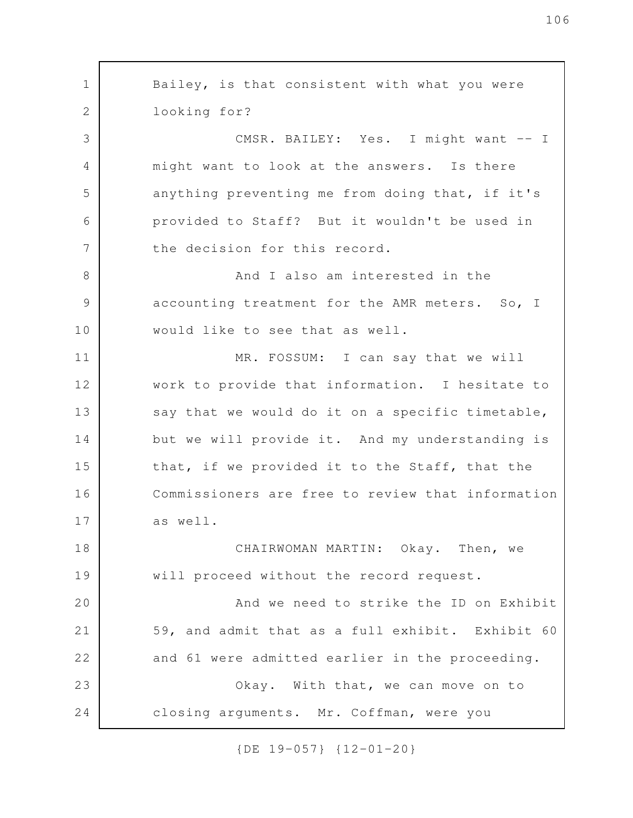Bailey, is that consistent with what you were looking for? CMSR. BAILEY: Yes. I might want -- I might want to look at the answers. Is there anything preventing me from doing that, if it's provided to Staff? But it wouldn't be used in the decision for this record. And I also am interested in the accounting treatment for the AMR meters. So, I would like to see that as well. MR. FOSSUM: I can say that we will work to provide that information. I hesitate to say that we would do it on a specific timetable, but we will provide it. And my understanding is that, if we provided it to the Staff, that the Commissioners are free to review that information as well. CHAIRWOMAN MARTIN: Okay. Then, we will proceed without the record request. And we need to strike the ID on Exhibit 59, and admit that as a full exhibit. Exhibit 60 and 61 were admitted earlier in the proceeding. Okay. With that, we can move on to closing arguments. Mr. Coffman, were you 1 2 3 4 5 6 7 8 9 10 11 12 13 14 15 16 17 18 19 20 21 22 23 24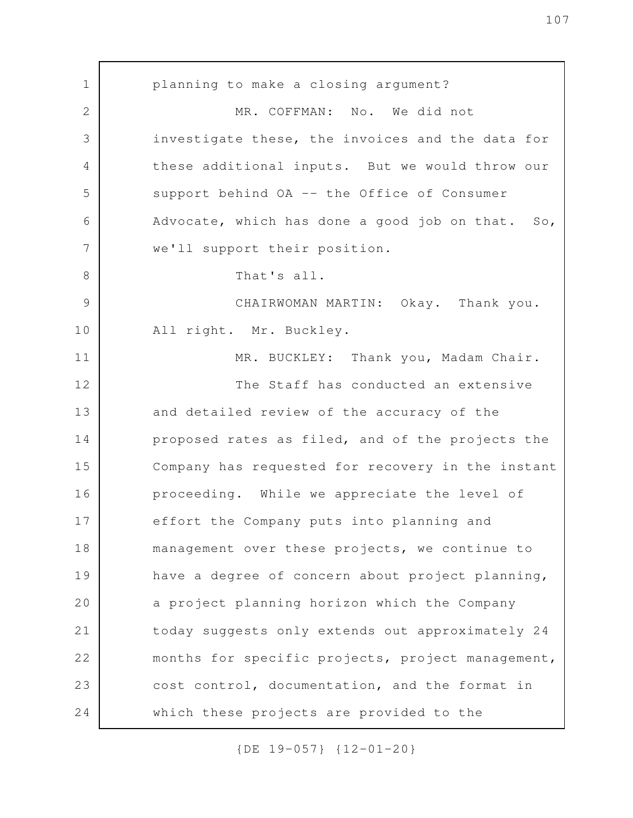planning to make a closing argument? MR. COFFMAN: No. We did not investigate these, the invoices and the data for these additional inputs. But we would throw our support behind OA -- the Office of Consumer Advocate, which has done a good job on that. So, we'll support their position. That's all. CHAIRWOMAN MARTIN: Okay. Thank you. All right. Mr. Buckley. MR. BUCKLEY: Thank you, Madam Chair. The Staff has conducted an extensive and detailed review of the accuracy of the proposed rates as filed, and of the projects the Company has requested for recovery in the instant proceeding. While we appreciate the level of effort the Company puts into planning and management over these projects, we continue to have a degree of concern about project planning, a project planning horizon which the Company today suggests only extends out approximately 24 months for specific projects, project management, cost control, documentation, and the format in which these projects are provided to the 1 2 3 4 5 6 7 8 9 10 11 12 13 14 15 16 17 18 19 20 21 22 23 24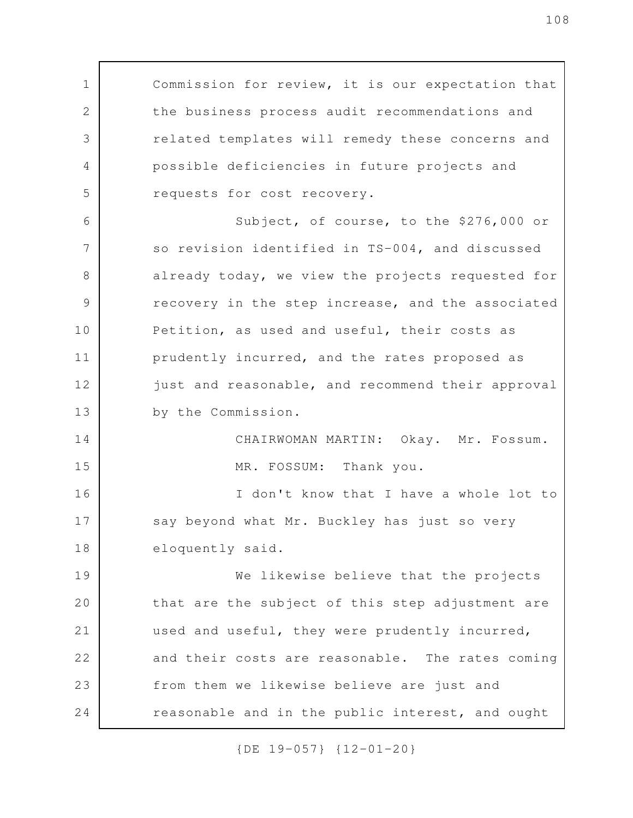Commission for review, it is our expectation that the business process audit recommendations and related templates will remedy these concerns and possible deficiencies in future projects and requests for cost recovery. Subject, of course, to the \$276,000 or so revision identified in TS-004, and discussed already today, we view the projects requested for recovery in the step increase, and the associated Petition, as used and useful, their costs as prudently incurred, and the rates proposed as just and reasonable, and recommend their approval by the Commission. CHAIRWOMAN MARTIN: Okay. Mr. Fossum. MR. FOSSUM: Thank you. I don't know that I have a whole lot to say beyond what Mr. Buckley has just so very eloquently said. We likewise believe that the projects that are the subject of this step adjustment are used and useful, they were prudently incurred, and their costs are reasonable. The rates coming from them we likewise believe are just and reasonable and in the public interest, and ought 1 2 3 4 5 6 7 8 9 10 11 12 13 14 15 16 17 18 19 20 21 22 23 24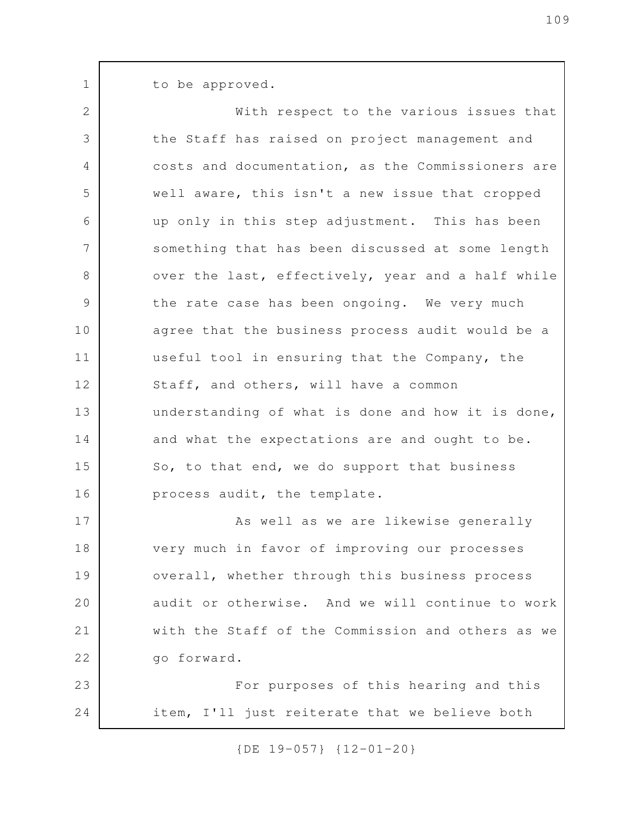to be approved.

1

With respect to the various issues that the Staff has raised on project management and costs and documentation, as the Commissioners are well aware, this isn't a new issue that cropped up only in this step adjustment. This has been something that has been discussed at some length over the last, effectively, year and a half while the rate case has been ongoing. We very much agree that the business process audit would be a useful tool in ensuring that the Company, the Staff, and others, will have a common understanding of what is done and how it is done, and what the expectations are and ought to be. So, to that end, we do support that business process audit, the template. As well as we are likewise generally very much in favor of improving our processes overall, whether through this business process audit or otherwise. And we will continue to work with the Staff of the Commission and others as we go forward. For purposes of this hearing and this item, I'll just reiterate that we believe both 2 3 4 5 6 7 8 9 10 11 12 13 14 15 16 17 18 19 20 21 22 23 24

{DE 19-057} {12-01-20}